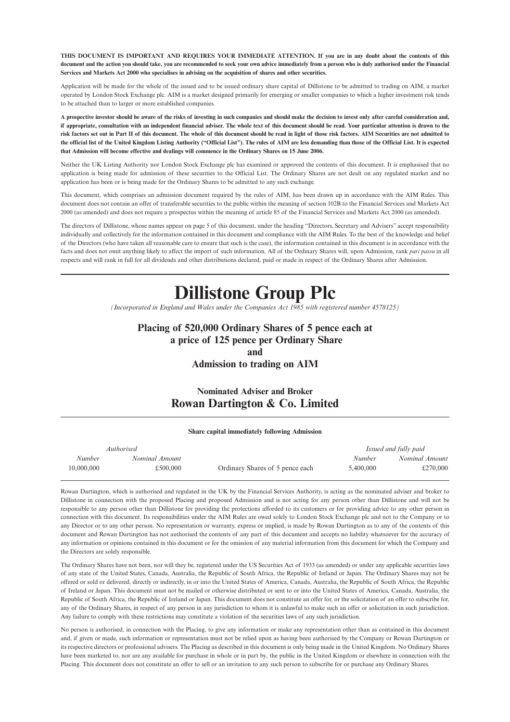**THIS DOCUMENT IS IMPORTANT AND REQUIRES YOUR IMMEDIATE ATTENTION. If you are in any doubt about the contents of this document and the action you should take, you are recommended to seek your own advice immediately from a person who is duly authorised under the Financial Services and Markets Act 2000 who specialises in advising on the acquisition of shares and other securities.**

Application will be made for the whole of the issued and to be issued ordinary share capital of Dillistone to be admitted to trading on AIM, a market operated by London Stock Exchange plc. AIM is a market designed primarily for emerging or smaller companies to which a higher investment risk tends to be attached than to larger or more established companies.

**A prospective investor should be aware of the risks of investing in such companies and should make the decision to invest only after careful consideration and, if appropriate, consultation with an independent financial adviser. The whole text of this document should be read. Your particular attention is drawn to the risk factors set out in Part II of this document. The whole of this document should be read in light of those risk factors. AIM Securities are not admitted to the official list of the United Kingdom Listing Authority ("Official List"). The rules of AIM are less demanding than those of the Official List. It is expected that Admission will become effective and dealings will commence in the Ordinary Shares on 15 June 2006.**

Neither the UK Listing Authority nor London Stock Exchange plc has examined or approved the contents of this document. It is emphasised that no application is being made for admission of these securities to the Official List. The Ordinary Shares are not dealt on any regulated market and no application has been or is being made for the Ordinary Shares to be admitted to any such exchange.

This document, which comprises an admission document required by the rules of AIM, has been drawn up in accordance with the AIM Rules. This document does not contain an offer of transferable securities to the public within the meaning of section 102B to the Financial Services and Markets Act 2000 (as amended) and does not require a prospectus within the meaning of article 85 of the Financial Services and Markets Act 2000 (as amended).

The directors of Dillistone, whose names appear on page 5 of this document, under the heading "Directors, Secretary and Advisers" accept responsibility individually and collectively for the information contained in this document and compliance with the AIM Rules. To the best of the knowledge and belief of the Directors (who have taken all reasonable care to ensure that such is the case), the information contained in this document is in accordance with the facts and does not omit anything likely to affect the import of such information. All of the Ordinary Shares will, upon Admission, rank *pari passu* in all respects and will rank in full for all dividends and other distributions declared, paid or made in respect of the Ordinary Shares after Admission.

# **Dillistone Group Plc**

*(Incorporated in England and Wales under the Companies Act 1985 with registered number 4578125)*

## **Placing of 520,000 Ordinary Shares of 5 pence each at a price of 125 pence per Ordinary Share and**

**Admission to trading on AIM**

### **Nominated Adviser and Broker Rowan Dartington & Co. Limited**

#### **Share capital immediately following Admission**

| Authorised    |                |                                 |           | Issued and fully paid |
|---------------|----------------|---------------------------------|-----------|-----------------------|
| <b>Number</b> | Nominal Amount |                                 | Number    | Nominal Amount        |
| 10,000,000    | £500,000       | Ordinary Shares of 5 pence each | 5,400,000 | £270,000              |

Rowan Dartington, which is authorised and regulated in the UK by the Financial Services Authority, is acting as the nominated adviser and broker to Dillistone in connection with the proposed Placing and proposed Admission and is not acting for any person other than Dillistone and will not be responsible to any person other than Dillistone for providing the protections afforded to its customers or for providing advice to any other person in connection with this document. Its responsibilities under the AIM Rules are owed solely to London Stock Exchange plc and not to the Company or to any Director or to any other person. No representation or warranty, express or implied, is made by Rowan Dartington as to any of the contents of this document and Rowan Dartington has not authorised the contents of any part of this document and accepts no liability whatsoever for the accuracy of any information or opinions contained in this document or for the omission of any material information from this document for which the Company and the Directors are solely responsible.

The Ordinary Shares have not been, nor will they be, registered under the US Securities Act of 1933 (as amended) or under any applicable securities laws of any state of the United States, Canada, Australia, the Republic of South Africa, the Republic of Ireland or Japan. The Ordinary Shares may not be offered or sold or delivered, directly or indirectly, in or into the United States of America, Canada, Australia, the Republic of South Africa, the Republic of Ireland or Japan. This document must not be mailed or otherwise distributed or sent to or into the United States of America, Canada, Australia, the Republic of South Africa, the Republic of Ireland or Japan. This document does not constitute an offer for, or the solicitation of an offer to subscribe for, any of the Ordinary Shares, in respect of any person in any jurisdiction to whom it is unlawful to make such an offer or solicitation in such jurisdiction. Any failure to comply with these restrictions may constitute a violation of the securities laws of any such jurisdiction.

No person is authorised, in connection with the Placing, to give any information or make any representation other than as contained in this document and, if given or made, such information or representation must not be relied upon as having been authorised by the Company or Rowan Dartington or its respective directors or professional advisers. The Placing as described in this document is only being made in the United Kingdom. No Ordinary Shares have been marketed to, nor are any available for purchase in whole or in part by, the public in the United Kingdom or elsewhere in connection with the Placing. This document does not constitute an offer to sell or an invitation to any such person to subscribe for or purchase any Ordinary Shares.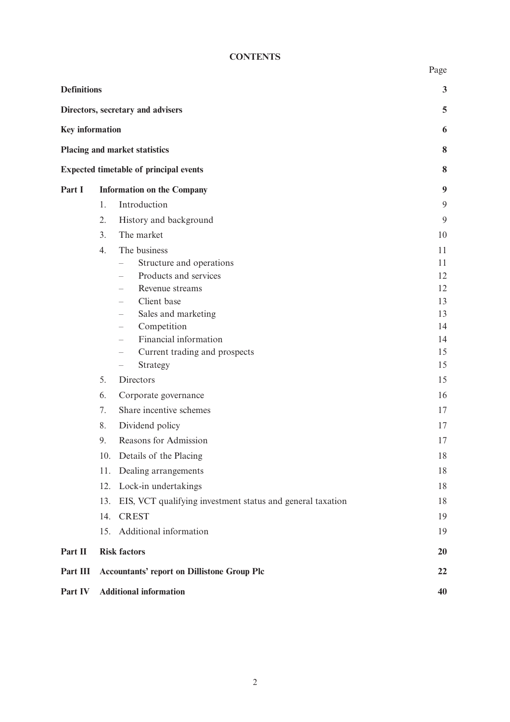### **CONTENTS**

|                        |                                                                   | Page     |
|------------------------|-------------------------------------------------------------------|----------|
| <b>Definitions</b>     |                                                                   | 3        |
|                        | Directors, secretary and advisers                                 | 5        |
| <b>Key information</b> |                                                                   | 6        |
|                        | Placing and market statistics                                     | 8        |
|                        | <b>Expected timetable of principal events</b>                     | 8        |
| Part I                 | <b>Information on the Company</b>                                 | 9        |
|                        | Introduction<br>1.                                                | 9        |
|                        | 2.<br>History and background                                      | 9        |
|                        | 3.<br>The market                                                  | 10       |
|                        | The business<br>4.                                                | 11       |
|                        | Structure and operations                                          | 11       |
|                        | Products and services                                             | 12       |
|                        | Revenue streams                                                   | 12       |
|                        | Client base                                                       | 13       |
|                        | Sales and marketing<br>$\overline{\phantom{0}}$<br>Competition    | 13<br>14 |
|                        | Financial information<br>$\overline{\phantom{0}}$                 | 14       |
|                        | Current trading and prospects<br>$\qquad \qquad -$                | 15       |
|                        | Strategy<br>$\overline{\phantom{0}}$                              | 15       |
|                        | 5.<br>Directors                                                   | 15       |
|                        | 6.<br>Corporate governance                                        | 16       |
|                        | 7.<br>Share incentive schemes                                     | 17       |
|                        | 8.<br>Dividend policy                                             | 17       |
|                        | 9.<br>Reasons for Admission                                       | 17       |
|                        | 10. Details of the Placing                                        | 18       |
|                        | 11.<br>Dealing arrangements                                       | 18       |
|                        | 12. Lock-in undertakings                                          | 18       |
|                        | EIS, VCT qualifying investment status and general taxation<br>13. | 18       |
|                        | <b>CREST</b><br>14.                                               | 19       |
|                        | Additional information<br>15.                                     | 19       |
| Part II                | <b>Risk factors</b>                                               | 20       |
| Part III               | <b>Accountants' report on Dillistone Group Plc</b>                | 22       |
| Part IV                | <b>Additional information</b>                                     | 40       |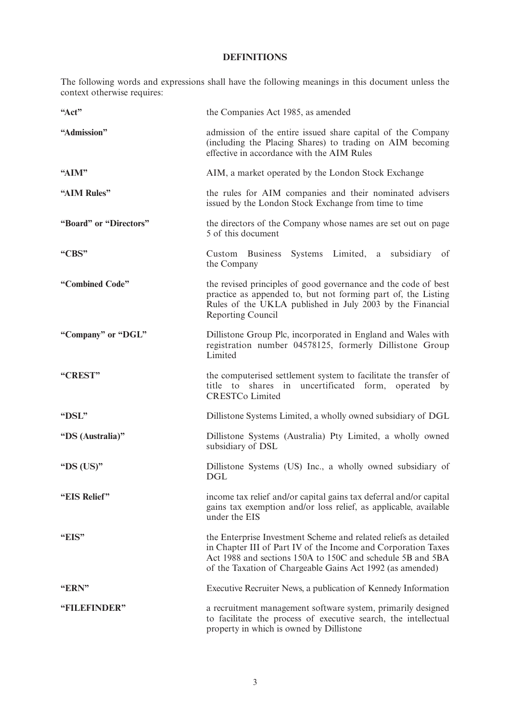### **DEFINITIONS**

The following words and expressions shall have the following meanings in this document unless the context otherwise requires:

| "Act"                  | the Companies Act 1985, as amended                                                                                                                                                                                                                           |  |  |  |  |  |
|------------------------|--------------------------------------------------------------------------------------------------------------------------------------------------------------------------------------------------------------------------------------------------------------|--|--|--|--|--|
| "Admission"            | admission of the entire issued share capital of the Company<br>(including the Placing Shares) to trading on AIM becoming<br>effective in accordance with the AIM Rules                                                                                       |  |  |  |  |  |
| "AIM"                  | AIM, a market operated by the London Stock Exchange                                                                                                                                                                                                          |  |  |  |  |  |
| "AIM Rules"            | the rules for AIM companies and their nominated advisers<br>issued by the London Stock Exchange from time to time                                                                                                                                            |  |  |  |  |  |
| "Board" or "Directors" | the directors of the Company whose names are set out on page<br>5 of this document                                                                                                                                                                           |  |  |  |  |  |
| "CBS"                  | Custom Business Systems Limited, a subsidiary of<br>the Company                                                                                                                                                                                              |  |  |  |  |  |
| "Combined Code"        | the revised principles of good governance and the code of best<br>practice as appended to, but not forming part of, the Listing<br>Rules of the UKLA published in July 2003 by the Financial<br>Reporting Council                                            |  |  |  |  |  |
| "Company" or "DGL"     | Dillistone Group Plc, incorporated in England and Wales with<br>registration number 04578125, formerly Dillistone Group<br>Limited                                                                                                                           |  |  |  |  |  |
| "CREST"                | the computerised settlement system to facilitate the transfer of<br>uncertificated form, operated<br>title to<br>shares in<br>by<br><b>CRESTCo Limited</b>                                                                                                   |  |  |  |  |  |
| "DSL"                  | Dillistone Systems Limited, a wholly owned subsidiary of DGL                                                                                                                                                                                                 |  |  |  |  |  |
| "DS (Australia)"       | Dillistone Systems (Australia) Pty Limited, a wholly owned<br>subsidiary of DSL                                                                                                                                                                              |  |  |  |  |  |
| "DS $(US)$ "           | Dillistone Systems (US) Inc., a wholly owned subsidiary of<br><b>DGL</b>                                                                                                                                                                                     |  |  |  |  |  |
| "EIS Relief"           | income tax relief and/or capital gains tax deferral and/or capital<br>gains tax exemption and/or loss relief, as applicable, available<br>under the EIS                                                                                                      |  |  |  |  |  |
| "EIS"                  | the Enterprise Investment Scheme and related reliefs as detailed<br>in Chapter III of Part IV of the Income and Corporation Taxes<br>Act 1988 and sections 150A to 150C and schedule 5B and 5BA<br>of the Taxation of Chargeable Gains Act 1992 (as amended) |  |  |  |  |  |
| "ERN"                  | Executive Recruiter News, a publication of Kennedy Information                                                                                                                                                                                               |  |  |  |  |  |
| "FILEFINDER"           | a recruitment management software system, primarily designed<br>to facilitate the process of executive search, the intellectual<br>property in which is owned by Dillistone                                                                                  |  |  |  |  |  |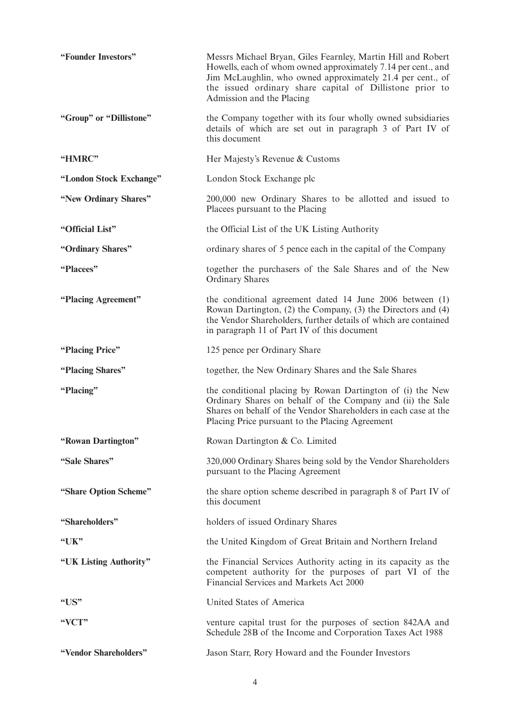| "Founder Investors"     | Messrs Michael Bryan, Giles Fearnley, Martin Hill and Robert<br>Howells, each of whom owned approximately 7.14 per cent., and<br>Jim McLaughlin, who owned approximately 21.4 per cent., of<br>the issued ordinary share capital of Dillistone prior to<br>Admission and the Placing |
|-------------------------|--------------------------------------------------------------------------------------------------------------------------------------------------------------------------------------------------------------------------------------------------------------------------------------|
| "Group" or "Dillistone" | the Company together with its four wholly owned subsidiaries<br>details of which are set out in paragraph 3 of Part IV of<br>this document                                                                                                                                           |
| "HMRC"                  | Her Majesty's Revenue & Customs                                                                                                                                                                                                                                                      |
| "London Stock Exchange" | London Stock Exchange plc                                                                                                                                                                                                                                                            |
| "New Ordinary Shares"   | 200,000 new Ordinary Shares to be allotted and issued to<br>Placees pursuant to the Placing                                                                                                                                                                                          |
| "Official List"         | the Official List of the UK Listing Authority                                                                                                                                                                                                                                        |
| "Ordinary Shares"       | ordinary shares of 5 pence each in the capital of the Company                                                                                                                                                                                                                        |
| "Placees"               | together the purchasers of the Sale Shares and of the New<br><b>Ordinary Shares</b>                                                                                                                                                                                                  |
| "Placing Agreement"     | the conditional agreement dated 14 June 2006 between (1)<br>Rowan Dartington, (2) the Company, (3) the Directors and (4)<br>the Vendor Shareholders, further details of which are contained<br>in paragraph 11 of Part IV of this document                                           |
| "Placing Price"         | 125 pence per Ordinary Share                                                                                                                                                                                                                                                         |
| "Placing Shares"        | together, the New Ordinary Shares and the Sale Shares                                                                                                                                                                                                                                |
| "Placing"               | the conditional placing by Rowan Dartington of (i) the New<br>Ordinary Shares on behalf of the Company and (ii) the Sale<br>Shares on behalf of the Vendor Shareholders in each case at the<br>Placing Price pursuant to the Placing Agreement                                       |
| "Rowan Dartington"      | Rowan Dartington & Co. Limited                                                                                                                                                                                                                                                       |
| "Sale Shares"           | 320,000 Ordinary Shares being sold by the Vendor Shareholders<br>pursuant to the Placing Agreement                                                                                                                                                                                   |
| "Share Option Scheme"   | the share option scheme described in paragraph 8 of Part IV of<br>this document                                                                                                                                                                                                      |
| "Shareholders"          | holders of issued Ordinary Shares                                                                                                                                                                                                                                                    |
| "UK"                    | the United Kingdom of Great Britain and Northern Ireland                                                                                                                                                                                                                             |
| "UK Listing Authority"  | the Financial Services Authority acting in its capacity as the<br>competent authority for the purposes of part VI of the<br>Financial Services and Markets Act 2000                                                                                                                  |
| " $US"$                 | United States of America                                                                                                                                                                                                                                                             |
| "VCT"                   | venture capital trust for the purposes of section 842AA and<br>Schedule 28B of the Income and Corporation Taxes Act 1988                                                                                                                                                             |
| "Vendor Shareholders"   | Jason Starr, Rory Howard and the Founder Investors                                                                                                                                                                                                                                   |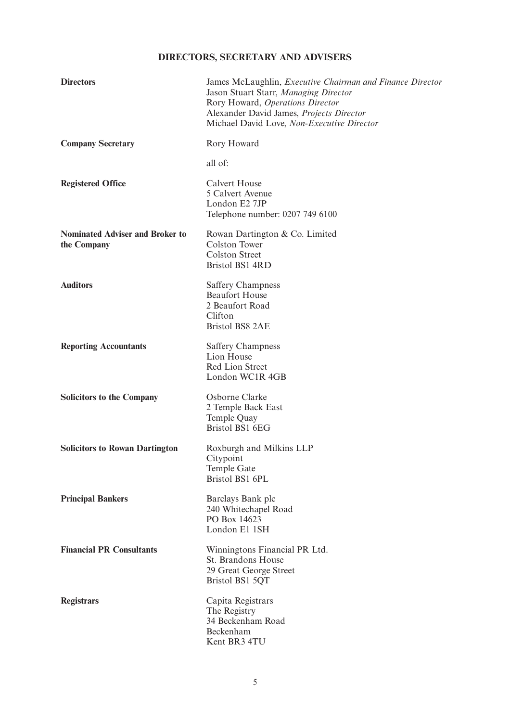## **DIRECTORS, SECRETARY AND ADVISERS**

| <b>Directors</b>                                      | James McLaughlin, <i>Executive Chairman and Finance Director</i><br>Jason Stuart Starr, Managing Director<br>Rory Howard, Operations Director<br>Alexander David James, Projects Director<br>Michael David Love, Non-Executive Director |
|-------------------------------------------------------|-----------------------------------------------------------------------------------------------------------------------------------------------------------------------------------------------------------------------------------------|
| <b>Company Secretary</b>                              | Rory Howard                                                                                                                                                                                                                             |
|                                                       | all of:                                                                                                                                                                                                                                 |
| <b>Registered Office</b>                              | <b>Calvert House</b><br>5 Calvert Avenue<br>London E2 7JP<br>Telephone number: 0207 749 6100                                                                                                                                            |
| <b>Nominated Adviser and Broker to</b><br>the Company | Rowan Dartington & Co. Limited<br><b>Colston Tower</b><br><b>Colston Street</b><br><b>Bristol BS1 4RD</b>                                                                                                                               |
| <b>Auditors</b>                                       | <b>Saffery Champness</b><br><b>Beaufort House</b><br>2 Beaufort Road<br>Clifton<br><b>Bristol BS8 2AE</b>                                                                                                                               |
| <b>Reporting Accountants</b>                          | <b>Saffery Champness</b><br>Lion House<br>Red Lion Street<br>London WC1R 4GB                                                                                                                                                            |
| <b>Solicitors to the Company</b>                      | Osborne Clarke<br>2 Temple Back East<br>Temple Quay<br>Bristol BS1 6EG                                                                                                                                                                  |
| <b>Solicitors to Rowan Dartington</b>                 | Roxburgh and Milkins LLP<br>Citypoint<br>Temple Gate<br>Bristol BS1 6PL                                                                                                                                                                 |
| <b>Principal Bankers</b>                              | Barclays Bank plc<br>240 Whitechapel Road<br>PO Box 14623<br>London E1 1SH                                                                                                                                                              |
| <b>Financial PR Consultants</b>                       | Winningtons Financial PR Ltd.<br>St. Brandons House<br>29 Great George Street<br>Bristol BS1 5QT                                                                                                                                        |
| <b>Registrars</b>                                     | Capita Registrars<br>The Registry<br>34 Beckenham Road<br>Beckenham<br>Kent BR3 4TU                                                                                                                                                     |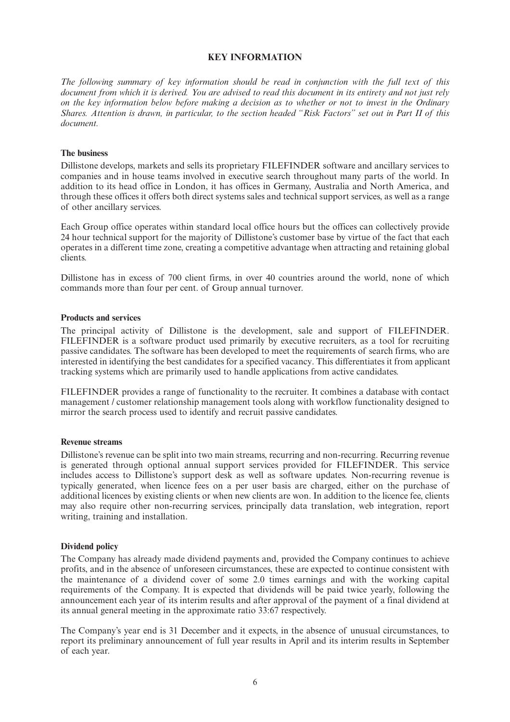### **KEY INFORMATION**

*The following summary of key information should be read in conjunction with the full text of this document from which it is derived. You are advised to read this document in its entirety and not just rely on the key information below before making a decision as to whether or not to invest in the Ordinary Shares. Attention is drawn, in particular, to the section headed "Risk Factors" set out in Part II of this document.*

#### **The business**

Dillistone develops, markets and sells its proprietary FILEFINDER software and ancillary services to companies and in house teams involved in executive search throughout many parts of the world. In addition to its head office in London, it has offices in Germany, Australia and North America, and through these offices it offers both direct systems sales and technical support services, as well as a range of other ancillary services.

Each Group office operates within standard local office hours but the offices can collectively provide 24 hour technical support for the majority of Dillistone's customer base by virtue of the fact that each operates in a different time zone, creating a competitive advantage when attracting and retaining global clients.

Dillistone has in excess of 700 client firms, in over 40 countries around the world, none of which commands more than four per cent. of Group annual turnover.

#### **Products and services**

The principal activity of Dillistone is the development, sale and support of FILEFINDER. FILEFINDER is a software product used primarily by executive recruiters, as a tool for recruiting passive candidates. The software has been developed to meet the requirements of search firms, who are interested in identifying the best candidates for a specified vacancy. This differentiates it from applicant tracking systems which are primarily used to handle applications from active candidates.

FILEFINDER provides a range of functionality to the recruiter. It combines a database with contact management / customer relationship management tools along with workflow functionality designed to mirror the search process used to identify and recruit passive candidates.

#### **Revenue streams**

Dillistone's revenue can be split into two main streams, recurring and non-recurring. Recurring revenue is generated through optional annual support services provided for FILEFINDER. This service includes access to Dillistone's support desk as well as software updates. Non-recurring revenue is typically generated, when licence fees on a per user basis are charged, either on the purchase of additional licences by existing clients or when new clients are won. In addition to the licence fee, clients may also require other non-recurring services, principally data translation, web integration, report writing, training and installation.

#### **Dividend policy**

The Company has already made dividend payments and, provided the Company continues to achieve profits, and in the absence of unforeseen circumstances, these are expected to continue consistent with the maintenance of a dividend cover of some 2.0 times earnings and with the working capital requirements of the Company. It is expected that dividends will be paid twice yearly, following the announcement each year of its interim results and after approval of the payment of a final dividend at its annual general meeting in the approximate ratio 33:67 respectively.

The Company's year end is 31 December and it expects, in the absence of unusual circumstances, to report its preliminary announcement of full year results in April and its interim results in September of each year.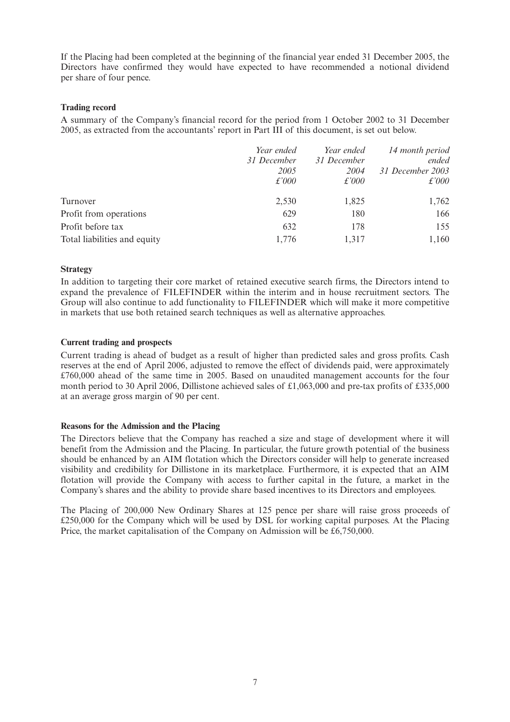If the Placing had been completed at the beginning of the financial year ended 31 December 2005, the Directors have confirmed they would have expected to have recommended a notional dividend per share of four pence.

### **Trading record**

A summary of the Company's financial record for the period from 1 October 2002 to 31 December 2005, as extracted from the accountants' report in Part III of this document, is set out below.

|                              | Year ended<br>31 December<br>2005<br>$\pounds'000$ | Year ended<br>31 December<br>2004<br>$\pounds'000$ | 14 month period<br>ended<br>31 December 2003<br>$\pounds'000$ |
|------------------------------|----------------------------------------------------|----------------------------------------------------|---------------------------------------------------------------|
| Turnover                     | 2,530                                              | 1,825                                              | 1,762                                                         |
| Profit from operations       | 629                                                | 180                                                | 166                                                           |
| Profit before tax            | 632                                                | 178                                                | 155                                                           |
| Total liabilities and equity | 1,776                                              | 1,317                                              | 1,160                                                         |

### **Strategy**

In addition to targeting their core market of retained executive search firms, the Directors intend to expand the prevalence of FILEFINDER within the interim and in house recruitment sectors. The Group will also continue to add functionality to FILEFINDER which will make it more competitive in markets that use both retained search techniques as well as alternative approaches.

### **Current trading and prospects**

Current trading is ahead of budget as a result of higher than predicted sales and gross profits. Cash reserves at the end of April 2006, adjusted to remove the effect of dividends paid, were approximately £760,000 ahead of the same time in 2005. Based on unaudited management accounts for the four month period to 30 April 2006, Dillistone achieved sales of £1,063,000 and pre-tax profits of £335,000 at an average gross margin of 90 per cent.

#### **Reasons for the Admission and the Placing**

The Directors believe that the Company has reached a size and stage of development where it will benefit from the Admission and the Placing. In particular, the future growth potential of the business should be enhanced by an AIM flotation which the Directors consider will help to generate increased visibility and credibility for Dillistone in its marketplace. Furthermore, it is expected that an AIM flotation will provide the Company with access to further capital in the future, a market in the Company's shares and the ability to provide share based incentives to its Directors and employees.

The Placing of 200,000 New Ordinary Shares at 125 pence per share will raise gross proceeds of £250,000 for the Company which will be used by DSL for working capital purposes. At the Placing Price, the market capitalisation of the Company on Admission will be £6,750,000.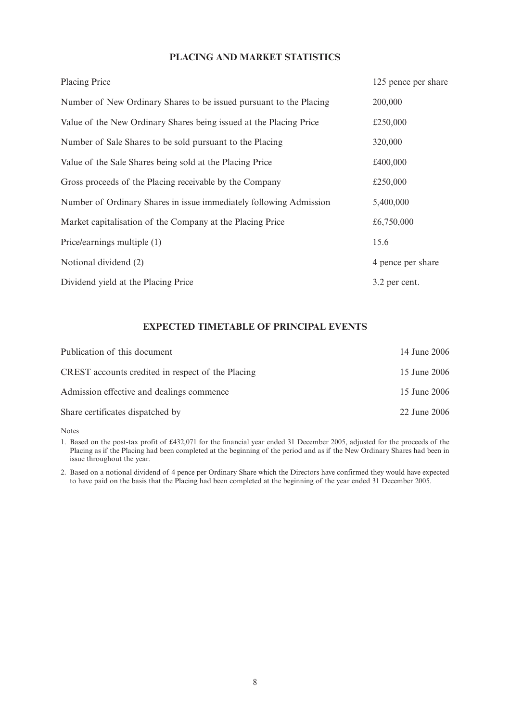### **PLACING AND MARKET STATISTICS**

| <b>Placing Price</b>                                               | 125 pence per share |
|--------------------------------------------------------------------|---------------------|
| Number of New Ordinary Shares to be issued pursuant to the Placing | 200,000             |
| Value of the New Ordinary Shares being issued at the Placing Price | £250,000            |
| Number of Sale Shares to be sold pursuant to the Placing           | 320,000             |
| Value of the Sale Shares being sold at the Placing Price           | £400,000            |
| Gross proceeds of the Placing receivable by the Company            | £250,000            |
| Number of Ordinary Shares in issue immediately following Admission | 5,400,000           |
| Market capitalisation of the Company at the Placing Price          | £6,750,000          |
| Price/earnings multiple (1)                                        | 15.6                |
| Notional dividend (2)                                              | 4 pence per share   |
| Dividend yield at the Placing Price                                | 3.2 per cent.       |

## **EXPECTED TIMETABLE OF PRINCIPAL EVENTS**

| Publication of this document                      | 14 June 2006 |
|---------------------------------------------------|--------------|
| CREST accounts credited in respect of the Placing | 15 June 2006 |
| Admission effective and dealings commence         | 15 June 2006 |
| Share certificates dispatched by                  | 22 June 2006 |

Notes

1. Based on the post-tax profit of £432,071 for the financial year ended 31 December 2005, adjusted for the proceeds of the Placing as if the Placing had been completed at the beginning of the period and as if the New Ordinary Shares had been in issue throughout the year.

2. Based on a notional dividend of 4 pence per Ordinary Share which the Directors have confirmed they would have expected to have paid on the basis that the Placing had been completed at the beginning of the year ended 31 December 2005.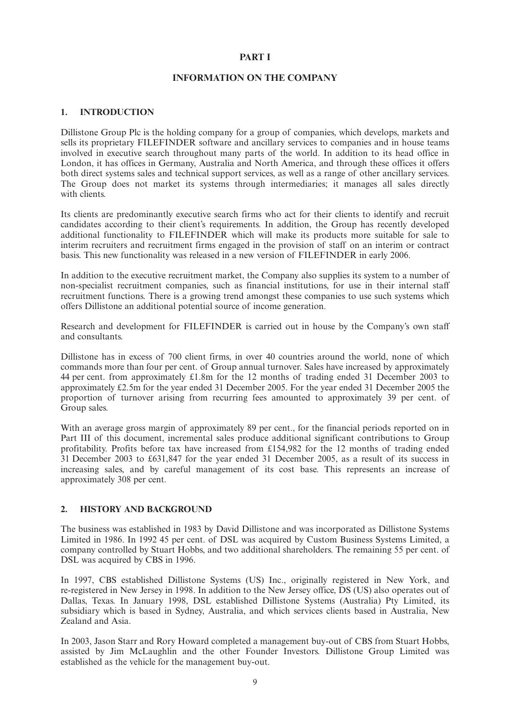### **PART I**

#### **INFORMATION ON THE COMPANY**

#### **1. INTRODUCTION**

Dillistone Group Plc is the holding company for a group of companies, which develops, markets and sells its proprietary FILEFINDER software and ancillary services to companies and in house teams involved in executive search throughout many parts of the world. In addition to its head office in London, it has offices in Germany, Australia and North America, and through these offices it offers both direct systems sales and technical support services, as well as a range of other ancillary services. The Group does not market its systems through intermediaries; it manages all sales directly with clients.

Its clients are predominantly executive search firms who act for their clients to identify and recruit candidates according to their client's requirements. In addition, the Group has recently developed additional functionality to FILEFINDER which will make its products more suitable for sale to interim recruiters and recruitment firms engaged in the provision of staff on an interim or contract basis. This new functionality was released in a new version of FILEFINDER in early 2006.

In addition to the executive recruitment market, the Company also supplies its system to a number of non-specialist recruitment companies, such as financial institutions, for use in their internal staff recruitment functions. There is a growing trend amongst these companies to use such systems which offers Dillistone an additional potential source of income generation.

Research and development for FILEFINDER is carried out in house by the Company's own staff and consultants.

Dillistone has in excess of 700 client firms, in over 40 countries around the world, none of which commands more than four per cent. of Group annual turnover. Sales have increased by approximately 44 per cent. from approximately £1.8m for the 12 months of trading ended 31 December 2003 to approximately £2.5m for the year ended 31 December 2005. For the year ended 31 December 2005 the proportion of turnover arising from recurring fees amounted to approximately 39 per cent. of Group sales.

With an average gross margin of approximately 89 per cent., for the financial periods reported on in Part III of this document, incremental sales produce additional significant contributions to Group profitability. Profits before tax have increased from £154,982 for the 12 months of trading ended 31 December 2003 to £631,847 for the year ended 31 December 2005, as a result of its success in increasing sales, and by careful management of its cost base. This represents an increase of approximately 308 per cent.

### **2. HISTORY AND BACKGROUND**

The business was established in 1983 by David Dillistone and was incorporated as Dillistone Systems Limited in 1986. In 1992 45 per cent. of DSL was acquired by Custom Business Systems Limited, a company controlled by Stuart Hobbs, and two additional shareholders. The remaining 55 per cent. of DSL was acquired by CBS in 1996.

In 1997, CBS established Dillistone Systems (US) Inc., originally registered in New York, and re-registered in New Jersey in 1998. In addition to the New Jersey office, DS (US) also operates out of Dallas, Texas. In January 1998, DSL established Dillistone Systems (Australia) Pty Limited, its subsidiary which is based in Sydney, Australia, and which services clients based in Australia, New Zealand and Asia.

In 2003, Jason Starr and Rory Howard completed a management buy-out of CBS from Stuart Hobbs, assisted by Jim McLaughlin and the other Founder Investors. Dillistone Group Limited was established as the vehicle for the management buy-out.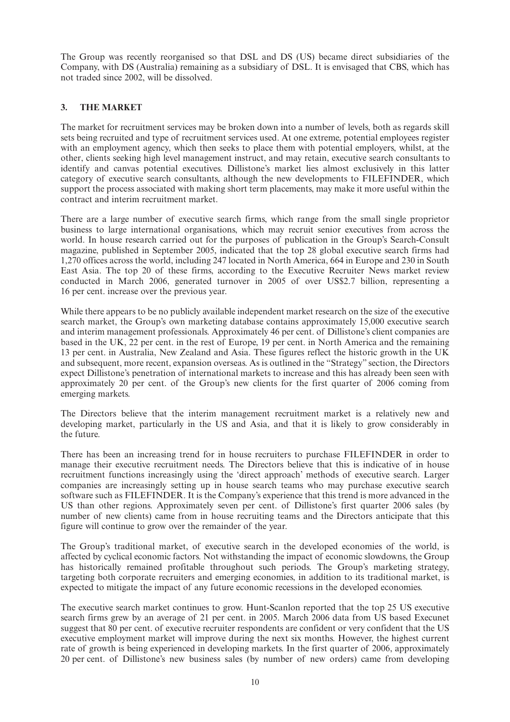The Group was recently reorganised so that DSL and DS (US) became direct subsidiaries of the Company, with DS (Australia) remaining as a subsidiary of DSL. It is envisaged that CBS, which has not traded since 2002, will be dissolved.

### **3. THE MARKET**

The market for recruitment services may be broken down into a number of levels, both as regards skill sets being recruited and type of recruitment services used. At one extreme, potential employees register with an employment agency, which then seeks to place them with potential employers, whilst, at the other, clients seeking high level management instruct, and may retain, executive search consultants to identify and canvas potential executives. Dillistone's market lies almost exclusively in this latter category of executive search consultants, although the new developments to FILEFINDER, which support the process associated with making short term placements, may make it more useful within the contract and interim recruitment market.

There are a large number of executive search firms, which range from the small single proprietor business to large international organisations, which may recruit senior executives from across the world. In house research carried out for the purposes of publication in the Group's Search-Consult magazine, published in September 2005, indicated that the top 28 global executive search firms had 1,270 offices across the world, including 247 located in North America, 664 in Europe and 230 in South East Asia. The top 20 of these firms, according to the Executive Recruiter News market review conducted in March 2006, generated turnover in 2005 of over US\$2.7 billion, representing a 16 per cent. increase over the previous year.

While there appears to be no publicly available independent market research on the size of the executive search market, the Group's own marketing database contains approximately 15,000 executive search and interim management professionals. Approximately 46 per cent. of Dillistone's client companies are based in the UK, 22 per cent. in the rest of Europe, 19 per cent. in North America and the remaining 13 per cent. in Australia, New Zealand and Asia. These figures reflect the historic growth in the UK and subsequent, more recent, expansion overseas. As is outlined in the "Strategy" section, the Directors expect Dillistone's penetration of international markets to increase and this has already been seen with approximately 20 per cent. of the Group's new clients for the first quarter of 2006 coming from emerging markets.

The Directors believe that the interim management recruitment market is a relatively new and developing market, particularly in the US and Asia, and that it is likely to grow considerably in the future.

There has been an increasing trend for in house recruiters to purchase FILEFINDER in order to manage their executive recruitment needs. The Directors believe that this is indicative of in house recruitment functions increasingly using the 'direct approach' methods of executive search. Larger companies are increasingly setting up in house search teams who may purchase executive search software such as FILEFINDER. It is the Company's experience that this trend is more advanced in the US than other regions. Approximately seven per cent. of Dillistone's first quarter 2006 sales (by number of new clients) came from in house recruiting teams and the Directors anticipate that this figure will continue to grow over the remainder of the year.

The Group's traditional market, of executive search in the developed economies of the world, is affected by cyclical economic factors. Not withstanding the impact of economic slowdowns, the Group has historically remained profitable throughout such periods. The Group's marketing strategy, targeting both corporate recruiters and emerging economies, in addition to its traditional market, is expected to mitigate the impact of any future economic recessions in the developed economies.

The executive search market continues to grow. Hunt-Scanlon reported that the top 25 US executive search firms grew by an average of 21 per cent. in 2005. March 2006 data from US based Execunet suggest that 80 per cent. of executive recruiter respondents are confident or very confident that the US executive employment market will improve during the next six months. However, the highest current rate of growth is being experienced in developing markets. In the first quarter of 2006, approximately 20 per cent. of Dillistone's new business sales (by number of new orders) came from developing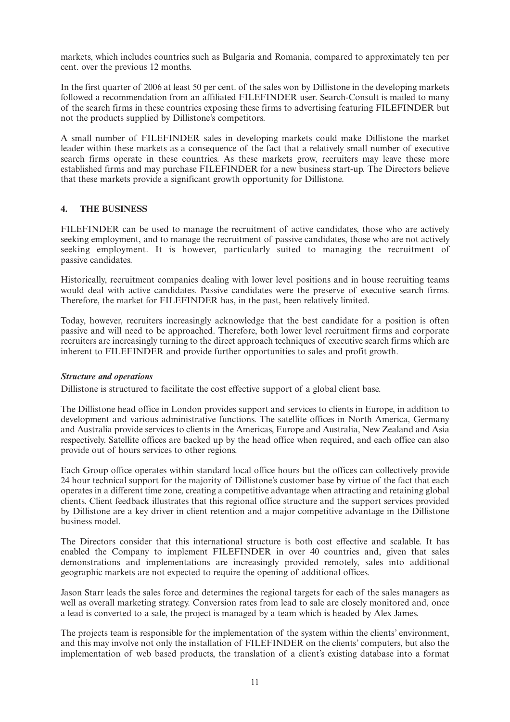markets, which includes countries such as Bulgaria and Romania, compared to approximately ten per cent. over the previous 12 months.

In the first quarter of 2006 at least 50 per cent. of the sales won by Dillistone in the developing markets followed a recommendation from an affiliated FILEFINDER user. Search-Consult is mailed to many of the search firms in these countries exposing these firms to advertising featuring FILEFINDER but not the products supplied by Dillistone's competitors.

A small number of FILEFINDER sales in developing markets could make Dillistone the market leader within these markets as a consequence of the fact that a relatively small number of executive search firms operate in these countries. As these markets grow, recruiters may leave these more established firms and may purchase FILEFINDER for a new business start-up. The Directors believe that these markets provide a significant growth opportunity for Dillistone.

### **4. THE BUSINESS**

FILEFINDER can be used to manage the recruitment of active candidates, those who are actively seeking employment, and to manage the recruitment of passive candidates, those who are not actively seeking employment. It is however, particularly suited to managing the recruitment of passive candidates.

Historically, recruitment companies dealing with lower level positions and in house recruiting teams would deal with active candidates. Passive candidates were the preserve of executive search firms. Therefore, the market for FILEFINDER has, in the past, been relatively limited.

Today, however, recruiters increasingly acknowledge that the best candidate for a position is often passive and will need to be approached. Therefore, both lower level recruitment firms and corporate recruiters are increasingly turning to the direct approach techniques of executive search firms which are inherent to FILEFINDER and provide further opportunities to sales and profit growth.

### *Structure and operations*

Dillistone is structured to facilitate the cost effective support of a global client base.

The Dillistone head office in London provides support and services to clients in Europe, in addition to development and various administrative functions. The satellite offices in North America, Germany and Australia provide services to clients in the Americas, Europe and Australia, New Zealand and Asia respectively. Satellite offices are backed up by the head office when required, and each office can also provide out of hours services to other regions.

Each Group office operates within standard local office hours but the offices can collectively provide 24 hour technical support for the majority of Dillistone's customer base by virtue of the fact that each operates in a different time zone, creating a competitive advantage when attracting and retaining global clients. Client feedback illustrates that this regional office structure and the support services provided by Dillistone are a key driver in client retention and a major competitive advantage in the Dillistone business model.

The Directors consider that this international structure is both cost effective and scalable. It has enabled the Company to implement FILEFINDER in over 40 countries and, given that sales demonstrations and implementations are increasingly provided remotely, sales into additional geographic markets are not expected to require the opening of additional offices.

Jason Starr leads the sales force and determines the regional targets for each of the sales managers as well as overall marketing strategy. Conversion rates from lead to sale are closely monitored and, once a lead is converted to a sale, the project is managed by a team which is headed by Alex James.

The projects team is responsible for the implementation of the system within the clients' environment, and this may involve not only the installation of FILEFINDER on the clients' computers, but also the implementation of web based products, the translation of a client's existing database into a format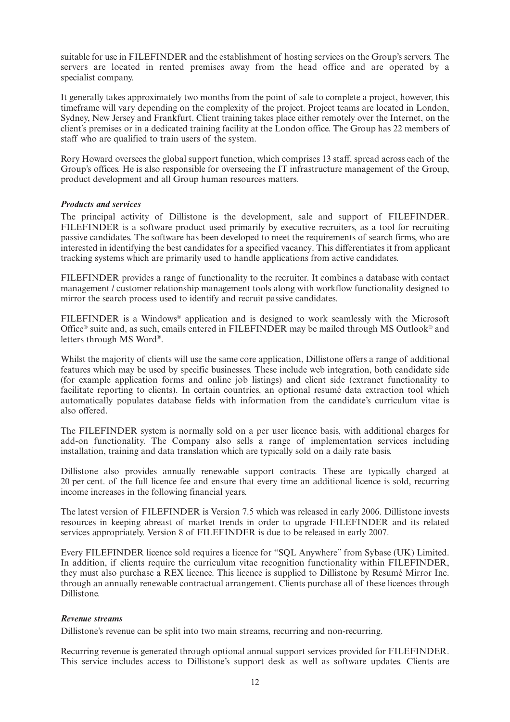suitable for use in FILEFINDER and the establishment of hosting services on the Group's servers. The servers are located in rented premises away from the head office and are operated by a specialist company.

It generally takes approximately two months from the point of sale to complete a project, however, this timeframe will vary depending on the complexity of the project. Project teams are located in London, Sydney, New Jersey and Frankfurt. Client training takes place either remotely over the Internet, on the client's premises or in a dedicated training facility at the London office. The Group has 22 members of staff who are qualified to train users of the system.

Rory Howard oversees the global support function, which comprises 13 staff, spread across each of the Group's offices. He is also responsible for overseeing the IT infrastructure management of the Group, product development and all Group human resources matters.

### *Products and services*

The principal activity of Dillistone is the development, sale and support of FILEFINDER. FILEFINDER is a software product used primarily by executive recruiters, as a tool for recruiting passive candidates. The software has been developed to meet the requirements of search firms, who are interested in identifying the best candidates for a specified vacancy. This differentiates it from applicant tracking systems which are primarily used to handle applications from active candidates.

FILEFINDER provides a range of functionality to the recruiter. It combines a database with contact management / customer relationship management tools along with workflow functionality designed to mirror the search process used to identify and recruit passive candidates.

FILEFINDER is a Windows® application and is designed to work seamlessly with the Microsoft Office<sup>®</sup> suite and, as such, emails entered in FILEFINDER may be mailed through MS Outlook<sup>®</sup> and letters through MS Word®.

Whilst the majority of clients will use the same core application, Dillistone offers a range of additional features which may be used by specific businesses. These include web integration, both candidate side (for example application forms and online job listings) and client side (extranet functionality to facilitate reporting to clients). In certain countries, an optional resumé data extraction tool which automatically populates database fields with information from the candidate's curriculum vitae is also offered.

The FILEFINDER system is normally sold on a per user licence basis, with additional charges for add-on functionality. The Company also sells a range of implementation services including installation, training and data translation which are typically sold on a daily rate basis.

Dillistone also provides annually renewable support contracts. These are typically charged at 20 per cent. of the full licence fee and ensure that every time an additional licence is sold, recurring income increases in the following financial years.

The latest version of FILEFINDER is Version 7.5 which was released in early 2006. Dillistone invests resources in keeping abreast of market trends in order to upgrade FILEFINDER and its related services appropriately. Version 8 of FILEFINDER is due to be released in early 2007.

Every FILEFINDER licence sold requires a licence for "SQL Anywhere" from Sybase (UK) Limited. In addition, if clients require the curriculum vitae recognition functionality within FILEFINDER, they must also purchase a REX licence. This licence is supplied to Dillistone by Resumé Mirror Inc. through an annually renewable contractual arrangement. Clients purchase all of these licences through Dillistone.

#### *Revenue streams*

Dillistone's revenue can be split into two main streams, recurring and non-recurring.

Recurring revenue is generated through optional annual support services provided for FILEFINDER. This service includes access to Dillistone's support desk as well as software updates. Clients are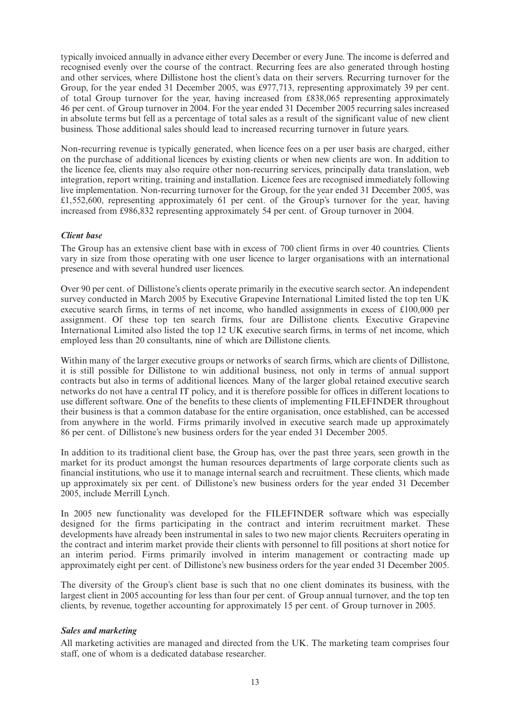typically invoiced annually in advance either every December or every June. The income is deferred and recognised evenly over the course of the contract. Recurring fees are also generated through hosting and other services, where Dillistone host the client's data on their servers. Recurring turnover for the Group, for the year ended 31 December 2005, was £977,713, representing approximately 39 per cent. of total Group turnover for the year, having increased from £838,065 representing approximately 46 per cent. of Group turnover in 2004. For the year ended 31 December 2005 recurring sales increased in absolute terms but fell as a percentage of total sales as a result of the significant value of new client business. Those additional sales should lead to increased recurring turnover in future years.

Non-recurring revenue is typically generated, when licence fees on a per user basis are charged, either on the purchase of additional licences by existing clients or when new clients are won. In addition to the licence fee, clients may also require other non-recurring services, principally data translation, web integration, report writing, training and installation. Licence fees are recognised immediately following live implementation. Non-recurring turnover for the Group, for the year ended 31 December 2005, was  $£1,552,600$ , representing approximately 61 per cent. of the Group's turnover for the year, having increased from £986,832 representing approximately 54 per cent. of Group turnover in 2004.

### *Client base*

The Group has an extensive client base with in excess of 700 client firms in over 40 countries. Clients vary in size from those operating with one user licence to larger organisations with an international presence and with several hundred user licences.

Over 90 per cent. of Dillistone's clients operate primarily in the executive search sector. An independent survey conducted in March 2005 by Executive Grapevine International Limited listed the top ten UK executive search firms, in terms of net income, who handled assignments in excess of £100,000 per assignment. Of these top ten search firms, four are Dillistone clients. Executive Grapevine International Limited also listed the top 12 UK executive search firms, in terms of net income, which employed less than 20 consultants, nine of which are Dillistone clients.

Within many of the larger executive groups or networks of search firms, which are clients of Dillistone, it is still possible for Dillistone to win additional business, not only in terms of annual support contracts but also in terms of additional licences. Many of the larger global retained executive search networks do not have a central IT policy, and it is therefore possible for offices in different locations to use different software. One of the benefits to these clients of implementing FILEFINDER throughout their business is that a common database for the entire organisation, once established, can be accessed from anywhere in the world. Firms primarily involved in executive search made up approximately 86 per cent. of Dillistone's new business orders for the year ended 31 December 2005.

In addition to its traditional client base, the Group has, over the past three years, seen growth in the market for its product amongst the human resources departments of large corporate clients such as financial institutions, who use it to manage internal search and recruitment. These clients, which made up approximately six per cent. of Dillistone's new business orders for the year ended 31 December 2005, include Merrill Lynch.

In 2005 new functionality was developed for the FILEFINDER software which was especially designed for the firms participating in the contract and interim recruitment market. These developments have already been instrumental in sales to two new major clients. Recruiters operating in the contract and interim market provide their clients with personnel to fill positions at short notice for an interim period. Firms primarily involved in interim management or contracting made up approximately eight per cent. of Dillistone's new business orders for the year ended 31 December 2005.

The diversity of the Group's client base is such that no one client dominates its business, with the largest client in 2005 accounting for less than four per cent. of Group annual turnover, and the top ten clients, by revenue, together accounting for approximately 15 per cent. of Group turnover in 2005.

### *Sales and marketing*

All marketing activities are managed and directed from the UK. The marketing team comprises four staff, one of whom is a dedicated database researcher.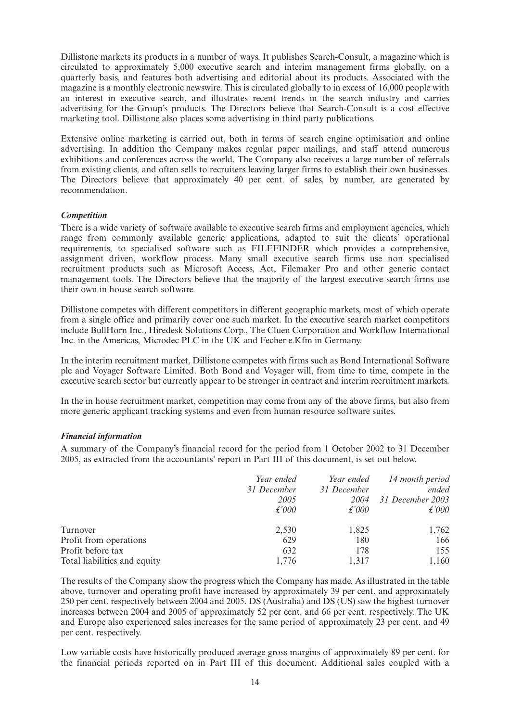Dillistone markets its products in a number of ways. It publishes Search-Consult, a magazine which is circulated to approximately 5,000 executive search and interim management firms globally, on a quarterly basis, and features both advertising and editorial about its products. Associated with the magazine is a monthly electronic newswire. This is circulated globally to in excess of 16,000 people with an interest in executive search, and illustrates recent trends in the search industry and carries advertising for the Group's products. The Directors believe that Search-Consult is a cost effective marketing tool. Dillistone also places some advertising in third party publications.

Extensive online marketing is carried out, both in terms of search engine optimisation and online advertising. In addition the Company makes regular paper mailings, and staff attend numerous exhibitions and conferences across the world. The Company also receives a large number of referrals from existing clients, and often sells to recruiters leaving larger firms to establish their own businesses. The Directors believe that approximately 40 per cent. of sales, by number, are generated by recommendation.

### *Competition*

There is a wide variety of software available to executive search firms and employment agencies, which range from commonly available generic applications, adapted to suit the clients' operational requirements, to specialised software such as FILEFINDER which provides a comprehensive, assignment driven, workflow process. Many small executive search firms use non specialised recruitment products such as Microsoft Access, Act, Filemaker Pro and other generic contact management tools. The Directors believe that the majority of the largest executive search firms use their own in house search software.

Dillistone competes with different competitors in different geographic markets, most of which operate from a single office and primarily cover one such market. In the executive search market competitors include BullHorn Inc., Hiredesk Solutions Corp., The Cluen Corporation and Workflow International Inc. in the Americas, Microdec PLC in the UK and Fecher e.Kfm in Germany.

In the interim recruitment market, Dillistone competes with firms such as Bond International Software plc and Voyager Software Limited. Both Bond and Voyager will, from time to time, compete in the executive search sector but currently appear to be stronger in contract and interim recruitment markets.

In the in house recruitment market, competition may come from any of the above firms, but also from more generic applicant tracking systems and even from human resource software suites.

### *Financial information*

A summary of the Company's financial record for the period from 1 October 2002 to 31 December 2005, as extracted from the accountants' report in Part III of this document, is set out below.

|                              | Year ended    | Year ended    | 14 month period  |
|------------------------------|---------------|---------------|------------------|
|                              | 31 December   | 31 December   | ended            |
|                              | 2005          | 2004          | 31 December 2003 |
|                              | $\pounds'000$ | $\pounds'000$ | $\pounds'000$    |
| Turnover                     | 2,530         | 1,825         | 1,762            |
| Profit from operations       | 629           | 180           | 166              |
| Profit before tax            | 632           | 178           | 155              |
| Total liabilities and equity | 1.776         | 1.317         | 1,160            |

The results of the Company show the progress which the Company has made. As illustrated in the table above, turnover and operating profit have increased by approximately 39 per cent. and approximately 250 per cent. respectively between 2004 and 2005. DS (Australia) and DS (US) saw the highest turnover increases between 2004 and 2005 of approximately 52 per cent. and 66 per cent. respectively. The UK and Europe also experienced sales increases for the same period of approximately 23 per cent. and 49 per cent. respectively.

Low variable costs have historically produced average gross margins of approximately 89 per cent. for the financial periods reported on in Part III of this document. Additional sales coupled with a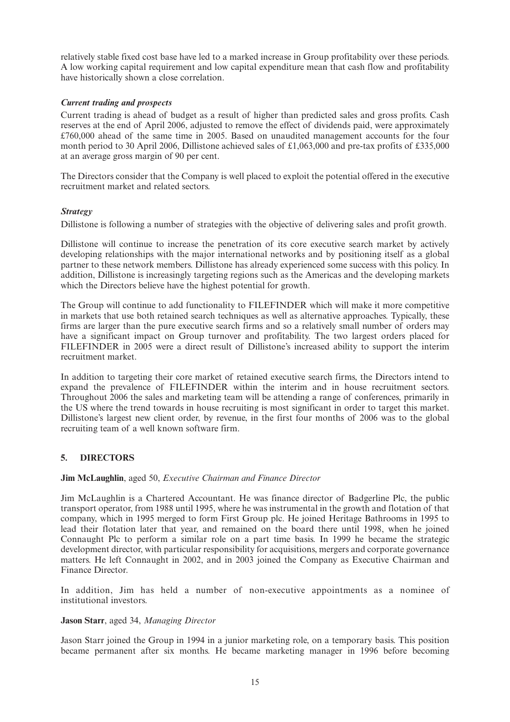relatively stable fixed cost base have led to a marked increase in Group profitability over these periods. A low working capital requirement and low capital expenditure mean that cash flow and profitability have historically shown a close correlation.

### *Current trading and prospects*

Current trading is ahead of budget as a result of higher than predicted sales and gross profits. Cash reserves at the end of April 2006, adjusted to remove the effect of dividends paid, were approximately £760,000 ahead of the same time in 2005. Based on unaudited management accounts for the four month period to 30 April 2006, Dillistone achieved sales of £1,063,000 and pre-tax profits of £335,000 at an average gross margin of 90 per cent.

The Directors consider that the Company is well placed to exploit the potential offered in the executive recruitment market and related sectors.

### *Strategy*

Dillistone is following a number of strategies with the objective of delivering sales and profit growth.

Dillistone will continue to increase the penetration of its core executive search market by actively developing relationships with the major international networks and by positioning itself as a global partner to these network members. Dillistone has already experienced some success with this policy. In addition, Dillistone is increasingly targeting regions such as the Americas and the developing markets which the Directors believe have the highest potential for growth.

The Group will continue to add functionality to FILEFINDER which will make it more competitive in markets that use both retained search techniques as well as alternative approaches. Typically, these firms are larger than the pure executive search firms and so a relatively small number of orders may have a significant impact on Group turnover and profitability. The two largest orders placed for FILEFINDER in 2005 were a direct result of Dillistone's increased ability to support the interim recruitment market.

In addition to targeting their core market of retained executive search firms, the Directors intend to expand the prevalence of FILEFINDER within the interim and in house recruitment sectors. Throughout 2006 the sales and marketing team will be attending a range of conferences, primarily in the US where the trend towards in house recruiting is most significant in order to target this market. Dillistone's largest new client order, by revenue, in the first four months of 2006 was to the global recruiting team of a well known software firm.

### **5. DIRECTORS**

#### **Jim McLaughlin**, aged 50, *Executive Chairman and Finance Director*

Jim McLaughlin is a Chartered Accountant. He was finance director of Badgerline Plc, the public transport operator, from 1988 until 1995, where he was instrumental in the growth and flotation of that company, which in 1995 merged to form First Group plc. He joined Heritage Bathrooms in 1995 to lead their flotation later that year, and remained on the board there until 1998, when he joined Connaught Plc to perform a similar role on a part time basis. In 1999 he became the strategic development director, with particular responsibility for acquisitions, mergers and corporate governance matters. He left Connaught in 2002, and in 2003 joined the Company as Executive Chairman and Finance Director.

In addition, Jim has held a number of non-executive appointments as a nominee of institutional investors.

#### **Jason Starr**, aged 34, *Managing Director*

Jason Starr joined the Group in 1994 in a junior marketing role, on a temporary basis. This position became permanent after six months. He became marketing manager in 1996 before becoming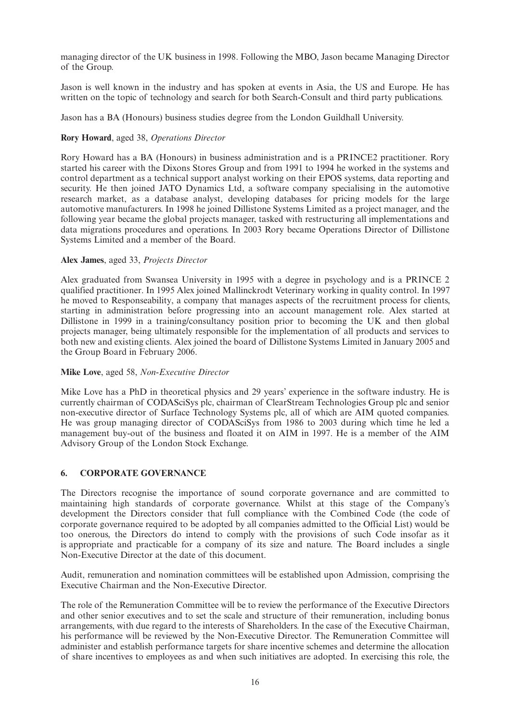managing director of the UK business in 1998. Following the MBO, Jason became Managing Director of the Group.

Jason is well known in the industry and has spoken at events in Asia, the US and Europe. He has written on the topic of technology and search for both Search-Consult and third party publications.

Jason has a BA (Honours) business studies degree from the London Guildhall University.

### **Rory Howard**, aged 38, *Operations Director*

Rory Howard has a BA (Honours) in business administration and is a PRINCE2 practitioner. Rory started his career with the Dixons Stores Group and from 1991 to 1994 he worked in the systems and control department as a technical support analyst working on their EPOS systems, data reporting and security. He then joined JATO Dynamics Ltd, a software company specialising in the automotive research market, as a database analyst, developing databases for pricing models for the large automotive manufacturers. In 1998 he joined Dillistone Systems Limited as a project manager, and the following year became the global projects manager, tasked with restructuring all implementations and data migrations procedures and operations. In 2003 Rory became Operations Director of Dillistone Systems Limited and a member of the Board.

### **Alex James**, aged 33, *Projects Director*

Alex graduated from Swansea University in 1995 with a degree in psychology and is a PRINCE 2 qualified practitioner. In 1995 Alex joined Mallinckrodt Veterinary working in quality control. In 1997 he moved to Responseability, a company that manages aspects of the recruitment process for clients, starting in administration before progressing into an account management role. Alex started at Dillistone in 1999 in a training/consultancy position prior to becoming the UK and then global projects manager, being ultimately responsible for the implementation of all products and services to both new and existing clients. Alex joined the board of Dillistone Systems Limited in January 2005 and the Group Board in February 2006.

### **Mike Love**, aged 58, *Non-Executive Director*

Mike Love has a PhD in theoretical physics and 29 years' experience in the software industry. He is currently chairman of CODASciSys plc, chairman of ClearStream Technologies Group plc and senior non-executive director of Surface Technology Systems plc, all of which are AIM quoted companies. He was group managing director of CODASciSys from 1986 to 2003 during which time he led a management buy-out of the business and floated it on AIM in 1997. He is a member of the AIM Advisory Group of the London Stock Exchange.

### **6. CORPORATE GOVERNANCE**

The Directors recognise the importance of sound corporate governance and are committed to maintaining high standards of corporate governance. Whilst at this stage of the Company's development the Directors consider that full compliance with the Combined Code (the code of corporate governance required to be adopted by all companies admitted to the Official List) would be too onerous, the Directors do intend to comply with the provisions of such Code insofar as it is appropriate and practicable for a company of its size and nature. The Board includes a single Non-Executive Director at the date of this document.

Audit, remuneration and nomination committees will be established upon Admission, comprising the Executive Chairman and the Non-Executive Director.

The role of the Remuneration Committee will be to review the performance of the Executive Directors and other senior executives and to set the scale and structure of their remuneration, including bonus arrangements, with due regard to the interests of Shareholders. In the case of the Executive Chairman, his performance will be reviewed by the Non-Executive Director. The Remuneration Committee will administer and establish performance targets for share incentive schemes and determine the allocation of share incentives to employees as and when such initiatives are adopted. In exercising this role, the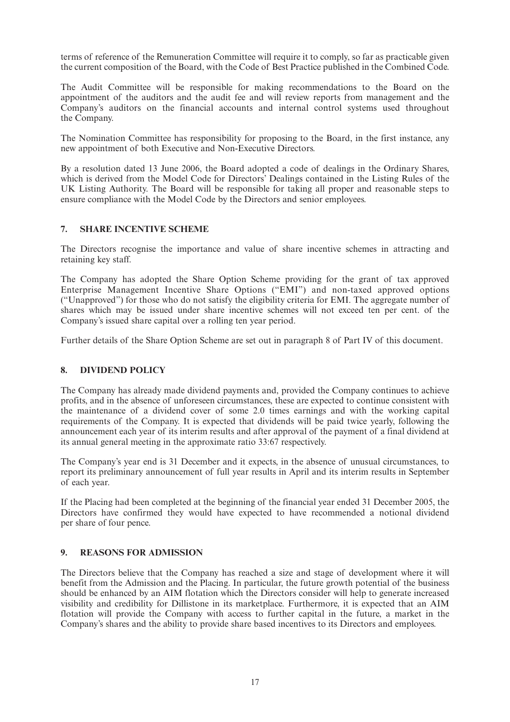terms of reference of the Remuneration Committee will require it to comply, so far as practicable given the current composition of the Board, with the Code of Best Practice published in the Combined Code.

The Audit Committee will be responsible for making recommendations to the Board on the appointment of the auditors and the audit fee and will review reports from management and the Company's auditors on the financial accounts and internal control systems used throughout the Company.

The Nomination Committee has responsibility for proposing to the Board, in the first instance, any new appointment of both Executive and Non-Executive Directors.

By a resolution dated 13 June 2006, the Board adopted a code of dealings in the Ordinary Shares, which is derived from the Model Code for Directors' Dealings contained in the Listing Rules of the UK Listing Authority. The Board will be responsible for taking all proper and reasonable steps to ensure compliance with the Model Code by the Directors and senior employees.

### **7. SHARE INCENTIVE SCHEME**

The Directors recognise the importance and value of share incentive schemes in attracting and retaining key staff.

The Company has adopted the Share Option Scheme providing for the grant of tax approved Enterprise Management Incentive Share Options ("EMI") and non-taxed approved options ("Unapproved") for those who do not satisfy the eligibility criteria for EMI. The aggregate number of shares which may be issued under share incentive schemes will not exceed ten per cent. of the Company's issued share capital over a rolling ten year period.

Further details of the Share Option Scheme are set out in paragraph 8 of Part IV of this document.

### **8. DIVIDEND POLICY**

The Company has already made dividend payments and, provided the Company continues to achieve profits, and in the absence of unforeseen circumstances, these are expected to continue consistent with the maintenance of a dividend cover of some 2.0 times earnings and with the working capital requirements of the Company. It is expected that dividends will be paid twice yearly, following the announcement each year of its interim results and after approval of the payment of a final dividend at its annual general meeting in the approximate ratio 33:67 respectively.

The Company's year end is 31 December and it expects, in the absence of unusual circumstances, to report its preliminary announcement of full year results in April and its interim results in September of each year.

If the Placing had been completed at the beginning of the financial year ended 31 December 2005, the Directors have confirmed they would have expected to have recommended a notional dividend per share of four pence.

### **9. REASONS FOR ADMISSION**

The Directors believe that the Company has reached a size and stage of development where it will benefit from the Admission and the Placing. In particular, the future growth potential of the business should be enhanced by an AIM flotation which the Directors consider will help to generate increased visibility and credibility for Dillistone in its marketplace. Furthermore, it is expected that an AIM flotation will provide the Company with access to further capital in the future, a market in the Company's shares and the ability to provide share based incentives to its Directors and employees.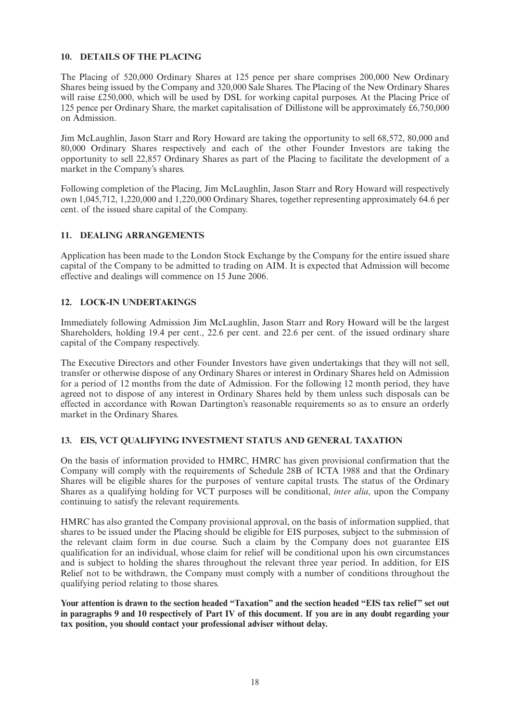### **10. DETAILS OF THE PLACING**

The Placing of 520,000 Ordinary Shares at 125 pence per share comprises 200,000 New Ordinary Shares being issued by the Company and 320,000 Sale Shares. The Placing of the New Ordinary Shares will raise £250,000, which will be used by DSL for working capital purposes. At the Placing Price of 125 pence per Ordinary Share, the market capitalisation of Dillistone will be approximately £6,750,000 on Admission.

Jim McLaughlin, Jason Starr and Rory Howard are taking the opportunity to sell 68,572, 80,000 and 80,000 Ordinary Shares respectively and each of the other Founder Investors are taking the opportunity to sell 22,857 Ordinary Shares as part of the Placing to facilitate the development of a market in the Company's shares.

Following completion of the Placing, Jim McLaughlin, Jason Starr and Rory Howard will respectively own 1,045,712, 1,220,000 and 1,220,000 Ordinary Shares, together representing approximately 64.6 per cent. of the issued share capital of the Company.

### **11. DEALING ARRANGEMENTS**

Application has been made to the London Stock Exchange by the Company for the entire issued share capital of the Company to be admitted to trading on AIM. It is expected that Admission will become effective and dealings will commence on 15 June 2006.

### **12. LOCK-IN UNDERTAKINGS**

Immediately following Admission Jim McLaughlin, Jason Starr and Rory Howard will be the largest Shareholders, holding 19.4 per cent., 22.6 per cent. and 22.6 per cent. of the issued ordinary share capital of the Company respectively.

The Executive Directors and other Founder Investors have given undertakings that they will not sell, transfer or otherwise dispose of any Ordinary Shares or interest in Ordinary Shares held on Admission for a period of 12 months from the date of Admission. For the following 12 month period, they have agreed not to dispose of any interest in Ordinary Shares held by them unless such disposals can be effected in accordance with Rowan Dartington's reasonable requirements so as to ensure an orderly market in the Ordinary Shares.

### **13. EIS, VCT QUALIFYING INVESTMENT STATUS AND GENERAL TAXATION**

On the basis of information provided to HMRC, HMRC has given provisional confirmation that the Company will comply with the requirements of Schedule 28B of ICTA 1988 and that the Ordinary Shares will be eligible shares for the purposes of venture capital trusts. The status of the Ordinary Shares as a qualifying holding for VCT purposes will be conditional, *inter alia*, upon the Company continuing to satisfy the relevant requirements.

HMRC has also granted the Company provisional approval, on the basis of information supplied, that shares to be issued under the Placing should be eligible for EIS purposes, subject to the submission of the relevant claim form in due course. Such a claim by the Company does not guarantee EIS qualification for an individual, whose claim for relief will be conditional upon his own circumstances and is subject to holding the shares throughout the relevant three year period. In addition, for EIS Relief not to be withdrawn, the Company must comply with a number of conditions throughout the qualifying period relating to those shares.

**Your attention is drawn to the section headed "Taxation" and the section headed "EIS tax relief" set out in paragraphs 9 and 10 respectively of Part IV of this document. If you are in any doubt regarding your tax position, you should contact your professional adviser without delay.**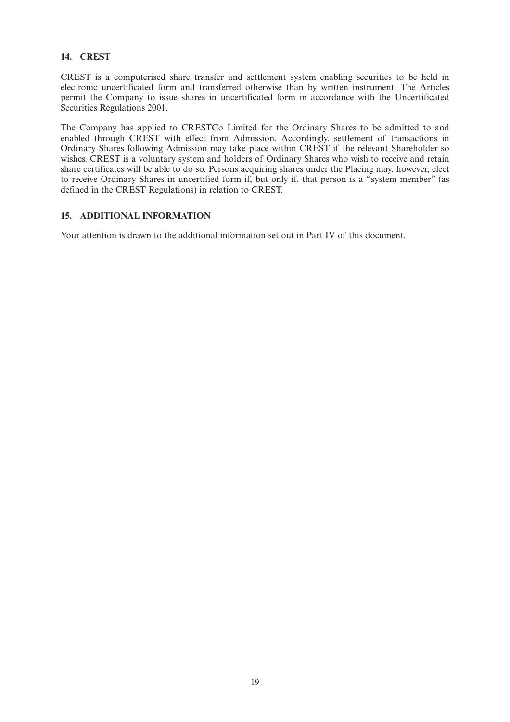### **14. CREST**

CREST is a computerised share transfer and settlement system enabling securities to be held in electronic uncertificated form and transferred otherwise than by written instrument. The Articles permit the Company to issue shares in uncertificated form in accordance with the Uncertificated Securities Regulations 2001.

The Company has applied to CRESTCo Limited for the Ordinary Shares to be admitted to and enabled through CREST with effect from Admission. Accordingly, settlement of transactions in Ordinary Shares following Admission may take place within CREST if the relevant Shareholder so wishes. CREST is a voluntary system and holders of Ordinary Shares who wish to receive and retain share certificates will be able to do so. Persons acquiring shares under the Placing may, however, elect to receive Ordinary Shares in uncertified form if, but only if, that person is a "system member" (as defined in the CREST Regulations) in relation to CREST.

### **15. ADDITIONAL INFORMATION**

Your attention is drawn to the additional information set out in Part IV of this document.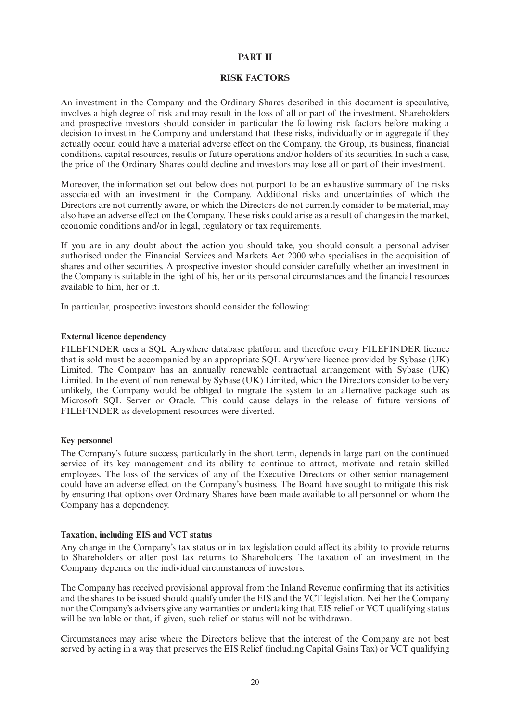### **PART II**

### **RISK FACTORS**

An investment in the Company and the Ordinary Shares described in this document is speculative, involves a high degree of risk and may result in the loss of all or part of the investment. Shareholders and prospective investors should consider in particular the following risk factors before making a decision to invest in the Company and understand that these risks, individually or in aggregate if they actually occur, could have a material adverse effect on the Company, the Group, its business, financial conditions, capital resources, results or future operations and/or holders of its securities. In such a case, the price of the Ordinary Shares could decline and investors may lose all or part of their investment.

Moreover, the information set out below does not purport to be an exhaustive summary of the risks associated with an investment in the Company. Additional risks and uncertainties of which the Directors are not currently aware, or which the Directors do not currently consider to be material, may also have an adverse effect on the Company. These risks could arise as a result of changes in the market, economic conditions and/or in legal, regulatory or tax requirements.

If you are in any doubt about the action you should take, you should consult a personal adviser authorised under the Financial Services and Markets Act 2000 who specialises in the acquisition of shares and other securities. A prospective investor should consider carefully whether an investment in the Company is suitable in the light of his, her or its personal circumstances and the financial resources available to him, her or it.

In particular, prospective investors should consider the following:

### **External licence dependency**

FILEFINDER uses a SQL Anywhere database platform and therefore every FILEFINDER licence that is sold must be accompanied by an appropriate SQL Anywhere licence provided by Sybase (UK) Limited. The Company has an annually renewable contractual arrangement with Sybase (UK) Limited. In the event of non renewal by Sybase (UK) Limited, which the Directors consider to be very unlikely, the Company would be obliged to migrate the system to an alternative package such as Microsoft SQL Server or Oracle. This could cause delays in the release of future versions of FILEFINDER as development resources were diverted.

### **Key personnel**

The Company's future success, particularly in the short term, depends in large part on the continued service of its key management and its ability to continue to attract, motivate and retain skilled employees. The loss of the services of any of the Executive Directors or other senior management could have an adverse effect on the Company's business. The Board have sought to mitigate this risk by ensuring that options over Ordinary Shares have been made available to all personnel on whom the Company has a dependency.

### **Taxation, including EIS and VCT status**

Any change in the Company's tax status or in tax legislation could affect its ability to provide returns to Shareholders or alter post tax returns to Shareholders. The taxation of an investment in the Company depends on the individual circumstances of investors.

The Company has received provisional approval from the Inland Revenue confirming that its activities and the shares to be issued should qualify under the EIS and the VCT legislation. Neither the Company nor the Company's advisers give any warranties or undertaking that EIS relief or VCT qualifying status will be available or that, if given, such relief or status will not be withdrawn.

Circumstances may arise where the Directors believe that the interest of the Company are not best served by acting in a way that preserves the EIS Relief (including Capital Gains Tax) or VCT qualifying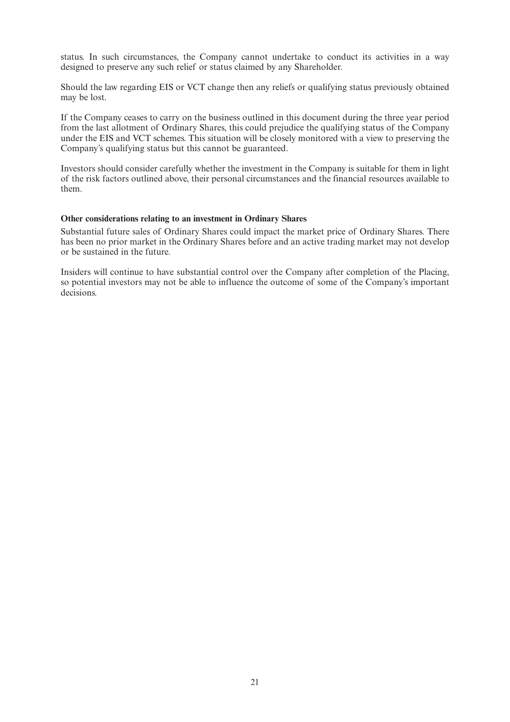status. In such circumstances, the Company cannot undertake to conduct its activities in a way designed to preserve any such relief or status claimed by any Shareholder.

Should the law regarding EIS or VCT change then any reliefs or qualifying status previously obtained may be lost.

If the Company ceases to carry on the business outlined in this document during the three year period from the last allotment of Ordinary Shares, this could prejudice the qualifying status of the Company under the EIS and VCT schemes. This situation will be closely monitored with a view to preserving the Company's qualifying status but this cannot be guaranteed.

Investors should consider carefully whether the investment in the Company is suitable for them in light of the risk factors outlined above, their personal circumstances and the financial resources available to them.

#### **Other considerations relating to an investment in Ordinary Shares**

Substantial future sales of Ordinary Shares could impact the market price of Ordinary Shares. There has been no prior market in the Ordinary Shares before and an active trading market may not develop or be sustained in the future.

Insiders will continue to have substantial control over the Company after completion of the Placing, so potential investors may not be able to influence the outcome of some of the Company's important decisions.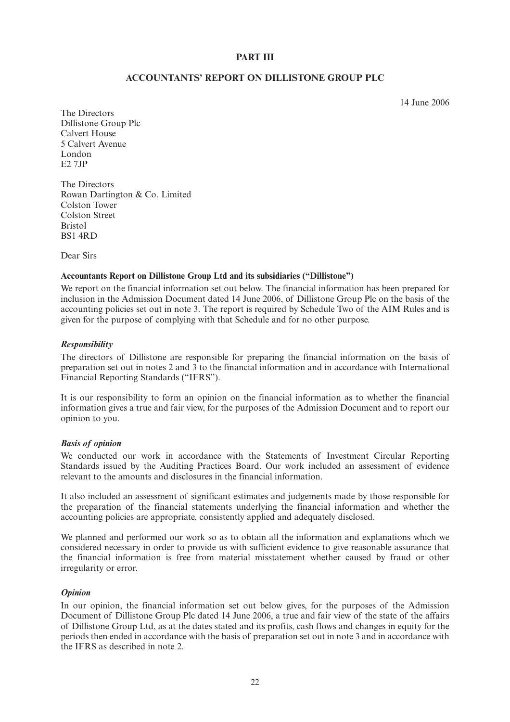### **PART III**

### **ACCOUNTANTS' REPORT ON DILLISTONE GROUP PLC**

14 June 2006

The Directors Dillistone Group Plc Calvert House 5 Calvert Avenue London E2 7JP

The Directors Rowan Dartington & Co. Limited Colston Tower Colston Street Bristol BS1 4RD

Dear Sirs

### **Accountants Report on Dillistone Group Ltd and its subsidiaries ("Dillistone")**

We report on the financial information set out below. The financial information has been prepared for inclusion in the Admission Document dated 14 June 2006, of Dillistone Group Plc on the basis of the accounting policies set out in note 3. The report is required by Schedule Two of the AIM Rules and is given for the purpose of complying with that Schedule and for no other purpose.

### *Responsibility*

The directors of Dillistone are responsible for preparing the financial information on the basis of preparation set out in notes 2 and 3 to the financial information and in accordance with International Financial Reporting Standards ("IFRS").

It is our responsibility to form an opinion on the financial information as to whether the financial information gives a true and fair view, for the purposes of the Admission Document and to report our opinion to you.

#### *Basis of opinion*

We conducted our work in accordance with the Statements of Investment Circular Reporting Standards issued by the Auditing Practices Board. Our work included an assessment of evidence relevant to the amounts and disclosures in the financial information.

It also included an assessment of significant estimates and judgements made by those responsible for the preparation of the financial statements underlying the financial information and whether the accounting policies are appropriate, consistently applied and adequately disclosed.

We planned and performed our work so as to obtain all the information and explanations which we considered necessary in order to provide us with sufficient evidence to give reasonable assurance that the financial information is free from material misstatement whether caused by fraud or other irregularity or error.

### *Opinion*

In our opinion, the financial information set out below gives, for the purposes of the Admission Document of Dillistone Group Plc dated 14 June 2006, a true and fair view of the state of the affairs of Dillistone Group Ltd, as at the dates stated and its profits, cash flows and changes in equity for the periods then ended in accordance with the basis of preparation set out in note 3 and in accordance with the IFRS as described in note 2.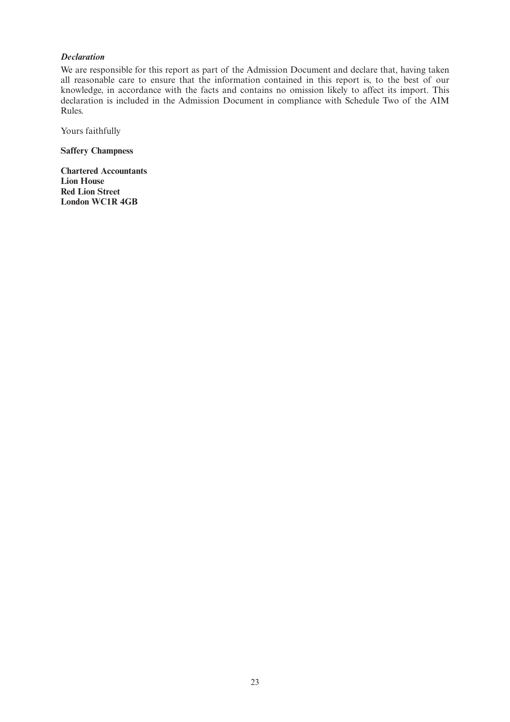### *Declaration*

We are responsible for this report as part of the Admission Document and declare that, having taken all reasonable care to ensure that the information contained in this report is, to the best of our knowledge, in accordance with the facts and contains no omission likely to affect its import. This declaration is included in the Admission Document in compliance with Schedule Two of the AIM Rules.

Yours faithfully

**Saffery Champness** 

**Chartered Accountants Lion House Red Lion Street London WC1R 4GB**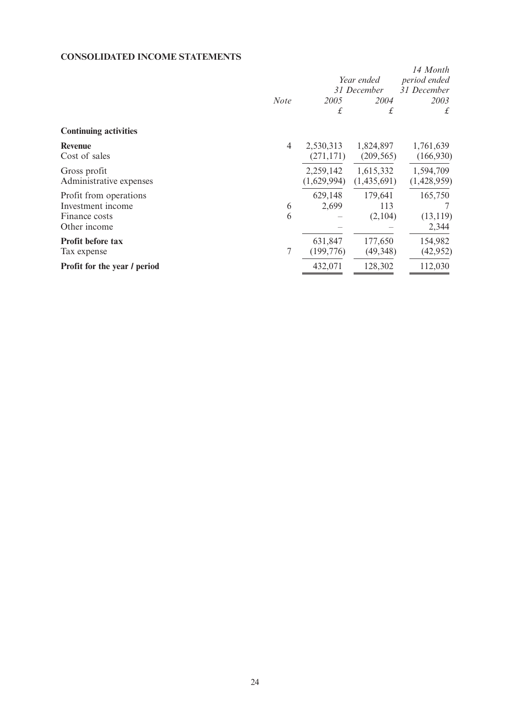## **CONSOLIDATED INCOME STATEMENTS**

|                                                                              | <b>Note</b> | 2005<br>£                | Year ended<br>31 December<br>2004<br>£ | 14 Month<br>period ended<br>31 December<br>2003<br>£ |
|------------------------------------------------------------------------------|-------------|--------------------------|----------------------------------------|------------------------------------------------------|
| <b>Continuing activities</b>                                                 |             |                          |                                        |                                                      |
| <b>Revenue</b><br>Cost of sales                                              | 4           | 2,530,313<br>(271, 171)  | 1,824,897<br>(209, 565)                | 1,761,639<br>(166,930)                               |
| Gross profit<br>Administrative expenses                                      |             | 2,259,142<br>(1,629,994) | 1,615,332<br>(1,435,691)               | 1,594,709<br>(1,428,959)                             |
| Profit from operations<br>Investment income<br>Finance costs<br>Other income | 6<br>6      | 629,148<br>2,699         | 179,641<br>113<br>(2,104)              | 165,750<br>(13, 119)<br>2,344                        |
| <b>Profit before tax</b><br>Tax expense                                      | $\tau$      | 631,847<br>(199, 776)    | 177,650<br>(49, 348)                   | 154,982<br>(42, 952)                                 |
| <b>Profit for the year / period</b>                                          |             | 432,071                  | 128,302                                | 112,030                                              |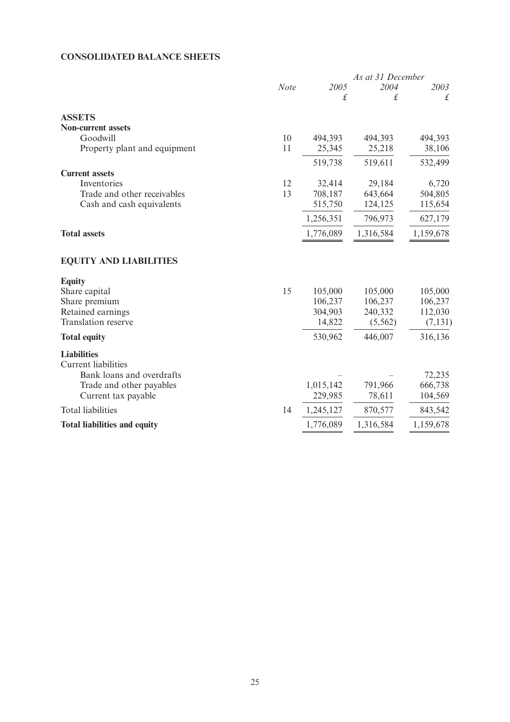## **CONSOLIDATED BALANCE SHEETS**

|                                     |             |           | As at 31 December |               |
|-------------------------------------|-------------|-----------|-------------------|---------------|
|                                     | <b>Note</b> | 2005      | 2004              | 2003          |
|                                     |             | $\pounds$ | £                 | $\mathcal{L}$ |
| <b>ASSETS</b>                       |             |           |                   |               |
| <b>Non-current assets</b>           |             |           |                   |               |
| Goodwill                            | 10          | 494,393   | 494,393           | 494,393       |
| Property plant and equipment        | 11          | 25,345    | 25,218            | 38,106        |
|                                     |             | 519,738   | 519,611           | 532,499       |
| <b>Current assets</b>               |             |           |                   |               |
| Inventories                         | 12          | 32,414    | 29,184            | 6,720         |
| Trade and other receivables         | 13          | 708,187   | 643,664           | 504,805       |
| Cash and cash equivalents           |             | 515,750   | 124,125           | 115,654       |
|                                     |             | 1,256,351 | 796,973           | 627,179       |
| <b>Total assets</b>                 |             | 1,776,089 | 1,316,584         | 1,159,678     |
| <b>EQUITY AND LIABILITIES</b>       |             |           |                   |               |
| <b>Equity</b>                       |             |           |                   |               |
| Share capital                       | 15          | 105,000   | 105,000           | 105,000       |
| Share premium                       |             | 106,237   | 106,237           | 106,237       |
| Retained earnings                   |             | 304,903   | 240,332           | 112,030       |
| Translation reserve                 |             | 14,822    | (5, 562)          | (7, 131)      |
| <b>Total equity</b>                 |             | 530,962   | 446,007           | 316,136       |
| <b>Liabilities</b>                  |             |           |                   |               |
| <b>Current</b> liabilities          |             |           |                   |               |
| Bank loans and overdrafts           |             |           |                   | 72,235        |
| Trade and other payables            |             | 1,015,142 | 791,966           | 666,738       |
| Current tax payable                 |             | 229,985   | 78,611            | 104,569       |
| <b>Total liabilities</b>            | 14          | 1,245,127 | 870,577           | 843,542       |
| <b>Total liabilities and equity</b> |             | 1,776,089 | 1,316,584         | 1,159,678     |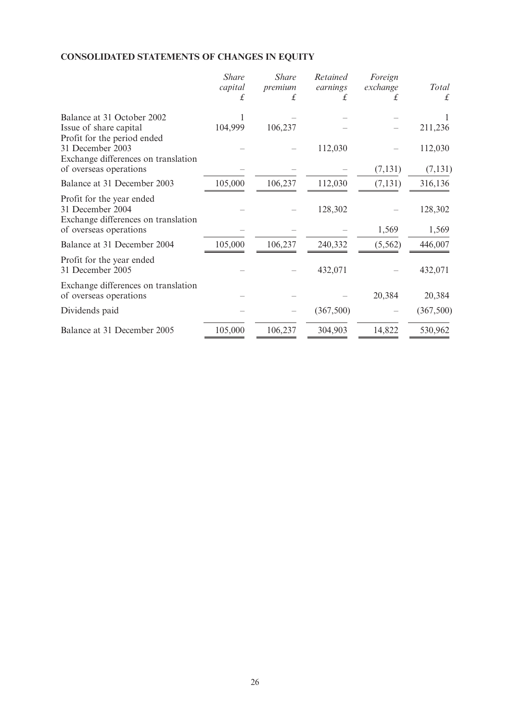## **CONSOLIDATED STATEMENTS OF CHANGES IN EQUITY**

|                                                                                                                | <b>Share</b><br>capital | <b>Share</b><br>premium<br>£ | Retained<br>earnings<br>£ | Foreign<br>exchange<br>£ | <b>Total</b><br>£ |
|----------------------------------------------------------------------------------------------------------------|-------------------------|------------------------------|---------------------------|--------------------------|-------------------|
| Balance at 31 October 2002                                                                                     |                         |                              |                           |                          |                   |
| Issue of share capital                                                                                         | 104,999                 | 106,237                      |                           |                          | 211,236           |
| Profit for the period ended<br>31 December 2003<br>Exchange differences on translation                         |                         |                              | 112,030                   |                          | 112,030           |
| of overseas operations                                                                                         |                         |                              |                           | (7, 131)                 | (7, 131)          |
| Balance at 31 December 2003                                                                                    | 105,000                 | 106,237                      | 112,030                   | (7, 131)                 | 316,136           |
| Profit for the year ended<br>31 December 2004<br>Exchange differences on translation<br>of overseas operations |                         |                              | 128,302                   | 1,569                    | 128,302<br>1,569  |
| Balance at 31 December 2004                                                                                    | 105,000                 | 106,237                      | 240,332                   | (5, 562)                 | 446,007           |
| Profit for the year ended<br>31 December 2005                                                                  |                         |                              | 432,071                   |                          | 432,071           |
| Exchange differences on translation<br>of overseas operations                                                  |                         |                              |                           | 20,384                   | 20,384            |
| Dividends paid                                                                                                 |                         |                              | (367,500)                 |                          | (367,500)         |
| Balance at 31 December 2005                                                                                    | 105,000                 | 106,237                      | 304,903                   | 14,822                   | 530,962           |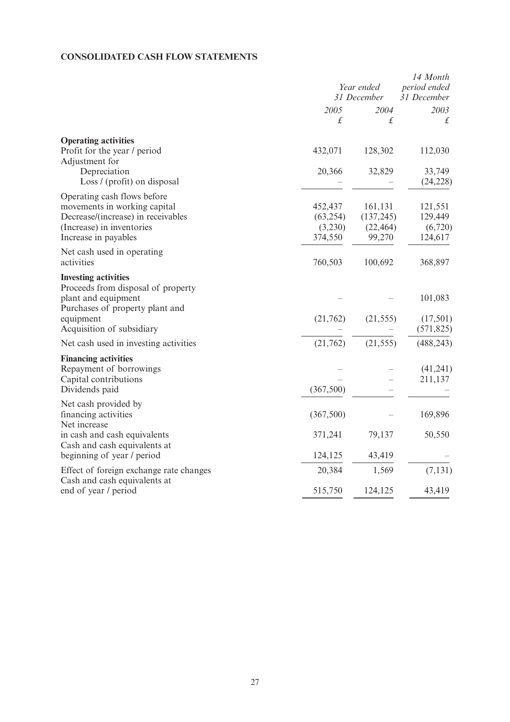### **CONSOLIDATED CASH FLOW STATEMENTS**

|                                                                                                                                                                                       | Year ended<br>31 December                  |                                              | 14 Month<br>period ended<br>31 December               |  |
|---------------------------------------------------------------------------------------------------------------------------------------------------------------------------------------|--------------------------------------------|----------------------------------------------|-------------------------------------------------------|--|
|                                                                                                                                                                                       | 2005<br>$\pounds$                          | 2004<br>£                                    | 2003<br>£                                             |  |
| <b>Operating activities</b><br>Profit for the year / period<br>Adjustment for<br>Depreciation                                                                                         | 432,071<br>20,366                          | 128,302<br>32,829                            | 112,030<br>33,749                                     |  |
| Loss / (profit) on disposal<br>Operating cash flows before<br>movements in working capital<br>Decrease/(increase) in receivables<br>(Increase) in inventories<br>Increase in payables | 452,437<br>(63, 254)<br>(3,230)<br>374,550 | 161,131<br>(137, 245)<br>(22, 464)<br>99,270 | (24, 228)<br>121,551<br>129,449<br>(6,720)<br>124,617 |  |
| Net cash used in operating<br>activities                                                                                                                                              | 760,503                                    | 100,692                                      | 368,897                                               |  |
| <b>Investing activities</b><br>Proceeds from disposal of property<br>plant and equipment<br>Purchases of property plant and<br>equipment<br>Acquisition of subsidiary                 | (21,762)                                   | (21, 555)                                    | 101,083<br>(17,501)<br>(571, 825)                     |  |
| Net cash used in investing activities                                                                                                                                                 | (21,762)                                   | (21, 555)                                    | (488, 243)                                            |  |
| <b>Financing activities</b><br>Repayment of borrowings<br>Capital contributions<br>Dividends paid                                                                                     | (367,500)                                  |                                              | (41,241)<br>211,137                                   |  |
| Net cash provided by<br>financing activities<br>Net increase                                                                                                                          | (367,500)                                  |                                              | 169,896                                               |  |
| in cash and cash equivalents<br>Cash and cash equivalents at<br>beginning of year / period                                                                                            | 371,241<br>124,125                         | 79,137<br>43,419                             | 50,550                                                |  |
| Effect of foreign exchange rate changes                                                                                                                                               | 20,384                                     | 1,569                                        | (7, 131)                                              |  |
| Cash and cash equivalents at<br>end of year / period                                                                                                                                  | 515,750                                    | 124,125                                      | 43,419                                                |  |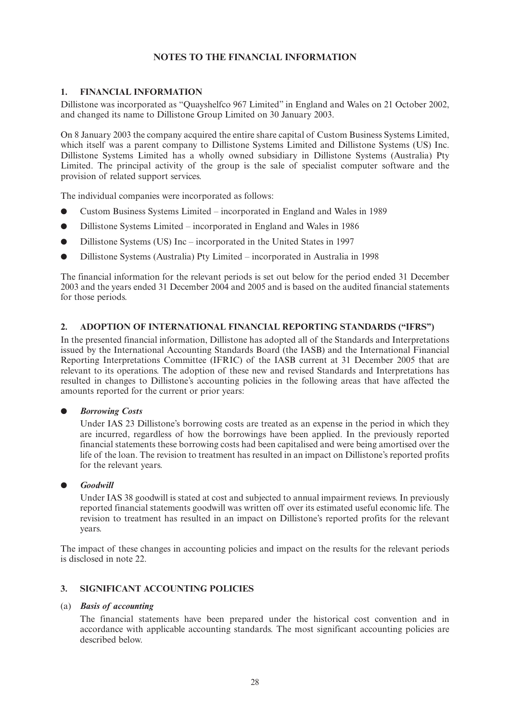### **NOTES TO THE FINANCIAL INFORMATION**

### **1. FINANCIAL INFORMATION**

Dillistone was incorporated as "Quayshelfco 967 Limited" in England and Wales on 21 October 2002, and changed its name to Dillistone Group Limited on 30 January 2003.

On 8 January 2003 the company acquired the entire share capital of Custom Business Systems Limited, which itself was a parent company to Dillistone Systems Limited and Dillistone Systems (US) Inc. Dillistone Systems Limited has a wholly owned subsidiary in Dillistone Systems (Australia) Pty Limited. The principal activity of the group is the sale of specialist computer software and the provision of related support services.

The individual companies were incorporated as follows:

- Custom Business Systems Limited incorporated in England and Wales in 1989
- Dillistone Systems Limited incorporated in England and Wales in 1986
- Dillistone Systems (US) Inc incorporated in the United States in 1997
- Dillistone Systems (Australia) Pty Limited incorporated in Australia in 1998

The financial information for the relevant periods is set out below for the period ended 31 December 2003 and the years ended 31 December 2004 and 2005 and is based on the audited financial statements for those periods.

### **2. ADOPTION OF INTERNATIONAL FINANCIAL REPORTING STANDARDS ("IFRS")**

In the presented financial information, Dillistone has adopted all of the Standards and Interpretations issued by the International Accounting Standards Board (the IASB) and the International Financial Reporting Interpretations Committee (IFRIC) of the IASB current at 31 December 2005 that are relevant to its operations. The adoption of these new and revised Standards and Interpretations has resulted in changes to Dillistone's accounting policies in the following areas that have affected the amounts reported for the current or prior years:

### ● *Borrowing Costs*

Under IAS 23 Dillistone's borrowing costs are treated as an expense in the period in which they are incurred, regardless of how the borrowings have been applied. In the previously reported financial statements these borrowing costs had been capitalised and were being amortised over the life of the loan. The revision to treatment has resulted in an impact on Dillistone's reported profits for the relevant years.

### ● *Goodwill*

Under IAS 38 goodwill is stated at cost and subjected to annual impairment reviews. In previously reported financial statements goodwill was written off over its estimated useful economic life. The revision to treatment has resulted in an impact on Dillistone's reported profits for the relevant years.

The impact of these changes in accounting policies and impact on the results for the relevant periods is disclosed in note 22.

### **3. SIGNIFICANT ACCOUNTING POLICIES**

### (a) *Basis of accounting*

The financial statements have been prepared under the historical cost convention and in accordance with applicable accounting standards. The most significant accounting policies are described below.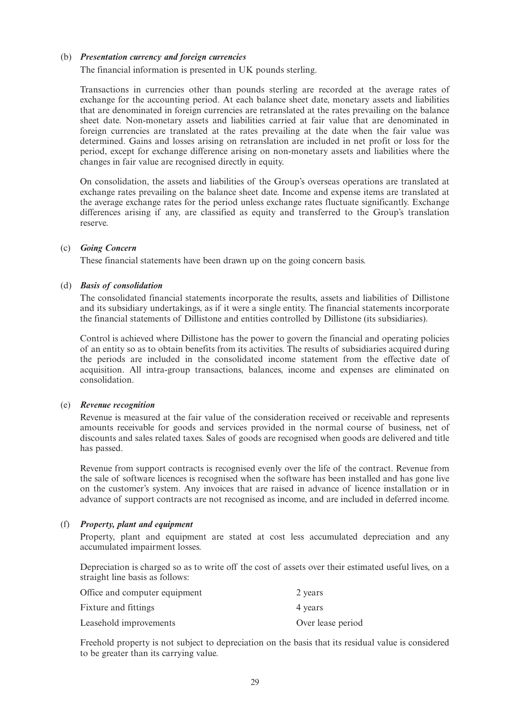### (b) *Presentation currency and foreign currencies*

The financial information is presented in UK pounds sterling.

Transactions in currencies other than pounds sterling are recorded at the average rates of exchange for the accounting period. At each balance sheet date, monetary assets and liabilities that are denominated in foreign currencies are retranslated at the rates prevailing on the balance sheet date. Non-monetary assets and liabilities carried at fair value that are denominated in foreign currencies are translated at the rates prevailing at the date when the fair value was determined. Gains and losses arising on retranslation are included in net profit or loss for the period, except for exchange difference arising on non-monetary assets and liabilities where the changes in fair value are recognised directly in equity.

On consolidation, the assets and liabilities of the Group's overseas operations are translated at exchange rates prevailing on the balance sheet date. Income and expense items are translated at the average exchange rates for the period unless exchange rates fluctuate significantly. Exchange differences arising if any, are classified as equity and transferred to the Group's translation reserve.

### (c) *Going Concern*

These financial statements have been drawn up on the going concern basis.

### (d) *Basis of consolidation*

The consolidated financial statements incorporate the results, assets and liabilities of Dillistone and its subsidiary undertakings, as if it were a single entity. The financial statements incorporate the financial statements of Dillistone and entities controlled by Dillistone (its subsidiaries).

Control is achieved where Dillistone has the power to govern the financial and operating policies of an entity so as to obtain benefits from its activities. The results of subsidiaries acquired during the periods are included in the consolidated income statement from the effective date of acquisition. All intra-group transactions, balances, income and expenses are eliminated on consolidation.

### (e) *Revenue recognition*

Revenue is measured at the fair value of the consideration received or receivable and represents amounts receivable for goods and services provided in the normal course of business, net of discounts and sales related taxes. Sales of goods are recognised when goods are delivered and title has passed.

Revenue from support contracts is recognised evenly over the life of the contract. Revenue from the sale of software licences is recognised when the software has been installed and has gone live on the customer's system. Any invoices that are raised in advance of licence installation or in advance of support contracts are not recognised as income, and are included in deferred income.

### (f) *Property, plant and equipment*

Property, plant and equipment are stated at cost less accumulated depreciation and any accumulated impairment losses.

Depreciation is charged so as to write off the cost of assets over their estimated useful lives, on a straight line basis as follows:

| Office and computer equipment | 2 years           |
|-------------------------------|-------------------|
| Fixture and fittings          | 4 years           |
| Leasehold improvements        | Over lease period |

Freehold property is not subject to depreciation on the basis that its residual value is considered to be greater than its carrying value.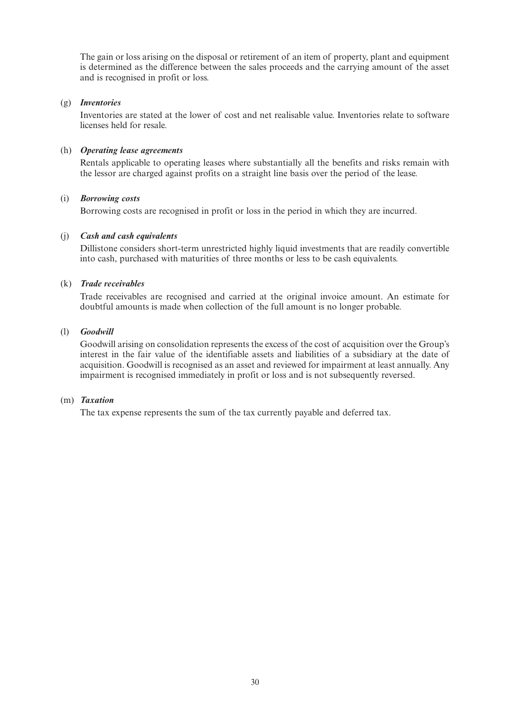The gain or loss arising on the disposal or retirement of an item of property, plant and equipment is determined as the difference between the sales proceeds and the carrying amount of the asset and is recognised in profit or loss.

### (g) *Inventories*

Inventories are stated at the lower of cost and net realisable value. Inventories relate to software licenses held for resale.

### (h) *Operating lease agreements*

Rentals applicable to operating leases where substantially all the benefits and risks remain with the lessor are charged against profits on a straight line basis over the period of the lease.

### (i) *Borrowing costs*

Borrowing costs are recognised in profit or loss in the period in which they are incurred.

### (j) *Cash and cash equivalents*

Dillistone considers short-term unrestricted highly liquid investments that are readily convertible into cash, purchased with maturities of three months or less to be cash equivalents.

### (k) *Trade receivables*

Trade receivables are recognised and carried at the original invoice amount. An estimate for doubtful amounts is made when collection of the full amount is no longer probable.

### (l) *Goodwill*

Goodwill arising on consolidation represents the excess of the cost of acquisition over the Group's interest in the fair value of the identifiable assets and liabilities of a subsidiary at the date of acquisition. Goodwill is recognised as an asset and reviewed for impairment at least annually. Any impairment is recognised immediately in profit or loss and is not subsequently reversed.

### (m) *Taxation*

The tax expense represents the sum of the tax currently payable and deferred tax.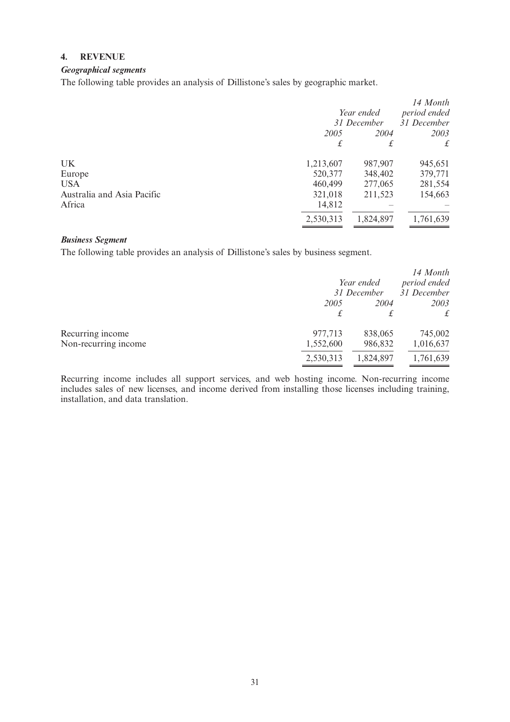### **4. REVENUE**

### *Geographical segments*

The following table provides an analysis of Dillistone's sales by geographic market.

|                            |             |            | 14 Month     |
|----------------------------|-------------|------------|--------------|
|                            |             | Year ended | period ended |
|                            | 31 December |            | 31 December  |
|                            | 2005        | 2004       | 2003         |
|                            | £           |            | £            |
| UK                         | 1,213,607   | 987,907    | 945,651      |
| Europe                     | 520,377     | 348,402    | 379,771      |
| <b>USA</b>                 | 460,499     | 277,065    | 281,554      |
| Australia and Asia Pacific | 321,018     | 211,523    | 154,663      |
| Africa                     | 14,812      |            |              |
|                            | 2,530,313   | 1,824,897  | 1,761,639    |

### *Business Segment*

The following table provides an analysis of Dillistone's sales by business segment.

|                      |           | Year ended<br>31 December | 14 Month<br>period ended<br>31 December |
|----------------------|-----------|---------------------------|-----------------------------------------|
|                      | 2005      | 2004                      | 2003<br>$f_{\cdot}$                     |
|                      | £         |                           |                                         |
| Recurring income     | 977,713   | 838,065                   | 745,002                                 |
| Non-recurring income | 1,552,600 | 986,832                   | 1,016,637                               |
|                      | 2,530,313 | 1,824,897                 | 1,761,639                               |

Recurring income includes all support services, and web hosting income. Non-recurring income includes sales of new licenses, and income derived from installing those licenses including training, installation, and data translation.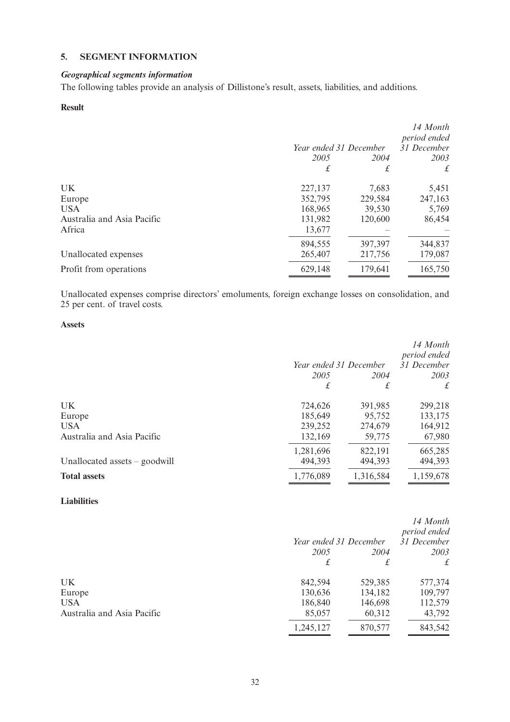### **5. SEGMENT INFORMATION**

### *Geographical segments information*

The following tables provide an analysis of Dillistone's result, assets, liabilities, and additions.

### **Result**

|                            |                        |         | 14 Month<br>period ended |
|----------------------------|------------------------|---------|--------------------------|
|                            | Year ended 31 December |         | 31 December              |
|                            | 2005                   | 2004    | 2003                     |
|                            | £                      | £       | £                        |
| UK                         | 227,137                | 7,683   | 5,451                    |
| Europe                     | 352,795                | 229,584 | 247,163                  |
| <b>USA</b>                 | 168,965                | 39,530  | 5,769                    |
| Australia and Asia Pacific | 131,982                | 120,600 | 86,454                   |
| Africa                     | 13,677                 |         |                          |
|                            | 894,555                | 397,397 | 344,837                  |
| Unallocated expenses       | 265,407                | 217,756 | 179,087                  |
| Profit from operations     | 629,148                | 179,641 | 165,750                  |

Unallocated expenses comprise directors' emoluments, foreign exchange losses on consolidation, and 25 per cent. of travel costs.

### **Assets**

|                               |                        |           | 14 Month     |
|-------------------------------|------------------------|-----------|--------------|
|                               |                        |           | period ended |
|                               | Year ended 31 December |           | 31 December  |
|                               | 2005                   | 2004      | 2003         |
|                               | £                      | £         | $\mathbf{f}$ |
| UK                            | 724,626                | 391,985   | 299,218      |
| Europe                        | 185,649                | 95,752    | 133,175      |
| <b>USA</b>                    | 239,252                | 274,679   | 164,912      |
| Australia and Asia Pacific    | 132,169                | 59,775    | 67,980       |
|                               | 1,281,696              | 822,191   | 665,285      |
| Unallocated assets – goodwill | 494,393                | 494,393   | 494,393      |
| <b>Total assets</b>           | 1,776,089              | 1,316,584 | 1,159,678    |

### **Liabilities**

|                            |                        |         | 14 Month<br>period ended |
|----------------------------|------------------------|---------|--------------------------|
|                            | Year ended 31 December |         | 31 December              |
|                            | 2005                   | 2004    | 2003                     |
|                            | £                      | £       | $f_{\mathcal{L}}$        |
| UK                         | 842,594                | 529,385 | 577,374                  |
| Europe                     | 130,636                | 134,182 | 109,797                  |
| <b>USA</b>                 | 186,840                | 146,698 | 112,579                  |
| Australia and Asia Pacific | 85,057                 | 60,312  | 43,792                   |
|                            | 1,245,127              | 870,577 | 843,542                  |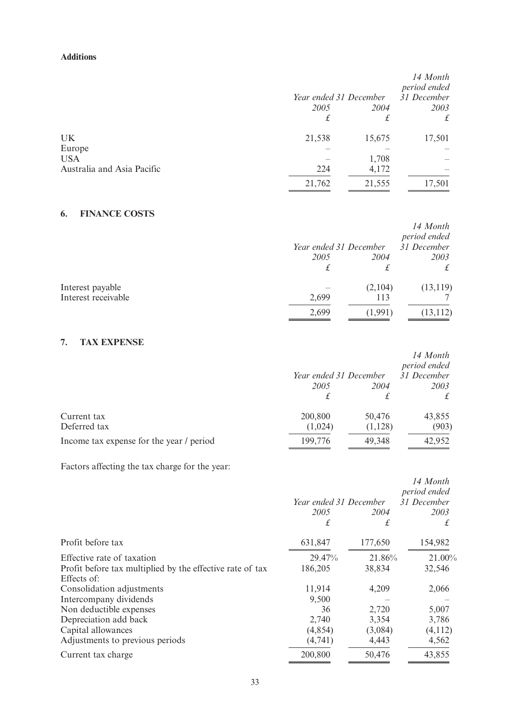### **Additions**

|                            |                        |        | 14 Month<br>period ended |
|----------------------------|------------------------|--------|--------------------------|
|                            | Year ended 31 December |        | 31 December              |
|                            | 2005                   | 2004   | 2003                     |
|                            | £                      | £      | £                        |
| UK.                        | 21,538                 | 15,675 | 17,501                   |
| Europe                     |                        |        |                          |
| <b>USA</b>                 |                        | 1,708  |                          |
| Australia and Asia Pacific | 224                    | 4,172  |                          |
|                            | 21,762                 | 21,555 | 17,501                   |

## **6. FINANCE COSTS**

|                     |       | Year ended 31 December | 14 Month<br>period ended<br>31 December |
|---------------------|-------|------------------------|-----------------------------------------|
|                     | 2005  | 2004                   | 2003                                    |
|                     |       | £                      |                                         |
| Interest payable    |       | (2,104)                | (13, 119)                               |
| Interest receivable | 2,699 | 113                    |                                         |
|                     | 2,699 | (1,991)                | (13, 112)                               |

### **7. TAX EXPENSE**

|                                          | Year ended 31 December |                   | 14 Month<br>period ended<br>31 December |
|------------------------------------------|------------------------|-------------------|-----------------------------------------|
|                                          | 2005                   | 2004              | 2003                                    |
| Current tax<br>Deferred tax              | 200,800<br>(1,024)     | 50,476<br>(1,128) | 43,855<br>(903)                         |
| Income tax expense for the year / period | 199,776                | 49,348            | 42,952                                  |

Factors affecting the tax charge for the year:

|                                                                          |                        |           | 14 Month<br>period ended |
|--------------------------------------------------------------------------|------------------------|-----------|--------------------------|
|                                                                          | Year ended 31 December |           | 31 December              |
|                                                                          | 2005<br>£              | 2004<br>£ | 2003<br>£                |
| Profit before tax                                                        | 631,847                | 177,650   | 154,982                  |
| Effective rate of taxation                                               | 29.47%                 | 21.86%    | 21.00%                   |
| Profit before tax multiplied by the effective rate of tax<br>Effects of: | 186,205                | 38,834    | 32,546                   |
| Consolidation adjustments                                                | 11,914                 | 4,209     | 2,066                    |
| Intercompany dividends                                                   | 9,500                  |           |                          |
| Non deductible expenses                                                  | 36                     | 2,720     | 5,007                    |
| Depreciation add back                                                    | 2,740                  | 3,354     | 3,786                    |
| Capital allowances                                                       | (4,854)                | (3,084)   | (4,112)                  |
| Adjustments to previous periods                                          | (4,741)                | 4,443     | 4,562                    |
| Current tax charge                                                       | 200,800                | 50,476    | 43,855                   |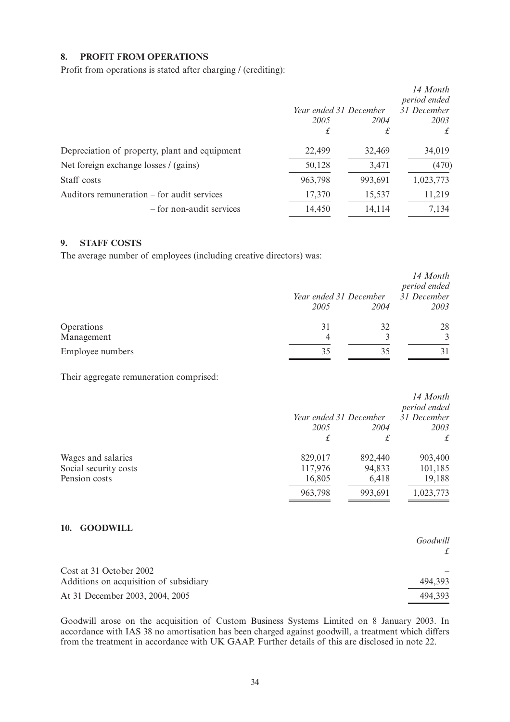### **8. PROFIT FROM OPERATIONS**

Profit from operations is stated after charging / (crediting):

|                                               |                        |         | 14 Month     |
|-----------------------------------------------|------------------------|---------|--------------|
|                                               |                        |         | period ended |
|                                               | Year ended 31 December |         | 31 December  |
|                                               | 2005                   | 2004    | 2003         |
|                                               | £                      | £       | £            |
| Depreciation of property, plant and equipment | 22,499                 | 32,469  | 34,019       |
| Net foreign exchange losses / (gains)         | 50,128                 | 3,471   | (470)        |
| Staff costs                                   | 963,798                | 993,691 | 1,023,773    |
| Auditors remuneration – for audit services    | 17,370                 | 15,537  | 11,219       |
| – for non-audit services                      | 14,450                 | 14,114  | 7,134        |
|                                               |                        |         |              |

### **9. STAFF COSTS**

The average number of employees (including creative directors) was:

|                          |         | Year ended 31 December | 14 Month<br>period ended<br>31 December |
|--------------------------|---------|------------------------|-----------------------------------------|
|                          | 2005    | 2004                   | 2003                                    |
| Operations<br>Management | 31<br>4 | 32                     | 28                                      |
| Employee numbers         | 35      |                        |                                         |

Their aggregate remuneration comprised:

|                       | Year ended 31 December |         | 14 Month<br>period ended<br>31 December |
|-----------------------|------------------------|---------|-----------------------------------------|
|                       | 2005                   | 2004    | 2003                                    |
|                       |                        | £       | £                                       |
| Wages and salaries    | 829,017                | 892,440 | 903,400                                 |
| Social security costs | 117,976                | 94,833  | 101,185                                 |
| Pension costs         | 16,805                 | 6,418   | 19,188                                  |
|                       | 963,798                | 993,691 | 1,023,773                               |

### **10. GOODWILL**

|                                        | Goodwill |
|----------------------------------------|----------|
|                                        |          |
| Cost at 31 October 2002                |          |
| Additions on acquisition of subsidiary | 494.393  |
| At 31 December 2003, 2004, 2005        | 494,393  |

Goodwill arose on the acquisition of Custom Business Systems Limited on 8 January 2003. In accordance with IAS 38 no amortisation has been charged against goodwill, a treatment which differs from the treatment in accordance with UK GAAP. Further details of this are disclosed in note 22.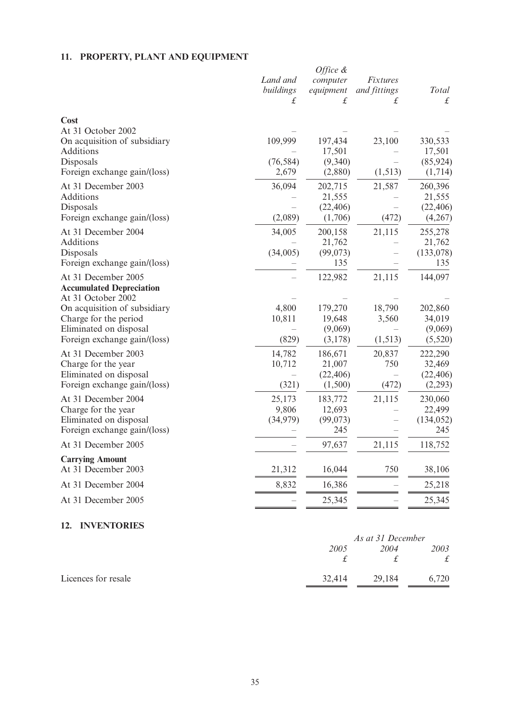## **11. PROPERTY, PLANT AND EQUIPMENT**

|                                                                              | Land and<br>buildings<br>£ | Office $\&$<br>computer<br>equipment<br>£ | Fixtures<br>and fittings<br>£ | <b>Total</b><br>£    |
|------------------------------------------------------------------------------|----------------------------|-------------------------------------------|-------------------------------|----------------------|
| Cost                                                                         |                            |                                           |                               |                      |
| At 31 October 2002                                                           |                            |                                           |                               |                      |
| On acquisition of subsidiary                                                 | 109,999                    | 197,434                                   | 23,100                        | 330,533              |
| Additions<br>Disposals                                                       | (76, 584)                  | 17,501                                    |                               | 17,501               |
| Foreign exchange gain/(loss)                                                 | 2,679                      | (9,340)<br>(2,880)                        | (1, 513)                      | (85, 924)<br>(1,714) |
| At 31 December 2003                                                          | 36,094                     | 202,715                                   |                               | 260,396              |
| Additions                                                                    |                            | 21,555                                    | 21,587                        | 21,555               |
| Disposals                                                                    |                            | (22, 406)                                 |                               | (22, 406)            |
| Foreign exchange gain/(loss)                                                 | (2,089)                    | (1,706)                                   | (472)                         | (4,267)              |
| At 31 December 2004                                                          | 34,005                     | 200,158                                   | 21,115                        | 255,278              |
| Additions                                                                    |                            | 21,762                                    |                               | 21,762               |
| Disposals                                                                    | (34,005)                   | (99,073)                                  |                               | (133,078)            |
| Foreign exchange gain/(loss)                                                 |                            | 135                                       |                               | 135                  |
| At 31 December 2005<br><b>Accumulated Depreciation</b><br>At 31 October 2002 |                            | 122,982                                   | 21,115                        | 144,097              |
| On acquisition of subsidiary                                                 | 4,800                      | 179,270                                   | 18,790                        | 202,860              |
| Charge for the period                                                        | 10,811                     | 19,648                                    | 3,560                         | 34,019               |
| Eliminated on disposal                                                       |                            | (9,069)                                   |                               | (9,069)              |
| Foreign exchange gain/(loss)                                                 | (829)                      | (3,178)                                   | (1, 513)                      | (5,520)              |
| At 31 December 2003                                                          | 14,782                     | 186,671                                   | 20,837                        | 222,290              |
| Charge for the year                                                          | 10,712                     | 21,007                                    | 750                           | 32,469               |
| Eliminated on disposal                                                       |                            | (22, 406)                                 |                               | (22, 406)            |
| Foreign exchange gain/(loss)                                                 | (321)                      | (1,500)                                   | (472)                         | (2,293)              |
| At 31 December 2004                                                          | 25,173                     | 183,772                                   | 21,115                        | 230,060              |
| Charge for the year                                                          | 9,806                      | 12,693                                    |                               | 22,499               |
| Eliminated on disposal<br>Foreign exchange gain/(loss)                       | (34,979)                   | (99,073)<br>245                           |                               | (134, 052)<br>245    |
|                                                                              |                            |                                           |                               |                      |
| At 31 December 2005                                                          |                            | 97,637                                    | 21,115                        | 118,752              |
| <b>Carrying Amount</b><br>At 31 December 2003                                | 21,312                     | 16,044                                    | 750                           | 38,106               |
| At 31 December 2004                                                          | 8,832                      | 16,386                                    |                               | 25,218               |
| At 31 December 2005                                                          |                            | 25,345                                    |                               | 25,345               |
|                                                                              |                            |                                           |                               |                      |

## **12. INVENTORIES**

|                     |        | As at 31 December |       |  |
|---------------------|--------|-------------------|-------|--|
|                     | 2005   | 2004              | 2003  |  |
|                     |        |                   | £     |  |
| Licences for resale | 32.414 | 29,184            | 6.720 |  |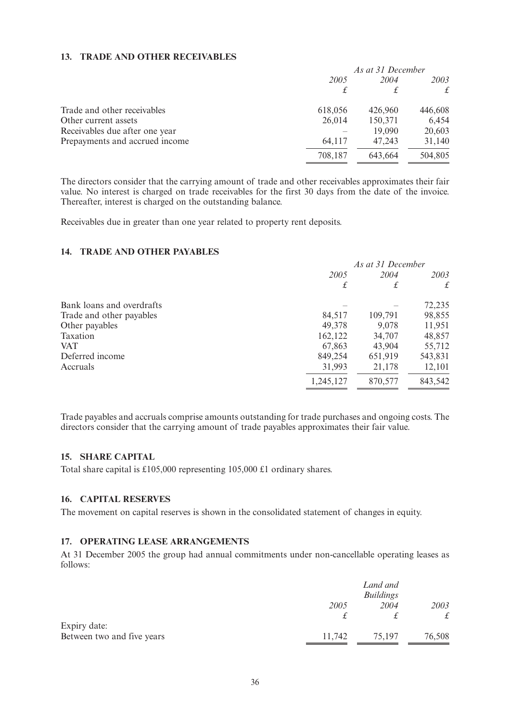### **13. TRADE AND OTHER RECEIVABLES**

|                                | As at 31 December |         |         |  |
|--------------------------------|-------------------|---------|---------|--|
|                                | 2005              |         | 2003    |  |
|                                | £                 |         | £       |  |
| Trade and other receivables    | 618,056           | 426,960 | 446,608 |  |
| Other current assets           | 26,014            | 150,371 | 6,454   |  |
| Receivables due after one year |                   | 19,090  | 20,603  |  |
| Prepayments and accrued income | 64.117            | 47,243  | 31,140  |  |
|                                | 708,187           | 643,664 | 504,805 |  |

The directors consider that the carrying amount of trade and other receivables approximates their fair value. No interest is charged on trade receivables for the first 30 days from the date of the invoice. Thereafter, interest is charged on the outstanding balance.

Receivables due in greater than one year related to property rent deposits.

### **14. TRADE AND OTHER PAYABLES**

|                           | As at 31 December |         |         |  |
|---------------------------|-------------------|---------|---------|--|
|                           | 2005              | 2004    | 2003    |  |
|                           | £                 | £       | £       |  |
| Bank loans and overdrafts |                   |         | 72,235  |  |
| Trade and other payables  | 84,517            | 109,791 | 98,855  |  |
| Other payables            | 49,378            | 9,078   | 11,951  |  |
| Taxation                  | 162,122           | 34,707  | 48,857  |  |
| <b>VAT</b>                | 67,863            | 43,904  | 55,712  |  |
| Deferred income           | 849,254           | 651,919 | 543,831 |  |
| Accruals                  | 31,993            | 21,178  | 12,101  |  |
|                           | 1,245,127         | 870,577 | 843,542 |  |

Trade payables and accruals comprise amounts outstanding for trade purchases and ongoing costs. The directors consider that the carrying amount of trade payables approximates their fair value.

### **15. SHARE CAPITAL**

Total share capital is £105,000 representing 105,000 £1 ordinary shares.

### **16. CAPITAL RESERVES**

The movement on capital reserves is shown in the consolidated statement of changes in equity.

### **17. OPERATING LEASE ARRANGEMENTS**

At 31 December 2005 the group had annual commitments under non-cancellable operating leases as follows:

|                            |        | Land and<br><b>Buildings</b> |           |
|----------------------------|--------|------------------------------|-----------|
|                            | 2005   | 2004                         | 2003      |
|                            |        |                              | $\pounds$ |
| Expiry date:               |        |                              |           |
| Between two and five years | 11.742 | 75,197                       | 76,508    |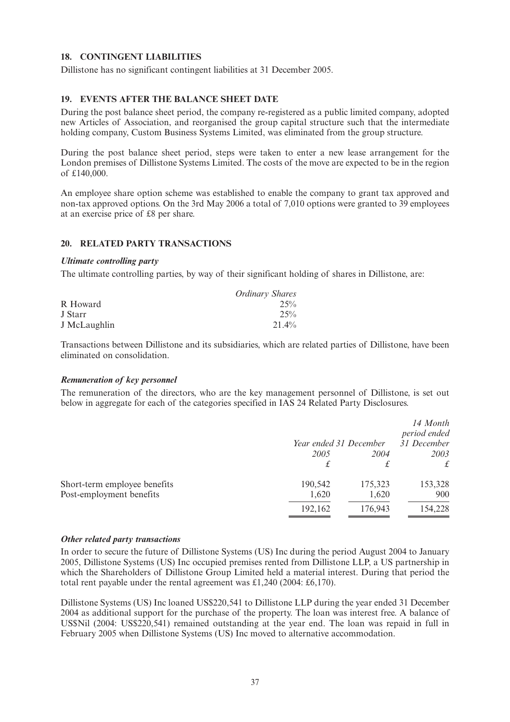### **18. CONTINGENT LIABILITIES**

Dillistone has no significant contingent liabilities at 31 December 2005.

### **19. EVENTS AFTER THE BALANCE SHEET DATE**

During the post balance sheet period, the company re-registered as a public limited company, adopted new Articles of Association, and reorganised the group capital structure such that the intermediate holding company, Custom Business Systems Limited, was eliminated from the group structure.

During the post balance sheet period, steps were taken to enter a new lease arrangement for the London premises of Dillistone Systems Limited. The costs of the move are expected to be in the region of £140,000.

An employee share option scheme was established to enable the company to grant tax approved and non-tax approved options. On the 3rd May 2006 a total of 7,010 options were granted to 39 employees at an exercise price of £8 per share.

### **20. RELATED PARTY TRANSACTIONS**

### *Ultimate controlling party*

The ultimate controlling parties, by way of their significant holding of shares in Dillistone, are:

|              | <b>Ordinary Shares</b> |
|--------------|------------------------|
| R Howard     | 25%                    |
| J Starr      | 25%                    |
| J McLaughlin | $21.4\%$               |

Transactions between Dillistone and its subsidiaries, which are related parties of Dillistone, have been eliminated on consolidation.

### *Remuneration of key personnel*

The remuneration of the directors, who are the key management personnel of Dillistone, is set out below in aggregate for each of the categories specified in IAS 24 Related Party Disclosures.

|                              | Year ended 31 December |         | 14 Month<br>period ended<br>31 December |
|------------------------------|------------------------|---------|-----------------------------------------|
|                              | 2005                   | 2004    | 2003                                    |
|                              |                        | £       | $\mathbf{f}$                            |
| Short-term employee benefits | 190,542                | 175,323 | 153,328                                 |
| Post-employment benefits     | 1,620                  | 1,620   | 900                                     |
|                              | 192,162                | 176,943 | 154,228                                 |

#### *Other related party transactions*

In order to secure the future of Dillistone Systems (US) Inc during the period August 2004 to January 2005, Dillistone Systems (US) Inc occupied premises rented from Dillistone LLP, a US partnership in which the Shareholders of Dillistone Group Limited held a material interest. During that period the total rent payable under the rental agreement was £1,240 (2004: £6,170).

Dillistone Systems (US) Inc loaned US\$220,541 to Dillistone LLP during the year ended 31 December 2004 as additional support for the purchase of the property. The loan was interest free. A balance of US\$Nil (2004: US\$220,541) remained outstanding at the year end. The loan was repaid in full in February 2005 when Dillistone Systems (US) Inc moved to alternative accommodation.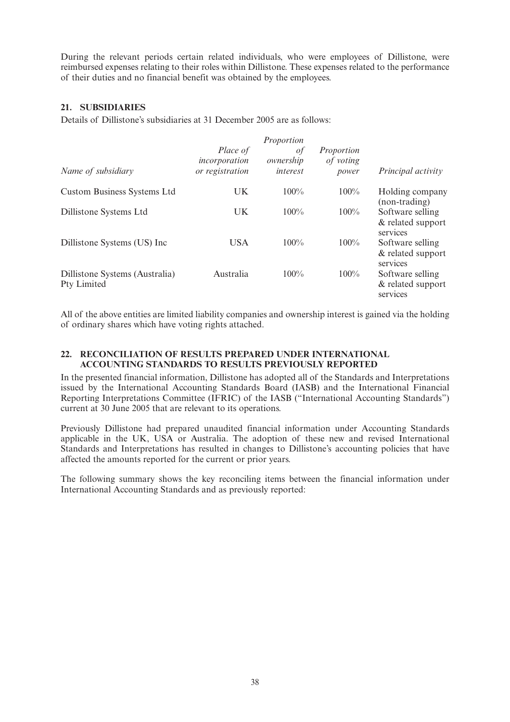During the relevant periods certain related individuals, who were employees of Dillistone, were reimbursed expenses relating to their roles within Dillistone. These expenses related to the performance of their duties and no financial benefit was obtained by the employees.

### **21. SUBSIDIARIES**

Details of Dillistone's subsidiaries at 31 December 2005 are as follows:

|                                               |                                              | Proportion                  |                                  |                                                   |
|-----------------------------------------------|----------------------------------------------|-----------------------------|----------------------------------|---------------------------------------------------|
| Name of subsidiary                            | Place of<br>incorporation<br>or registration | οf<br>ownership<br>interest | Proportion<br>of voting<br>power | Principal activity                                |
| <b>Custom Business Systems Ltd</b>            | UK                                           | $100\%$                     | $100\%$                          | Holding company<br>(non-trading)                  |
| Dillistone Systems Ltd                        | UK                                           | $100\%$                     | $100\%$                          | Software selling<br>& related support<br>services |
| Dillistone Systems (US) Inc                   | <b>USA</b>                                   | $100\%$                     | $100\%$                          | Software selling<br>& related support<br>services |
| Dillistone Systems (Australia)<br>Pty Limited | Australia                                    | 100%                        | $100\%$                          | Software selling<br>& related support<br>services |

All of the above entities are limited liability companies and ownership interest is gained via the holding of ordinary shares which have voting rights attached.

### **22. RECONCILIATION OF RESULTS PREPARED UNDER INTERNATIONAL ACCOUNTING STANDARDS TO RESULTS PREVIOUSLY REPORTED**

In the presented financial information, Dillistone has adopted all of the Standards and Interpretations issued by the International Accounting Standards Board (IASB) and the International Financial Reporting Interpretations Committee (IFRIC) of the IASB ("International Accounting Standards") current at 30 June 2005 that are relevant to its operations.

Previously Dillistone had prepared unaudited financial information under Accounting Standards applicable in the UK, USA or Australia. The adoption of these new and revised International Standards and Interpretations has resulted in changes to Dillistone's accounting policies that have affected the amounts reported for the current or prior years.

The following summary shows the key reconciling items between the financial information under International Accounting Standards and as previously reported: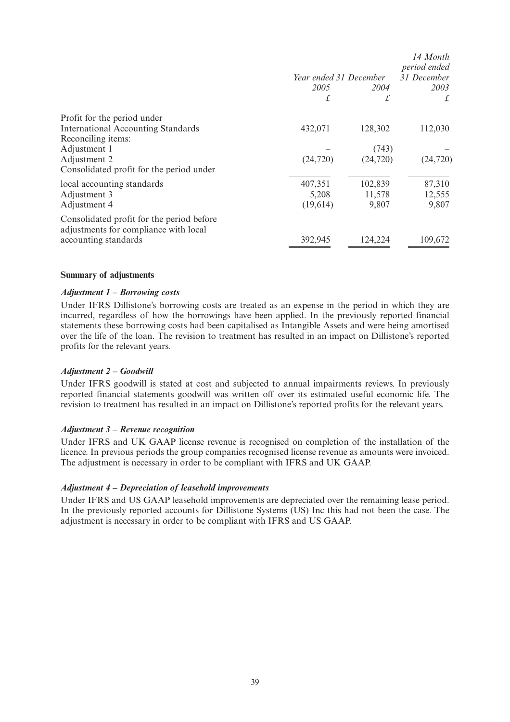|                                                                                    |                        |           | 14 Month<br>period ended |
|------------------------------------------------------------------------------------|------------------------|-----------|--------------------------|
|                                                                                    | Year ended 31 December |           | 31 December              |
|                                                                                    | 2005                   | 2004      | 2003                     |
|                                                                                    | £                      | £         | £                        |
| Profit for the period under                                                        |                        |           |                          |
| <b>International Accounting Standards</b>                                          | 432,071                | 128,302   | 112,030                  |
| Reconciling items:                                                                 |                        |           |                          |
| Adjustment 1                                                                       |                        | (743)     |                          |
| Adjustment 2                                                                       | (24, 720)              | (24, 720) | (24, 720)                |
| Consolidated profit for the period under                                           |                        |           |                          |
| local accounting standards                                                         | 407,351                | 102,839   | 87,310                   |
| Adjustment 3                                                                       | 5,208                  | 11,578    | 12,555                   |
| Adjustment 4                                                                       | (19,614)               | 9,807     | 9,807                    |
| Consolidated profit for the period before<br>adjustments for compliance with local |                        |           |                          |
| accounting standards                                                               | 392,945                | 124,224   | 109,672                  |

### **Summary of adjustments**

### *Adjustment 1 – Borrowing costs*

Under IFRS Dillistone's borrowing costs are treated as an expense in the period in which they are incurred, regardless of how the borrowings have been applied. In the previously reported financial statements these borrowing costs had been capitalised as Intangible Assets and were being amortised over the life of the loan. The revision to treatment has resulted in an impact on Dillistone's reported profits for the relevant years.

### *Adjustment 2 – Goodwill*

Under IFRS goodwill is stated at cost and subjected to annual impairments reviews. In previously reported financial statements goodwill was written off over its estimated useful economic life. The revision to treatment has resulted in an impact on Dillistone's reported profits for the relevant years.

### *Adjustment 3 – Revenue recognition*

Under IFRS and UK GAAP license revenue is recognised on completion of the installation of the licence. In previous periods the group companies recognised license revenue as amounts were invoiced. The adjustment is necessary in order to be compliant with IFRS and UK GAAP.

### *Adjustment 4 – Depreciation of leasehold improvements*

Under IFRS and US GAAP leasehold improvements are depreciated over the remaining lease period. In the previously reported accounts for Dillistone Systems (US) Inc this had not been the case. The adjustment is necessary in order to be compliant with IFRS and US GAAP.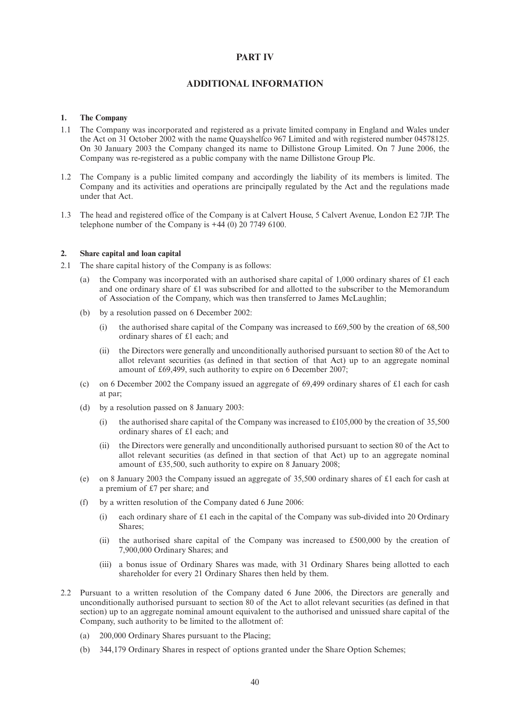#### **PART IV**

### **ADDITIONAL INFORMATION**

#### **1. The Company**

- 1.1 The Company was incorporated and registered as a private limited company in England and Wales under the Act on 31 October 2002 with the name Quayshelfco 967 Limited and with registered number 04578125. On 30 January 2003 the Company changed its name to Dillistone Group Limited. On 7 June 2006, the Company was re-registered as a public company with the name Dillistone Group Plc.
- 1.2 The Company is a public limited company and accordingly the liability of its members is limited. The Company and its activities and operations are principally regulated by the Act and the regulations made under that Act.
- 1.3 The head and registered office of the Company is at Calvert House, 5 Calvert Avenue, London E2 7JP. The telephone number of the Company is +44 (0) 20 7749 6100.

#### **2. Share capital and loan capital**

- 2.1 The share capital history of the Company is as follows:
	- (a) the Company was incorporated with an authorised share capital of 1,000 ordinary shares of £1 each and one ordinary share of £1 was subscribed for and allotted to the subscriber to the Memorandum of Association of the Company, which was then transferred to James McLaughlin;
	- (b) by a resolution passed on 6 December 2002:
		- (i) the authorised share capital of the Company was increased to  $\text{\pounds}69,500$  by the creation of 68,500 ordinary shares of £1 each; and
		- (ii) the Directors were generally and unconditionally authorised pursuant to section 80 of the Act to allot relevant securities (as defined in that section of that Act) up to an aggregate nominal amount of £69,499, such authority to expire on 6 December 2007;
	- (c) on 6 December 2002 the Company issued an aggregate of 69,499 ordinary shares of £1 each for cash at par;
	- (d) by a resolution passed on 8 January 2003:
		- (i) the authorised share capital of the Company was increased to  $\text{\pounds}105,000$  by the creation of 35,500 ordinary shares of £1 each; and
		- (ii) the Directors were generally and unconditionally authorised pursuant to section 80 of the Act to allot relevant securities (as defined in that section of that Act) up to an aggregate nominal amount of £35,500, such authority to expire on 8 January 2008;
	- (e) on 8 January 2003 the Company issued an aggregate of 35,500 ordinary shares of £1 each for cash at a premium of £7 per share; and
	- (f) by a written resolution of the Company dated 6 June 2006:
		- (i) each ordinary share of £1 each in the capital of the Company was sub-divided into 20 Ordinary Shares;
		- (ii) the authorised share capital of the Company was increased to £500,000 by the creation of 7,900,000 Ordinary Shares; and
		- (iii) a bonus issue of Ordinary Shares was made, with 31 Ordinary Shares being allotted to each shareholder for every 21 Ordinary Shares then held by them.
- 2.2 Pursuant to a written resolution of the Company dated 6 June 2006, the Directors are generally and unconditionally authorised pursuant to section 80 of the Act to allot relevant securities (as defined in that section) up to an aggregate nominal amount equivalent to the authorised and unissued share capital of the Company, such authority to be limited to the allotment of:
	- (a) 200,000 Ordinary Shares pursuant to the Placing;
	- (b) 344,179 Ordinary Shares in respect of options granted under the Share Option Schemes;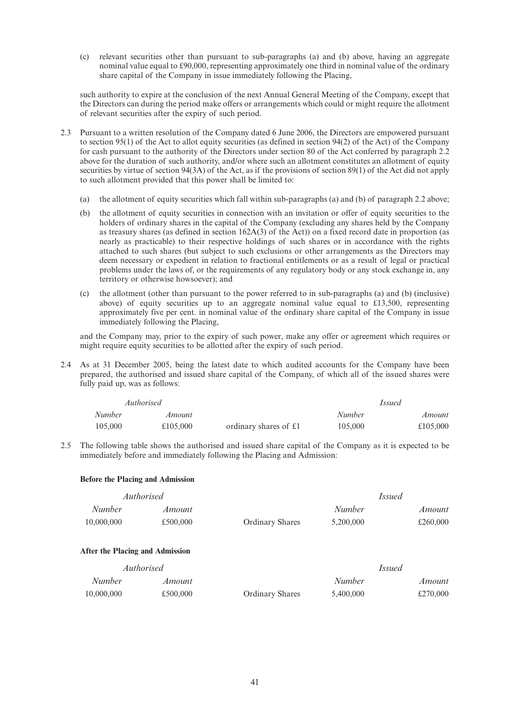(c) relevant securities other than pursuant to sub-paragraphs (a) and (b) above, having an aggregate nominal value equal to £90,000, representing approximately one third in nominal value of the ordinary share capital of the Company in issue immediately following the Placing,

such authority to expire at the conclusion of the next Annual General Meeting of the Company, except that the Directors can during the period make offers or arrangements which could or might require the allotment of relevant securities after the expiry of such period.

- 2.3 Pursuant to a written resolution of the Company dated 6 June 2006, the Directors are empowered pursuant to section 95(1) of the Act to allot equity securities (as defined in section 94(2) of the Act) of the Company for cash pursuant to the authority of the Directors under section 80 of the Act conferred by paragraph 2.2 above for the duration of such authority, and/or where such an allotment constitutes an allotment of equity securities by virtue of section 94(3A) of the Act, as if the provisions of section 89(1) of the Act did not apply to such allotment provided that this power shall be limited to:
	- (a) the allotment of equity securities which fall within sub-paragraphs (a) and (b) of paragraph 2.2 above;
	- (b) the allotment of equity securities in connection with an invitation or offer of equity securities to the holders of ordinary shares in the capital of the Company (excluding any shares held by the Company as treasury shares (as defined in section 162A(3) of the Act)) on a fixed record date in proportion (as nearly as practicable) to their respective holdings of such shares or in accordance with the rights attached to such shares (but subject to such exclusions or other arrangements as the Directors may deem necessary or expedient in relation to fractional entitlements or as a result of legal or practical problems under the laws of, or the requirements of any regulatory body or any stock exchange in, any territory or otherwise howsoever); and
	- (c) the allotment (other than pursuant to the power referred to in sub-paragraphs (a) and (b) (inclusive) above) of equity securities up to an aggregate nominal value equal to  $\pounds$ 13,500, representing approximately five per cent. in nominal value of the ordinary share capital of the Company in issue immediately following the Placing,

and the Company may, prior to the expiry of such power, make any offer or agreement which requires or might require equity securities to be allotted after the expiry of such period.

2.4 As at 31 December 2005, being the latest date to which audited accounts for the Company have been prepared, the authorised and issued share capital of the Company, of which all of the issued shares were fully paid up, was as follows:

|               | Authorised |                       |               | Issued   |
|---------------|------------|-----------------------|---------------|----------|
| <i>Number</i> | Amount     |                       | <i>Number</i> | Amount   |
| 105,000       | £105,000   | ordinary shares of £1 | 105,000       | £105,000 |

2.5 The following table shows the authorised and issued share capital of the Company as it is expected to be immediately before and immediately following the Placing and Admission:

#### **Before the Placing and Admission**

|               | Authorised |                        |           | <i>Issued</i> |
|---------------|------------|------------------------|-----------|---------------|
| <i>Number</i> | Amount     |                        | Number    | Amount        |
| 10,000,000    | £500,000   | <b>Ordinary Shares</b> | 5.200,000 | £260,000      |

#### **After the Placing and Admission**

| <i>Authorised</i> |          |                        | <i>Issued</i> |          |
|-------------------|----------|------------------------|---------------|----------|
| Number            | Amount   |                        | Number        | Amount   |
| 10,000,000        | £500,000 | <b>Ordinary Shares</b> | 5.400,000     | £270,000 |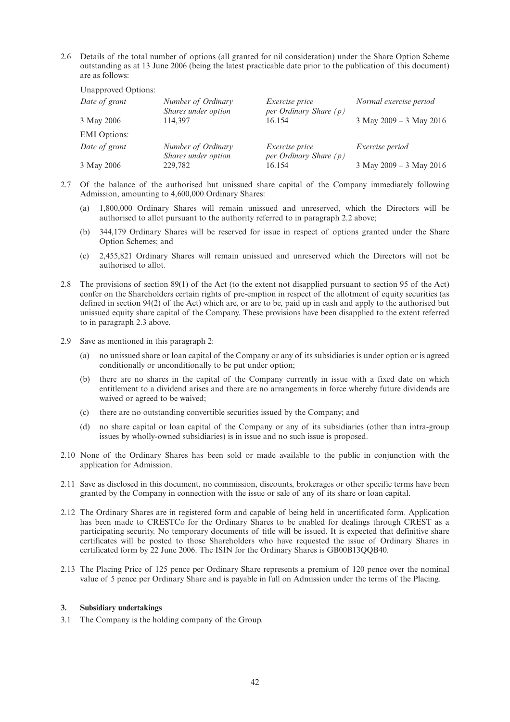2.6 Details of the total number of options (all granted for nil consideration) under the Share Option Scheme outstanding as at 13 June 2006 (being the latest practicable date prior to the publication of this document) are as follows:

| <b>Unapproved Options:</b> |                                           |                                                   |                         |
|----------------------------|-------------------------------------------|---------------------------------------------------|-------------------------|
| Date of grant              | Number of Ordinary<br>Shares under option | <i>Exercise price</i><br>per Ordinary Share $(p)$ | Normal exercise period  |
| 3 May 2006                 | 114.397                                   | 16.154                                            | 3 May 2009 - 3 May 2016 |
|                            |                                           |                                                   |                         |
| <b>EMI</b> Options:        |                                           |                                                   |                         |
| Date of grant              | Number of Ordinary<br>Shares under option | <i>Exercise price</i><br>per Ordinary Share $(p)$ | <i>Exercise period</i>  |
| 3 May 2006                 | 229,782                                   | 16.154                                            | 3 May 2009 – 3 May 2016 |

- 2.7 Of the balance of the authorised but unissued share capital of the Company immediately following Admission, amounting to 4,600,000 Ordinary Shares:
	- (a) 1,800,000 Ordinary Shares will remain unissued and unreserved, which the Directors will be authorised to allot pursuant to the authority referred to in paragraph 2.2 above;
	- (b) 344,179 Ordinary Shares will be reserved for issue in respect of options granted under the Share Option Schemes; and
	- (c) 2,455,821 Ordinary Shares will remain unissued and unreserved which the Directors will not be authorised to allot.
- 2.8 The provisions of section 89(1) of the Act (to the extent not disapplied pursuant to section 95 of the Act) confer on the Shareholders certain rights of pre-emption in respect of the allotment of equity securities (as defined in section 94(2) of the Act) which are, or are to be, paid up in cash and apply to the authorised but unissued equity share capital of the Company. These provisions have been disapplied to the extent referred to in paragraph 2.3 above.
- 2.9 Save as mentioned in this paragraph 2:
	- (a) no unissued share or loan capital of the Company or any of its subsidiaries is under option or is agreed conditionally or unconditionally to be put under option;
	- (b) there are no shares in the capital of the Company currently in issue with a fixed date on which entitlement to a dividend arises and there are no arrangements in force whereby future dividends are waived or agreed to be waived;
	- (c) there are no outstanding convertible securities issued by the Company; and
	- (d) no share capital or loan capital of the Company or any of its subsidiaries (other than intra-group issues by wholly-owned subsidiaries) is in issue and no such issue is proposed.
- 2.10 None of the Ordinary Shares has been sold or made available to the public in conjunction with the application for Admission.
- 2.11 Save as disclosed in this document, no commission, discounts, brokerages or other specific terms have been granted by the Company in connection with the issue or sale of any of its share or loan capital.
- 2.12 The Ordinary Shares are in registered form and capable of being held in uncertificated form. Application has been made to CRESTCo for the Ordinary Shares to be enabled for dealings through CREST as a participating security. No temporary documents of title will be issued. It is expected that definitive share certificates will be posted to those Shareholders who have requested the issue of Ordinary Shares in certificated form by 22 June 2006. The ISIN for the Ordinary Shares is GB00B13QQB40.
- 2.13 The Placing Price of 125 pence per Ordinary Share represents a premium of 120 pence over the nominal value of 5 pence per Ordinary Share and is payable in full on Admission under the terms of the Placing.

#### **3. Subsidiary undertakings**

3.1 The Company is the holding company of the Group.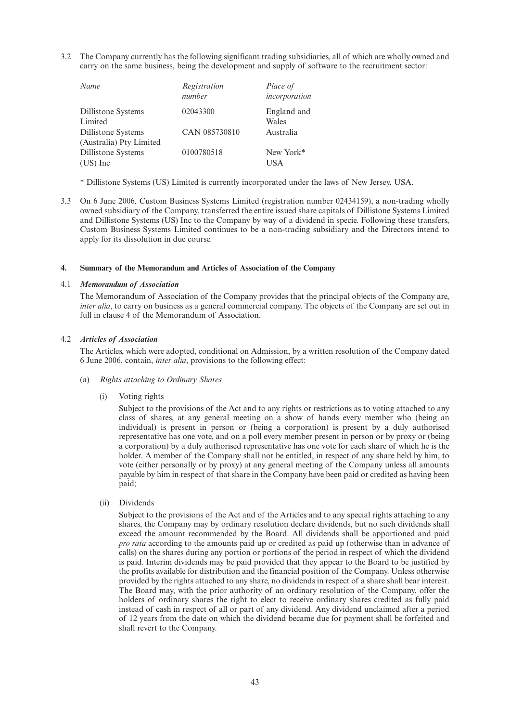3.2 The Company currently has the following significant trading subsidiaries, all of which are wholly owned and carry on the same business, being the development and supply of software to the recruitment sector:

| Name                      | Registration<br>number | Place of<br>incorporation |
|---------------------------|------------------------|---------------------------|
| Dillistone Systems        | 02043300               | England and               |
| Limited                   |                        | Wales                     |
| Dillistone Systems        | CAN 085730810          | Australia                 |
| (Australia) Pty Limited   |                        |                           |
| <b>Dillistone Systems</b> | 0100780518             | New York*                 |
| (US) Inc                  |                        | USA                       |

\* Dillistone Systems (US) Limited is currently incorporated under the laws of New Jersey, USA.

3.3 On 6 June 2006, Custom Business Systems Limited (registration number 02434159), a non-trading wholly owned subsidiary of the Company, transferred the entire issued share capitals of Dillistone Systems Limited and Dillistone Systems (US) Inc to the Company by way of a dividend in specie. Following these transfers, Custom Business Systems Limited continues to be a non-trading subsidiary and the Directors intend to apply for its dissolution in due course.

#### **4. Summary of the Memorandum and Articles of Association of the Company**

#### 4.1 *Memorandum of Association*

The Memorandum of Association of the Company provides that the principal objects of the Company are, *inter alia*, to carry on business as a general commercial company. The objects of the Company are set out in full in clause 4 of the Memorandum of Association.

#### 4.2 *Articles of Association*

The Articles, which were adopted, conditional on Admission, by a written resolution of the Company dated 6 June 2006, contain, *inter alia*, provisions to the following effect:

- (a) *Rights attaching to Ordinary Shares*
	- (i) Voting rights

Subject to the provisions of the Act and to any rights or restrictions as to voting attached to any class of shares, at any general meeting on a show of hands every member who (being an individual) is present in person or (being a corporation) is present by a duly authorised representative has one vote, and on a poll every member present in person or by proxy or (being a corporation) by a duly authorised representative has one vote for each share of which he is the holder. A member of the Company shall not be entitled, in respect of any share held by him, to vote (either personally or by proxy) at any general meeting of the Company unless all amounts payable by him in respect of that share in the Company have been paid or credited as having been paid;

#### (ii) Dividends

Subject to the provisions of the Act and of the Articles and to any special rights attaching to any shares, the Company may by ordinary resolution declare dividends, but no such dividends shall exceed the amount recommended by the Board. All dividends shall be apportioned and paid *pro rata* according to the amounts paid up or credited as paid up (otherwise than in advance of calls) on the shares during any portion or portions of the period in respect of which the dividend is paid. Interim dividends may be paid provided that they appear to the Board to be justified by the profits available for distribution and the financial position of the Company. Unless otherwise provided by the rights attached to any share, no dividends in respect of a share shall bear interest. The Board may, with the prior authority of an ordinary resolution of the Company, offer the holders of ordinary shares the right to elect to receive ordinary shares credited as fully paid instead of cash in respect of all or part of any dividend. Any dividend unclaimed after a period of 12 years from the date on which the dividend became due for payment shall be forfeited and shall revert to the Company.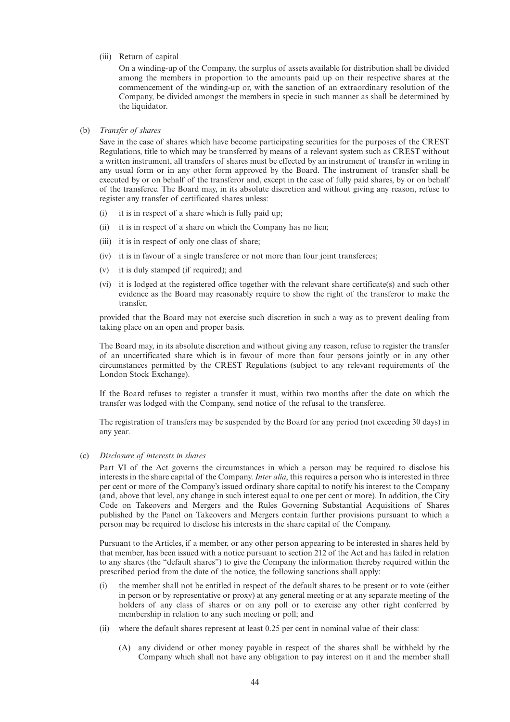(iii) Return of capital

On a winding-up of the Company, the surplus of assets available for distribution shall be divided among the members in proportion to the amounts paid up on their respective shares at the commencement of the winding-up or, with the sanction of an extraordinary resolution of the Company, be divided amongst the members in specie in such manner as shall be determined by the liquidator.

#### (b) *Transfer of shares*

Save in the case of shares which have become participating securities for the purposes of the CREST Regulations, title to which may be transferred by means of a relevant system such as CREST without a written instrument, all transfers of shares must be effected by an instrument of transfer in writing in any usual form or in any other form approved by the Board. The instrument of transfer shall be executed by or on behalf of the transferor and, except in the case of fully paid shares, by or on behalf of the transferee. The Board may, in its absolute discretion and without giving any reason, refuse to register any transfer of certificated shares unless:

- (i) it is in respect of a share which is fully paid up;
- (ii) it is in respect of a share on which the Company has no lien;
- (iii) it is in respect of only one class of share;
- (iv) it is in favour of a single transferee or not more than four joint transferees;
- (v) it is duly stamped (if required); and
- (vi) it is lodged at the registered office together with the relevant share certificate(s) and such other evidence as the Board may reasonably require to show the right of the transferor to make the transfer,

provided that the Board may not exercise such discretion in such a way as to prevent dealing from taking place on an open and proper basis.

The Board may, in its absolute discretion and without giving any reason, refuse to register the transfer of an uncertificated share which is in favour of more than four persons jointly or in any other circumstances permitted by the CREST Regulations (subject to any relevant requirements of the London Stock Exchange).

If the Board refuses to register a transfer it must, within two months after the date on which the transfer was lodged with the Company, send notice of the refusal to the transferee.

The registration of transfers may be suspended by the Board for any period (not exceeding 30 days) in any year.

(c) *Disclosure of interests in shares*

Part VI of the Act governs the circumstances in which a person may be required to disclose his interests in the share capital of the Company. *Inter alia*, this requires a person who is interested in three per cent or more of the Company's issued ordinary share capital to notify his interest to the Company (and, above that level, any change in such interest equal to one per cent or more). In addition, the City Code on Takeovers and Mergers and the Rules Governing Substantial Acquisitions of Shares published by the Panel on Takeovers and Mergers contain further provisions pursuant to which a person may be required to disclose his interests in the share capital of the Company.

Pursuant to the Articles, if a member, or any other person appearing to be interested in shares held by that member, has been issued with a notice pursuant to section 212 of the Act and has failed in relation to any shares (the "default shares") to give the Company the information thereby required within the prescribed period from the date of the notice, the following sanctions shall apply:

- (i) the member shall not be entitled in respect of the default shares to be present or to vote (either in person or by representative or proxy) at any general meeting or at any separate meeting of the holders of any class of shares or on any poll or to exercise any other right conferred by membership in relation to any such meeting or poll; and
- (ii) where the default shares represent at least 0.25 per cent in nominal value of their class:
	- (A) any dividend or other money payable in respect of the shares shall be withheld by the Company which shall not have any obligation to pay interest on it and the member shall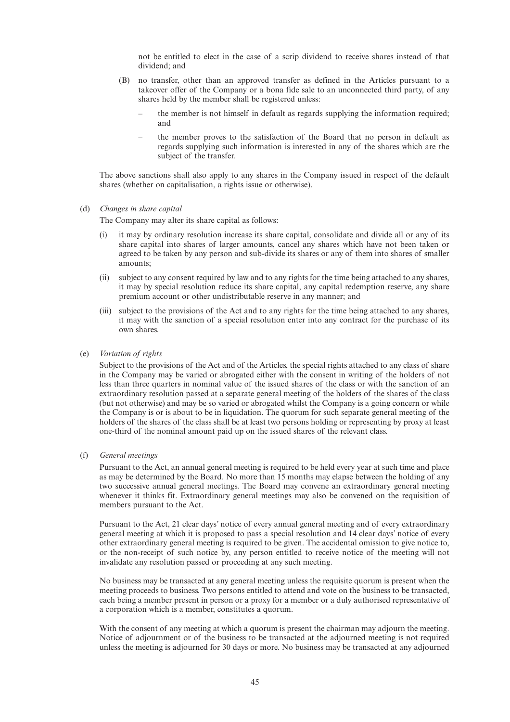not be entitled to elect in the case of a scrip dividend to receive shares instead of that dividend; and

- (B) no transfer, other than an approved transfer as defined in the Articles pursuant to a takeover offer of the Company or a bona fide sale to an unconnected third party, of any shares held by the member shall be registered unless:
	- the member is not himself in default as regards supplying the information required; and
	- the member proves to the satisfaction of the Board that no person in default as regards supplying such information is interested in any of the shares which are the subject of the transfer.

The above sanctions shall also apply to any shares in the Company issued in respect of the default shares (whether on capitalisation, a rights issue or otherwise).

#### (d) *Changes in share capital*

The Company may alter its share capital as follows:

- (i) it may by ordinary resolution increase its share capital, consolidate and divide all or any of its share capital into shares of larger amounts, cancel any shares which have not been taken or agreed to be taken by any person and sub-divide its shares or any of them into shares of smaller amounts;
- (ii) subject to any consent required by law and to any rights for the time being attached to any shares, it may by special resolution reduce its share capital, any capital redemption reserve, any share premium account or other undistributable reserve in any manner; and
- (iii) subject to the provisions of the Act and to any rights for the time being attached to any shares, it may with the sanction of a special resolution enter into any contract for the purchase of its own shares.
- (e) *Variation of rights*

Subject to the provisions of the Act and of the Articles, the special rights attached to any class of share in the Company may be varied or abrogated either with the consent in writing of the holders of not less than three quarters in nominal value of the issued shares of the class or with the sanction of an extraordinary resolution passed at a separate general meeting of the holders of the shares of the class (but not otherwise) and may be so varied or abrogated whilst the Company is a going concern or while the Company is or is about to be in liquidation. The quorum for such separate general meeting of the holders of the shares of the class shall be at least two persons holding or representing by proxy at least one-third of the nominal amount paid up on the issued shares of the relevant class.

(f) *General meetings*

Pursuant to the Act, an annual general meeting is required to be held every year at such time and place as may be determined by the Board. No more than 15 months may elapse between the holding of any two successive annual general meetings. The Board may convene an extraordinary general meeting whenever it thinks fit. Extraordinary general meetings may also be convened on the requisition of members pursuant to the Act.

Pursuant to the Act, 21 clear days' notice of every annual general meeting and of every extraordinary general meeting at which it is proposed to pass a special resolution and 14 clear days' notice of every other extraordinary general meeting is required to be given. The accidental omission to give notice to, or the non-receipt of such notice by, any person entitled to receive notice of the meeting will not invalidate any resolution passed or proceeding at any such meeting.

No business may be transacted at any general meeting unless the requisite quorum is present when the meeting proceeds to business. Two persons entitled to attend and vote on the business to be transacted, each being a member present in person or a proxy for a member or a duly authorised representative of a corporation which is a member, constitutes a quorum.

With the consent of any meeting at which a quorum is present the chairman may adjourn the meeting. Notice of adjournment or of the business to be transacted at the adjourned meeting is not required unless the meeting is adjourned for 30 days or more. No business may be transacted at any adjourned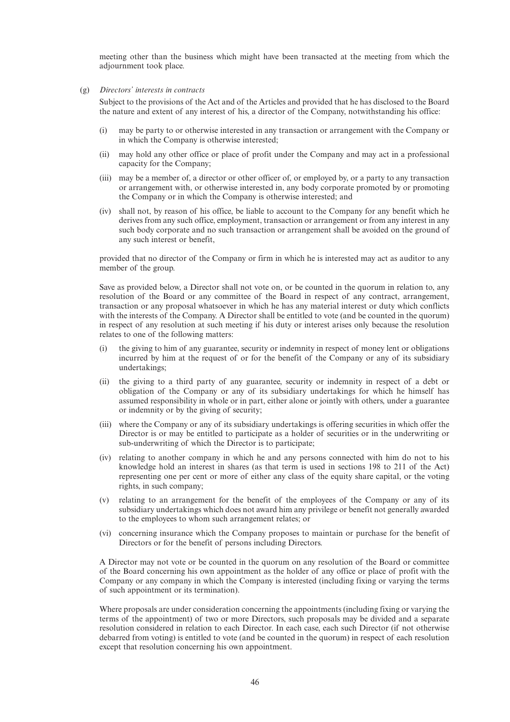meeting other than the business which might have been transacted at the meeting from which the adjournment took place.

(g) *Directors' interests in contracts*

Subject to the provisions of the Act and of the Articles and provided that he has disclosed to the Board the nature and extent of any interest of his, a director of the Company, notwithstanding his office:

- (i) may be party to or otherwise interested in any transaction or arrangement with the Company or in which the Company is otherwise interested;
- (ii) may hold any other office or place of profit under the Company and may act in a professional capacity for the Company;
- (iii) may be a member of, a director or other officer of, or employed by, or a party to any transaction or arrangement with, or otherwise interested in, any body corporate promoted by or promoting the Company or in which the Company is otherwise interested; and
- (iv) shall not, by reason of his office, be liable to account to the Company for any benefit which he derives from any such office, employment, transaction or arrangement or from any interest in any such body corporate and no such transaction or arrangement shall be avoided on the ground of any such interest or benefit,

provided that no director of the Company or firm in which he is interested may act as auditor to any member of the group.

Save as provided below, a Director shall not vote on, or be counted in the quorum in relation to, any resolution of the Board or any committee of the Board in respect of any contract, arrangement, transaction or any proposal whatsoever in which he has any material interest or duty which conflicts with the interests of the Company. A Director shall be entitled to vote (and be counted in the quorum) in respect of any resolution at such meeting if his duty or interest arises only because the resolution relates to one of the following matters:

- (i) the giving to him of any guarantee, security or indemnity in respect of money lent or obligations incurred by him at the request of or for the benefit of the Company or any of its subsidiary undertakings;
- (ii) the giving to a third party of any guarantee, security or indemnity in respect of a debt or obligation of the Company or any of its subsidiary undertakings for which he himself has assumed responsibility in whole or in part, either alone or jointly with others, under a guarantee or indemnity or by the giving of security;
- (iii) where the Company or any of its subsidiary undertakings is offering securities in which offer the Director is or may be entitled to participate as a holder of securities or in the underwriting or sub-underwriting of which the Director is to participate;
- (iv) relating to another company in which he and any persons connected with him do not to his knowledge hold an interest in shares (as that term is used in sections 198 to 211 of the Act) representing one per cent or more of either any class of the equity share capital, or the voting rights, in such company;
- (v) relating to an arrangement for the benefit of the employees of the Company or any of its subsidiary undertakings which does not award him any privilege or benefit not generally awarded to the employees to whom such arrangement relates; or
- (vi) concerning insurance which the Company proposes to maintain or purchase for the benefit of Directors or for the benefit of persons including Directors.

A Director may not vote or be counted in the quorum on any resolution of the Board or committee of the Board concerning his own appointment as the holder of any office or place of profit with the Company or any company in which the Company is interested (including fixing or varying the terms of such appointment or its termination).

Where proposals are under consideration concerning the appointments (including fixing or varying the terms of the appointment) of two or more Directors, such proposals may be divided and a separate resolution considered in relation to each Director. In each case, each such Director (if not otherwise debarred from voting) is entitled to vote (and be counted in the quorum) in respect of each resolution except that resolution concerning his own appointment.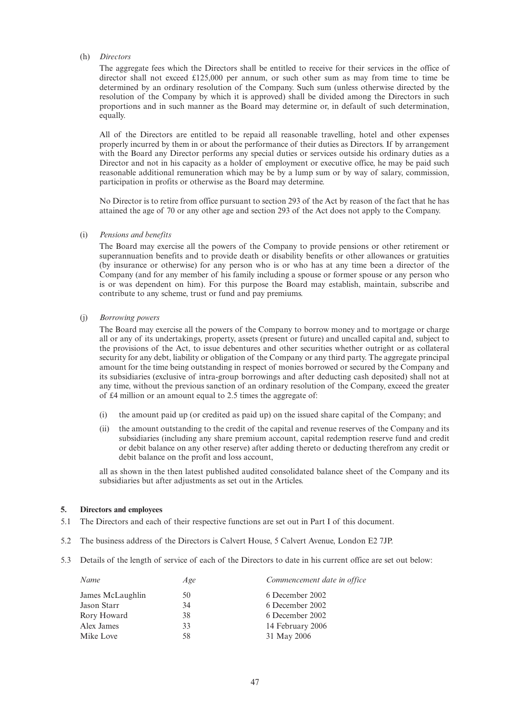#### (h) *Directors*

The aggregate fees which the Directors shall be entitled to receive for their services in the office of director shall not exceed £125,000 per annum, or such other sum as may from time to time be determined by an ordinary resolution of the Company. Such sum (unless otherwise directed by the resolution of the Company by which it is approved) shall be divided among the Directors in such proportions and in such manner as the Board may determine or, in default of such determination, equally.

All of the Directors are entitled to be repaid all reasonable travelling, hotel and other expenses properly incurred by them in or about the performance of their duties as Directors. If by arrangement with the Board any Director performs any special duties or services outside his ordinary duties as a Director and not in his capacity as a holder of employment or executive office, he may be paid such reasonable additional remuneration which may be by a lump sum or by way of salary, commission, participation in profits or otherwise as the Board may determine.

No Director is to retire from office pursuant to section 293 of the Act by reason of the fact that he has attained the age of 70 or any other age and section 293 of the Act does not apply to the Company.

#### (i) *Pensions and benefits*

The Board may exercise all the powers of the Company to provide pensions or other retirement or superannuation benefits and to provide death or disability benefits or other allowances or gratuities (by insurance or otherwise) for any person who is or who has at any time been a director of the Company (and for any member of his family including a spouse or former spouse or any person who is or was dependent on him). For this purpose the Board may establish, maintain, subscribe and contribute to any scheme, trust or fund and pay premiums.

#### (j) *Borrowing powers*

The Board may exercise all the powers of the Company to borrow money and to mortgage or charge all or any of its undertakings, property, assets (present or future) and uncalled capital and, subject to the provisions of the Act, to issue debentures and other securities whether outright or as collateral security for any debt, liability or obligation of the Company or any third party. The aggregate principal amount for the time being outstanding in respect of monies borrowed or secured by the Company and its subsidiaries (exclusive of intra-group borrowings and after deducting cash deposited) shall not at any time, without the previous sanction of an ordinary resolution of the Company, exceed the greater of £4 million or an amount equal to 2.5 times the aggregate of:

- (i) the amount paid up (or credited as paid up) on the issued share capital of the Company; and
- (ii) the amount outstanding to the credit of the capital and revenue reserves of the Company and its subsidiaries (including any share premium account, capital redemption reserve fund and credit or debit balance on any other reserve) after adding thereto or deducting therefrom any credit or debit balance on the profit and loss account,

all as shown in the then latest published audited consolidated balance sheet of the Company and its subsidiaries but after adjustments as set out in the Articles.

#### **5. Directors and employees**

- 5.1 The Directors and each of their respective functions are set out in Part I of this document.
- 5.2 The business address of the Directors is Calvert House, 5 Calvert Avenue, London E2 7JP.
- 5.3 Details of the length of service of each of the Directors to date in his current office are set out below:

| Name             | Age | Commencement date in office |
|------------------|-----|-----------------------------|
| James McLaughlin | 50  | 6 December 2002             |
| Jason Starr      | 34  | 6 December 2002             |
| Rory Howard      | 38  | 6 December 2002             |
| Alex James       | 33  | 14 February 2006            |
| Mike Love        | 58  | 31 May 2006                 |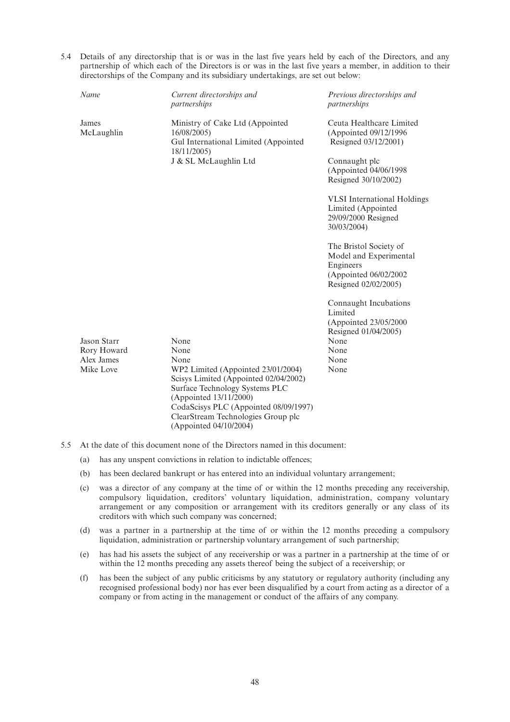5.4 Details of any directorship that is or was in the last five years held by each of the Directors, and any partnership of which each of the Directors is or was in the last five years a member, in addition to their directorships of the Company and its subsidiary undertakings, are set out below:

| Name                | Current directorships and<br>partnerships                                                                                                                                                                                                        | Previous directorships and<br>partnerships                                                                      |
|---------------------|--------------------------------------------------------------------------------------------------------------------------------------------------------------------------------------------------------------------------------------------------|-----------------------------------------------------------------------------------------------------------------|
| James<br>McLaughlin | Ministry of Cake Ltd (Appointed<br>16/08/2005)<br>Gul International Limited (Appointed<br>18/11/2005)                                                                                                                                            | Ceuta Healthcare Limited<br>(Appointed 09/12/1996<br>Resigned 03/12/2001)                                       |
|                     | J & SL McLaughlin Ltd                                                                                                                                                                                                                            | Connaught plc<br>(Appointed 04/06/1998<br>Resigned 30/10/2002)                                                  |
|                     |                                                                                                                                                                                                                                                  | <b>VLSI</b> International Holdings<br>Limited (Appointed<br>29/09/2000 Resigned<br>30/03/2004)                  |
|                     |                                                                                                                                                                                                                                                  | The Bristol Society of<br>Model and Experimental<br>Engineers<br>(Appointed 06/02/2002)<br>Resigned 02/02/2005) |
|                     |                                                                                                                                                                                                                                                  | Connaught Incubations<br>Limited<br>(Appointed 23/05/2000                                                       |
| Jason Starr         | None                                                                                                                                                                                                                                             | Resigned 01/04/2005)<br>None                                                                                    |
| Rory Howard         | None                                                                                                                                                                                                                                             | None                                                                                                            |
| Alex James          | None                                                                                                                                                                                                                                             | None                                                                                                            |
| Mike Love           | WP2 Limited (Appointed 23/01/2004)<br>Scisys Limited (Appointed 02/04/2002)<br>Surface Technology Systems PLC<br>(Appointed 13/11/2000)<br>CodaScisys PLC (Appointed 08/09/1997)<br>ClearStream Technologies Group plc<br>(Appointed 04/10/2004) | None                                                                                                            |

- 5.5 At the date of this document none of the Directors named in this document:
	- (a) has any unspent convictions in relation to indictable offences;
	- (b) has been declared bankrupt or has entered into an individual voluntary arrangement;
	- (c) was a director of any company at the time of or within the 12 months preceding any receivership, compulsory liquidation, creditors' voluntary liquidation, administration, company voluntary arrangement or any composition or arrangement with its creditors generally or any class of its creditors with which such company was concerned;
	- (d) was a partner in a partnership at the time of or within the 12 months preceding a compulsory liquidation, administration or partnership voluntary arrangement of such partnership;
	- (e) has had his assets the subject of any receivership or was a partner in a partnership at the time of or within the 12 months preceding any assets thereof being the subject of a receivership; or
	- (f) has been the subject of any public criticisms by any statutory or regulatory authority (including any recognised professional body) nor has ever been disqualified by a court from acting as a director of a company or from acting in the management or conduct of the affairs of any company.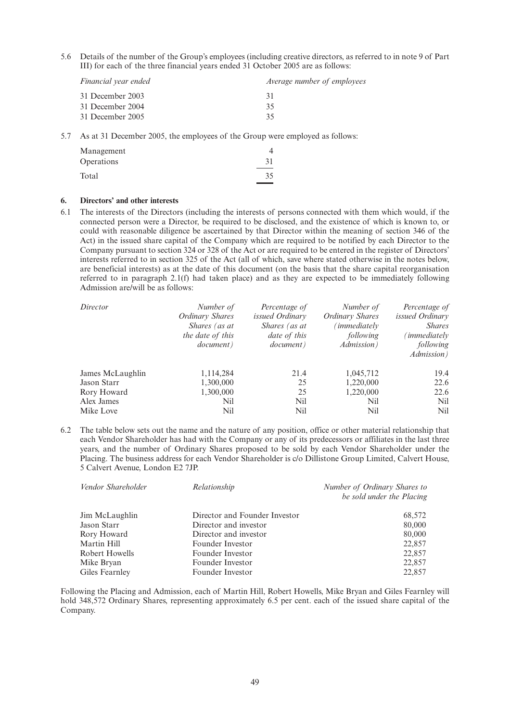5.6 Details of the number of the Group's employees (including creative directors, as referred to in note 9 of Part III) for each of the three financial years ended 31 October 2005 are as follows:

| Financial year ended | Average number of employees |
|----------------------|-----------------------------|
| 31 December 2003     | 31                          |
| 31 December 2004     | 35                          |
| 31 December 2005     | 35                          |
|                      |                             |

5.7 As at 31 December 2005, the employees of the Group were employed as follows:

| 31 |
|----|
| 35 |
|    |

#### **6. Directors' and other interests**

6.1 The interests of the Directors (including the interests of persons connected with them which would, if the connected person were a Director, be required to be disclosed, and the existence of which is known to, or could with reasonable diligence be ascertained by that Director within the meaning of section 346 of the Act) in the issued share capital of the Company which are required to be notified by each Director to the Company pursuant to section 324 or 328 of the Act or are required to be entered in the register of Directors' interests referred to in section 325 of the Act (all of which, save where stated otherwise in the notes below, are beneficial interests) as at the date of this document (on the basis that the share capital reorganisation referred to in paragraph 2.1(f) had taken place) and as they are expected to be immediately following Admission are/will be as follows:

| Director         | Number of<br>Ordinary Shares<br>Shares (as at<br>the date of this<br><i>document</i> ) | Percentage of<br><i>issued Ordinary</i><br>Shares (as at<br><i>date of this</i><br><i>document</i> ) | Number of<br>Ordinary Shares<br>immediatelv'<br>following<br><i>Admission</i> ) | Percentage of<br><i>issued Ordinary</i><br><b>Shares</b><br>immediately)<br>following<br><i>Admission</i> ) |
|------------------|----------------------------------------------------------------------------------------|------------------------------------------------------------------------------------------------------|---------------------------------------------------------------------------------|-------------------------------------------------------------------------------------------------------------|
| James McLaughlin | 1,114,284                                                                              | 21.4                                                                                                 | 1,045,712                                                                       | 19.4                                                                                                        |
| Jason Starr      | 1,300,000                                                                              | 25                                                                                                   | 1,220,000                                                                       | 22.6                                                                                                        |
| Rory Howard      | 1,300,000                                                                              | 25                                                                                                   | 1,220,000                                                                       | 22.6                                                                                                        |
| Alex James       | Nil                                                                                    | <b>Nil</b>                                                                                           | Nil                                                                             | Nil                                                                                                         |
| Mike Love        | Nil                                                                                    | Nil                                                                                                  | Nil                                                                             | Nil                                                                                                         |

6.2 The table below sets out the name and the nature of any position, office or other material relationship that each Vendor Shareholder has had with the Company or any of its predecessors or affiliates in the last three years, and the number of Ordinary Shares proposed to be sold by each Vendor Shareholder under the Placing. The business address for each Vendor Shareholder is c/o Dillistone Group Limited, Calvert House, 5 Calvert Avenue, London E2 7JP.

| Vendor Shareholder | Relationship                  | Number of Ordinary Shares to<br>be sold under the Placing |
|--------------------|-------------------------------|-----------------------------------------------------------|
| Jim McLaughlin     | Director and Founder Investor | 68,572                                                    |
| Jason Starr        | Director and investor         | 80,000                                                    |
| Rory Howard        | Director and investor         | 80,000                                                    |
| Martin Hill        | Founder Investor              | 22,857                                                    |
| Robert Howells     | Founder Investor              | 22,857                                                    |
| Mike Bryan         | Founder Investor              | 22,857                                                    |
| Giles Fearnley     | Founder Investor              | 22,857                                                    |

Following the Placing and Admission, each of Martin Hill, Robert Howells, Mike Bryan and Giles Fearnley will hold 348,572 Ordinary Shares, representing approximately 6.5 per cent. each of the issued share capital of the Company.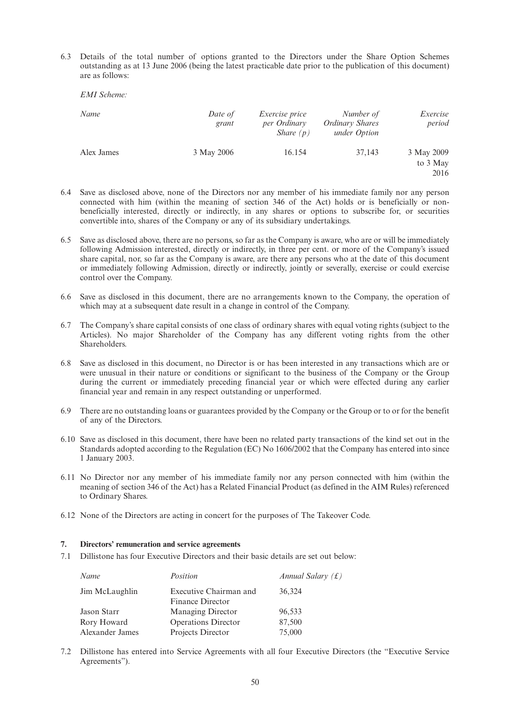6.3 Details of the total number of options granted to the Directors under the Share Option Schemes outstanding as at 13 June 2006 (being the latest practicable date prior to the publication of this document) are as follows:

| Name       | Date of<br>grant | <i>Exercise price</i><br>per Ordinary<br>Share $(p)$ | Number of<br><b>Ordinary Shares</b><br>under Option | Exercise<br>period             |
|------------|------------------|------------------------------------------------------|-----------------------------------------------------|--------------------------------|
| Alex James | 3 May 2006       | 16.154                                               | 37,143                                              | 3 May 2009<br>to 3 May<br>2016 |

- 6.4 Save as disclosed above, none of the Directors nor any member of his immediate family nor any person connected with him (within the meaning of section 346 of the Act) holds or is beneficially or nonbeneficially interested, directly or indirectly, in any shares or options to subscribe for, or securities convertible into, shares of the Company or any of its subsidiary undertakings.
- 6.5 Save as disclosed above, there are no persons, so far as the Company is aware, who are or will be immediately following Admission interested, directly or indirectly, in three per cent. or more of the Company's issued share capital, nor, so far as the Company is aware, are there any persons who at the date of this document or immediately following Admission, directly or indirectly, jointly or severally, exercise or could exercise control over the Company.
- 6.6 Save as disclosed in this document, there are no arrangements known to the Company, the operation of which may at a subsequent date result in a change in control of the Company.
- 6.7 The Company's share capital consists of one class of ordinary shares with equal voting rights (subject to the Articles). No major Shareholder of the Company has any different voting rights from the other Shareholders.
- 6.8 Save as disclosed in this document, no Director is or has been interested in any transactions which are or were unusual in their nature or conditions or significant to the business of the Company or the Group during the current or immediately preceding financial year or which were effected during any earlier financial year and remain in any respect outstanding or unperformed.
- 6.9 There are no outstanding loans or guarantees provided by the Company or the Group or to or for the benefit of any of the Directors.
- 6.10 Save as disclosed in this document, there have been no related party transactions of the kind set out in the Standards adopted according to the Regulation (EC) No 1606/2002 that the Company has entered into since 1 January 2003.
- 6.11 No Director nor any member of his immediate family nor any person connected with him (within the meaning of section 346 of the Act) has a Related Financial Product (as defined in the AIM Rules) referenced to Ordinary Shares.
- 6.12 None of the Directors are acting in concert for the purposes of The Takeover Code.

#### **7. Directors' remuneration and service agreements**

7.1 Dillistone has four Executive Directors and their basic details are set out below:

| Name            | Position                                   | Annual Salary $(f)$ |
|-----------------|--------------------------------------------|---------------------|
| Jim McLaughlin  | Executive Chairman and<br>Finance Director | 36,324              |
| Jason Starr     | <b>Managing Director</b>                   | 96,533              |
| Rory Howard     | <b>Operations Director</b>                 | 87,500              |
| Alexander James | Projects Director                          | 75,000              |

7.2 Dillistone has entered into Service Agreements with all four Executive Directors (the "Executive Service Agreements").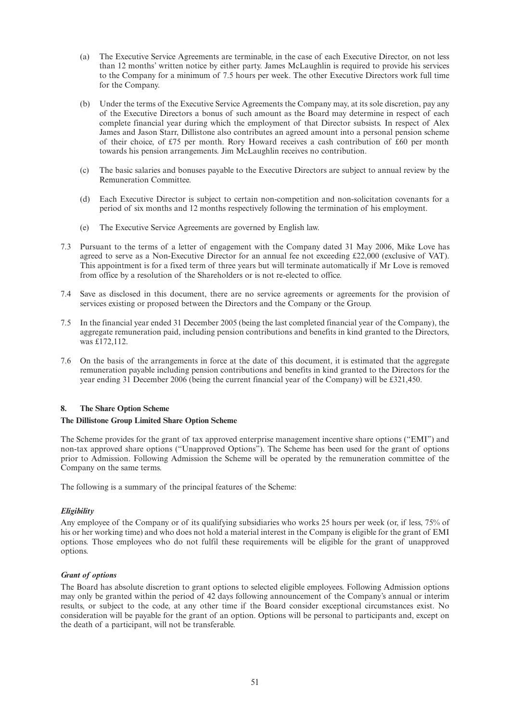- (a) The Executive Service Agreements are terminable, in the case of each Executive Director, on not less than 12 months' written notice by either party. James McLaughlin is required to provide his services to the Company for a minimum of 7.5 hours per week. The other Executive Directors work full time for the Company.
- (b) Under the terms of the Executive Service Agreements the Company may, at its sole discretion, pay any of the Executive Directors a bonus of such amount as the Board may determine in respect of each complete financial year during which the employment of that Director subsists. In respect of Alex James and Jason Starr, Dillistone also contributes an agreed amount into a personal pension scheme of their choice, of £75 per month. Rory Howard receives a cash contribution of £60 per month towards his pension arrangements. Jim McLaughlin receives no contribution.
- (c) The basic salaries and bonuses payable to the Executive Directors are subject to annual review by the Remuneration Committee.
- (d) Each Executive Director is subject to certain non-competition and non-solicitation covenants for a period of six months and 12 months respectively following the termination of his employment.
- (e) The Executive Service Agreements are governed by English law.
- 7.3 Pursuant to the terms of a letter of engagement with the Company dated 31 May 2006, Mike Love has agreed to serve as a Non-Executive Director for an annual fee not exceeding £22,000 (exclusive of VAT). This appointment is for a fixed term of three years but will terminate automatically if Mr Love is removed from office by a resolution of the Shareholders or is not re-elected to office.
- 7.4 Save as disclosed in this document, there are no service agreements or agreements for the provision of services existing or proposed between the Directors and the Company or the Group.
- 7.5 In the financial year ended 31 December 2005 (being the last completed financial year of the Company), the aggregate remuneration paid, including pension contributions and benefits in kind granted to the Directors, was £172,112.
- 7.6 On the basis of the arrangements in force at the date of this document, it is estimated that the aggregate remuneration payable including pension contributions and benefits in kind granted to the Directors for the year ending 31 December 2006 (being the current financial year of the Company) will be £321,450.

#### **8. The Share Option Scheme**

#### **The Dillistone Group Limited Share Option Scheme**

The Scheme provides for the grant of tax approved enterprise management incentive share options ("EMI") and non-tax approved share options ("Unapproved Options"). The Scheme has been used for the grant of options prior to Admission. Following Admission the Scheme will be operated by the remuneration committee of the Company on the same terms.

The following is a summary of the principal features of the Scheme:

#### *Eligibility*

Any employee of the Company or of its qualifying subsidiaries who works 25 hours per week (or, if less, 75% of his or her working time) and who does not hold a material interest in the Company is eligible for the grant of EMI options. Those employees who do not fulfil these requirements will be eligible for the grant of unapproved options.

#### *Grant of options*

The Board has absolute discretion to grant options to selected eligible employees. Following Admission options may only be granted within the period of 42 days following announcement of the Company's annual or interim results, or subject to the code, at any other time if the Board consider exceptional circumstances exist. No consideration will be payable for the grant of an option. Options will be personal to participants and, except on the death of a participant, will not be transferable.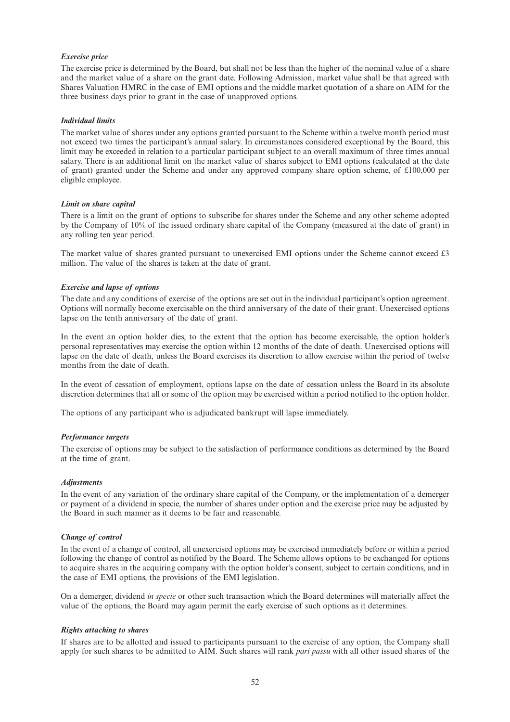#### *Exercise price*

The exercise price is determined by the Board, but shall not be less than the higher of the nominal value of a share and the market value of a share on the grant date. Following Admission, market value shall be that agreed with Shares Valuation HMRC in the case of EMI options and the middle market quotation of a share on AIM for the three business days prior to grant in the case of unapproved options.

#### *Individual limits*

The market value of shares under any options granted pursuant to the Scheme within a twelve month period must not exceed two times the participant's annual salary. In circumstances considered exceptional by the Board, this limit may be exceeded in relation to a particular participant subject to an overall maximum of three times annual salary. There is an additional limit on the market value of shares subject to EMI options (calculated at the date of grant) granted under the Scheme and under any approved company share option scheme, of £100,000 per eligible employee.

#### *Limit on share capital*

There is a limit on the grant of options to subscribe for shares under the Scheme and any other scheme adopted by the Company of 10% of the issued ordinary share capital of the Company (measured at the date of grant) in any rolling ten year period.

The market value of shares granted pursuant to unexercised EMI options under the Scheme cannot exceed £3 million. The value of the shares is taken at the date of grant.

#### *Exercise and lapse of options*

The date and any conditions of exercise of the options are set out in the individual participant's option agreement. Options will normally become exercisable on the third anniversary of the date of their grant. Unexercised options lapse on the tenth anniversary of the date of grant.

In the event an option holder dies, to the extent that the option has become exercisable, the option holder's personal representatives may exercise the option within 12 months of the date of death. Unexercised options will lapse on the date of death, unless the Board exercises its discretion to allow exercise within the period of twelve months from the date of death.

In the event of cessation of employment, options lapse on the date of cessation unless the Board in its absolute discretion determines that all or some of the option may be exercised within a period notified to the option holder.

The options of any participant who is adjudicated bankrupt will lapse immediately.

#### *Performance targets*

The exercise of options may be subject to the satisfaction of performance conditions as determined by the Board at the time of grant.

#### *Adjustments*

In the event of any variation of the ordinary share capital of the Company, or the implementation of a demerger or payment of a dividend in specie, the number of shares under option and the exercise price may be adjusted by the Board in such manner as it deems to be fair and reasonable.

#### *Change of control*

In the event of a change of control, all unexercised options may be exercised immediately before or within a period following the change of control as notified by the Board. The Scheme allows options to be exchanged for options to acquire shares in the acquiring company with the option holder's consent, subject to certain conditions, and in the case of EMI options, the provisions of the EMI legislation.

On a demerger, dividend *in specie* or other such transaction which the Board determines will materially affect the value of the options, the Board may again permit the early exercise of such options as it determines.

#### *Rights attaching to shares*

If shares are to be allotted and issued to participants pursuant to the exercise of any option, the Company shall apply for such shares to be admitted to AIM. Such shares will rank *pari passu* with all other issued shares of the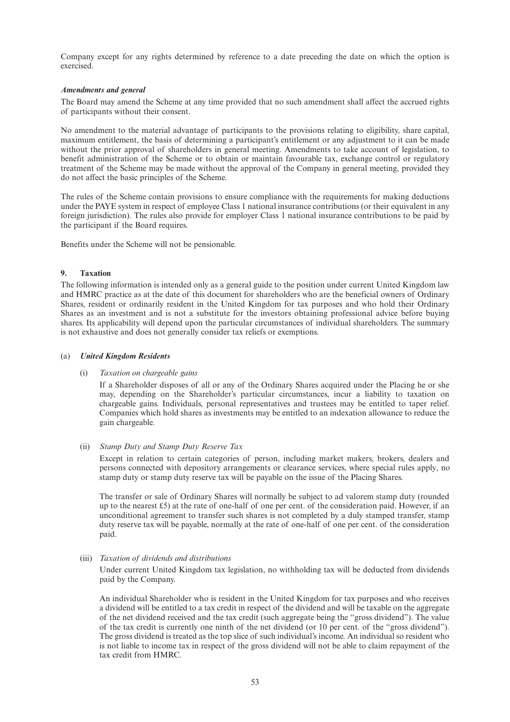Company except for any rights determined by reference to a date preceding the date on which the option is exercised.

#### *Amendments and general*

The Board may amend the Scheme at any time provided that no such amendment shall affect the accrued rights of participants without their consent.

No amendment to the material advantage of participants to the provisions relating to eligibility, share capital, maximum entitlement, the basis of determining a participant's entitlement or any adjustment to it can be made without the prior approval of shareholders in general meeting. Amendments to take account of legislation, to benefit administration of the Scheme or to obtain or maintain favourable tax, exchange control or regulatory treatment of the Scheme may be made without the approval of the Company in general meeting, provided they do not affect the basic principles of the Scheme.

The rules of the Scheme contain provisions to ensure compliance with the requirements for making deductions under the PAYE system in respect of employee Class 1 national insurance contributions (or their equivalent in any foreign jurisdiction). The rules also provide for employer Class 1 national insurance contributions to be paid by the participant if the Board requires.

Benefits under the Scheme will not be pensionable.

#### **9. Taxation**

The following information is intended only as a general guide to the position under current United Kingdom law and HMRC practice as at the date of this document for shareholders who are the beneficial owners of Ordinary Shares, resident or ordinarily resident in the United Kingdom for tax purposes and who hold their Ordinary Shares as an investment and is not a substitute for the investors obtaining professional advice before buying shares. Its applicability will depend upon the particular circumstances of individual shareholders. The summary is not exhaustive and does not generally consider tax reliefs or exemptions.

#### (a) *United Kingdom Residents*

#### (i) *Taxation on chargeable gains*

If a Shareholder disposes of all or any of the Ordinary Shares acquired under the Placing he or she may, depending on the Shareholder's particular circumstances, incur a liability to taxation on chargeable gains. Individuals, personal representatives and trustees may be entitled to taper relief. Companies which hold shares as investments may be entitled to an indexation allowance to reduce the gain chargeable.

#### (ii) *Stamp Duty and Stamp Duty Reserve Tax*

Except in relation to certain categories of person, including market makers, brokers, dealers and persons connected with depository arrangements or clearance services, where special rules apply, no stamp duty or stamp duty reserve tax will be payable on the issue of the Placing Shares.

The transfer or sale of Ordinary Shares will normally be subject to ad valorem stamp duty (rounded up to the nearest  $£5$ ) at the rate of one-half of one per cent. of the consideration paid. However, if an unconditional agreement to transfer such shares is not completed by a duly stamped transfer, stamp duty reserve tax will be payable, normally at the rate of one-half of one per cent. of the consideration paid.

#### (iii) *Taxation of dividends and distributions*

Under current United Kingdom tax legislation, no withholding tax will be deducted from dividends paid by the Company.

An individual Shareholder who is resident in the United Kingdom for tax purposes and who receives a dividend will be entitled to a tax credit in respect of the dividend and will be taxable on the aggregate of the net dividend received and the tax credit (such aggregate being the "gross dividend"). The value of the tax credit is currently one ninth of the net dividend (or 10 per cent. of the "gross dividend"). The gross dividend is treated as the top slice of such individual's income. An individual so resident who is not liable to income tax in respect of the gross dividend will not be able to claim repayment of the tax credit from HMRC.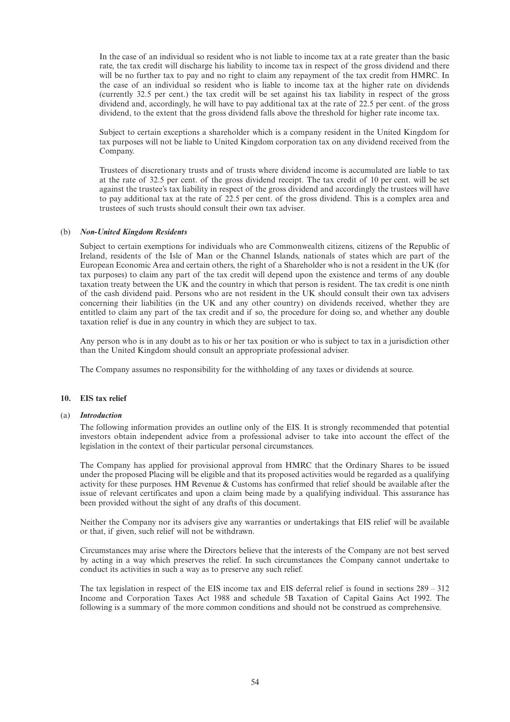In the case of an individual so resident who is not liable to income tax at a rate greater than the basic rate, the tax credit will discharge his liability to income tax in respect of the gross dividend and there will be no further tax to pay and no right to claim any repayment of the tax credit from HMRC. In the case of an individual so resident who is liable to income tax at the higher rate on dividends (currently 32.5 per cent.) the tax credit will be set against his tax liability in respect of the gross dividend and, accordingly, he will have to pay additional tax at the rate of 22.5 per cent. of the gross dividend, to the extent that the gross dividend falls above the threshold for higher rate income tax.

Subject to certain exceptions a shareholder which is a company resident in the United Kingdom for tax purposes will not be liable to United Kingdom corporation tax on any dividend received from the Company.

Trustees of discretionary trusts and of trusts where dividend income is accumulated are liable to tax at the rate of 32.5 per cent. of the gross dividend receipt. The tax credit of 10 per cent. will be set against the trustee's tax liability in respect of the gross dividend and accordingly the trustees will have to pay additional tax at the rate of 22.5 per cent. of the gross dividend. This is a complex area and trustees of such trusts should consult their own tax adviser.

#### (b) *Non-United Kingdom Residents*

Subject to certain exemptions for individuals who are Commonwealth citizens, citizens of the Republic of Ireland, residents of the Isle of Man or the Channel Islands, nationals of states which are part of the European Economic Area and certain others, the right of a Shareholder who is not a resident in the UK (for tax purposes) to claim any part of the tax credit will depend upon the existence and terms of any double taxation treaty between the UK and the country in which that person is resident. The tax credit is one ninth of the cash dividend paid. Persons who are not resident in the UK should consult their own tax advisers concerning their liabilities (in the UK and any other country) on dividends received, whether they are entitled to claim any part of the tax credit and if so, the procedure for doing so, and whether any double taxation relief is due in any country in which they are subject to tax.

Any person who is in any doubt as to his or her tax position or who is subject to tax in a jurisdiction other than the United Kingdom should consult an appropriate professional adviser.

The Company assumes no responsibility for the withholding of any taxes or dividends at source.

### **10. EIS tax relief**

#### (a) *Introduction*

The following information provides an outline only of the EIS. It is strongly recommended that potential investors obtain independent advice from a professional adviser to take into account the effect of the legislation in the context of their particular personal circumstances.

The Company has applied for provisional approval from HMRC that the Ordinary Shares to be issued under the proposed Placing will be eligible and that its proposed activities would be regarded as a qualifying activity for these purposes. HM Revenue & Customs has confirmed that relief should be available after the issue of relevant certificates and upon a claim being made by a qualifying individual. This assurance has been provided without the sight of any drafts of this document.

Neither the Company nor its advisers give any warranties or undertakings that EIS relief will be available or that, if given, such relief will not be withdrawn.

Circumstances may arise where the Directors believe that the interests of the Company are not best served by acting in a way which preserves the relief. In such circumstances the Company cannot undertake to conduct its activities in such a way as to preserve any such relief.

The tax legislation in respect of the EIS income tax and EIS deferral relief is found in sections 289 – 312 Income and Corporation Taxes Act 1988 and schedule 5B Taxation of Capital Gains Act 1992. The following is a summary of the more common conditions and should not be construed as comprehensive.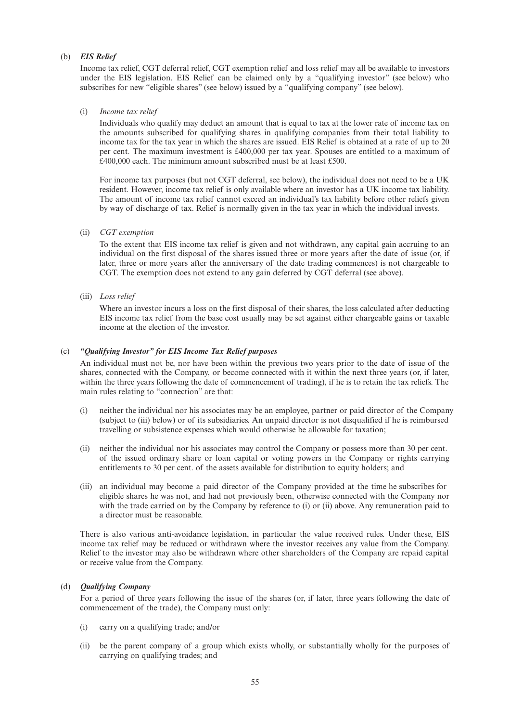#### (b) *EIS Relief*

Income tax relief, CGT deferral relief, CGT exemption relief and loss relief may all be available to investors under the EIS legislation. EIS Relief can be claimed only by a "qualifying investor" (see below) who subscribes for new "eligible shares" (see below) issued by a "qualifying company" (see below).

#### (i) *Income tax relief*

Individuals who qualify may deduct an amount that is equal to tax at the lower rate of income tax on the amounts subscribed for qualifying shares in qualifying companies from their total liability to income tax for the tax year in which the shares are issued. EIS Relief is obtained at a rate of up to 20 per cent. The maximum investment is £400,000 per tax year. Spouses are entitled to a maximum of £400,000 each. The minimum amount subscribed must be at least £500.

For income tax purposes (but not CGT deferral, see below), the individual does not need to be a UK resident. However, income tax relief is only available where an investor has a UK income tax liability. The amount of income tax relief cannot exceed an individual's tax liability before other reliefs given by way of discharge of tax. Relief is normally given in the tax year in which the individual invests.

#### (ii) *CGT exemption*

To the extent that EIS income tax relief is given and not withdrawn, any capital gain accruing to an individual on the first disposal of the shares issued three or more years after the date of issue (or, if later, three or more years after the anniversary of the date trading commences) is not chargeable to CGT. The exemption does not extend to any gain deferred by CGT deferral (see above).

(iii) *Loss relief*

Where an investor incurs a loss on the first disposal of their shares, the loss calculated after deducting EIS income tax relief from the base cost usually may be set against either chargeable gains or taxable income at the election of the investor.

#### (c) *"Qualifying Investor" for EIS Income Tax Relief purposes*

An individual must not be, nor have been within the previous two years prior to the date of issue of the shares, connected with the Company, or become connected with it within the next three years (or, if later, within the three years following the date of commencement of trading), if he is to retain the tax reliefs. The main rules relating to "connection" are that:

- (i) neither the individual nor his associates may be an employee, partner or paid director of the Company (subject to (iii) below) or of its subsidiaries. An unpaid director is not disqualified if he is reimbursed travelling or subsistence expenses which would otherwise be allowable for taxation;
- (ii) neither the individual nor his associates may control the Company or possess more than 30 per cent. of the issued ordinary share or loan capital or voting powers in the Company or rights carrying entitlements to 30 per cent. of the assets available for distribution to equity holders; and
- (iii) an individual may become a paid director of the Company provided at the time he subscribes for eligible shares he was not, and had not previously been, otherwise connected with the Company nor with the trade carried on by the Company by reference to (i) or (ii) above. Any remuneration paid to a director must be reasonable.

There is also various anti-avoidance legislation, in particular the value received rules. Under these, EIS income tax relief may be reduced or withdrawn where the investor receives any value from the Company. Relief to the investor may also be withdrawn where other shareholders of the Company are repaid capital or receive value from the Company.

### (d) *Qualifying Company*

For a period of three years following the issue of the shares (or, if later, three years following the date of commencement of the trade), the Company must only:

- (i) carry on a qualifying trade; and/or
- (ii) be the parent company of a group which exists wholly, or substantially wholly for the purposes of carrying on qualifying trades; and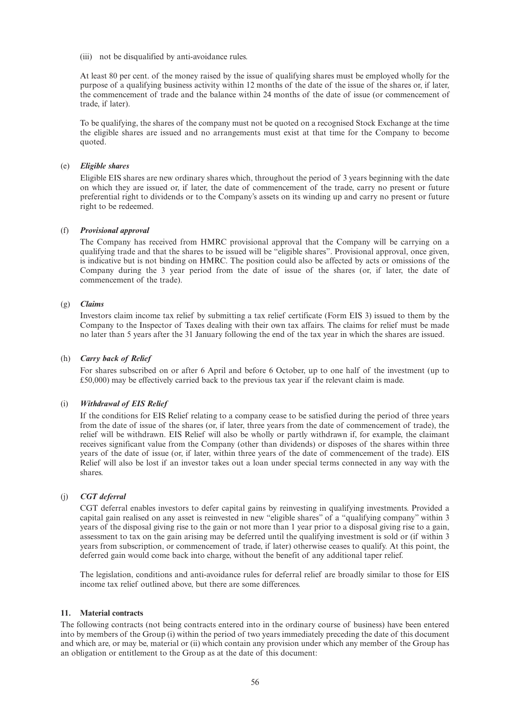(iii) not be disqualified by anti-avoidance rules.

At least 80 per cent. of the money raised by the issue of qualifying shares must be employed wholly for the purpose of a qualifying business activity within 12 months of the date of the issue of the shares or, if later, the commencement of trade and the balance within 24 months of the date of issue (or commencement of trade, if later).

To be qualifying, the shares of the company must not be quoted on a recognised Stock Exchange at the time the eligible shares are issued and no arrangements must exist at that time for the Company to become quoted.

#### (e) *Eligible shares*

Eligible EIS shares are new ordinary shares which, throughout the period of 3 years beginning with the date on which they are issued or, if later, the date of commencement of the trade, carry no present or future preferential right to dividends or to the Company's assets on its winding up and carry no present or future right to be redeemed.

#### (f) *Provisional approval*

The Company has received from HMRC provisional approval that the Company will be carrying on a qualifying trade and that the shares to be issued will be "eligible shares". Provisional approval, once given, is indicative but is not binding on HMRC. The position could also be affected by acts or omissions of the Company during the 3 year period from the date of issue of the shares (or, if later, the date of commencement of the trade).

### (g) *Claims*

Investors claim income tax relief by submitting a tax relief certificate (Form EIS 3) issued to them by the Company to the Inspector of Taxes dealing with their own tax affairs. The claims for relief must be made no later than 5 years after the 31 January following the end of the tax year in which the shares are issued.

#### (h) *Carry back of Relief*

For shares subscribed on or after 6 April and before 6 October, up to one half of the investment (up to £50,000) may be effectively carried back to the previous tax year if the relevant claim is made.

#### (i) *Withdrawal of EIS Relief*

If the conditions for EIS Relief relating to a company cease to be satisfied during the period of three years from the date of issue of the shares (or, if later, three years from the date of commencement of trade), the relief will be withdrawn. EIS Relief will also be wholly or partly withdrawn if, for example, the claimant receives significant value from the Company (other than dividends) or disposes of the shares within three years of the date of issue (or, if later, within three years of the date of commencement of the trade). EIS Relief will also be lost if an investor takes out a loan under special terms connected in any way with the shares.

#### (j) *CGT deferral*

CGT deferral enables investors to defer capital gains by reinvesting in qualifying investments. Provided a capital gain realised on any asset is reinvested in new "eligible shares" of a "qualifying company" within 3 years of the disposal giving rise to the gain or not more than 1 year prior to a disposal giving rise to a gain, assessment to tax on the gain arising may be deferred until the qualifying investment is sold or (if within 3 years from subscription, or commencement of trade, if later) otherwise ceases to qualify. At this point, the deferred gain would come back into charge, without the benefit of any additional taper relief.

The legislation, conditions and anti-avoidance rules for deferral relief are broadly similar to those for EIS income tax relief outlined above, but there are some differences.

#### **11. Material contracts**

The following contracts (not being contracts entered into in the ordinary course of business) have been entered into by members of the Group (i) within the period of two years immediately preceding the date of this document and which are, or may be, material or (ii) which contain any provision under which any member of the Group has an obligation or entitlement to the Group as at the date of this document: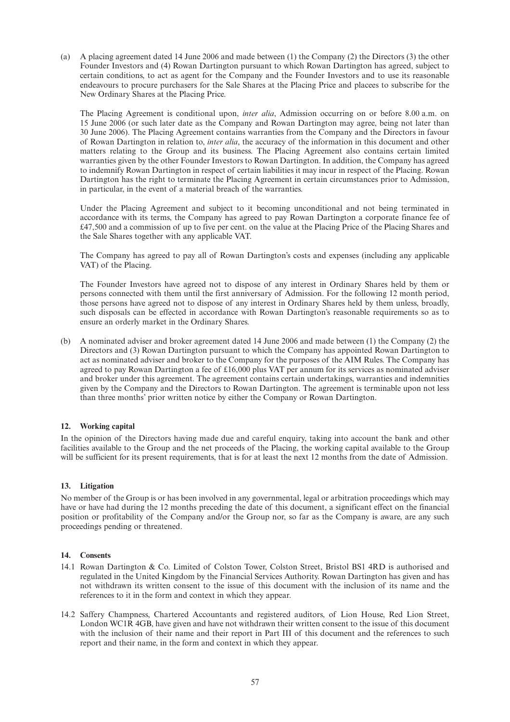(a) A placing agreement dated 14 June 2006 and made between (1) the Company (2) the Directors (3) the other Founder Investors and (4) Rowan Dartington pursuant to which Rowan Dartington has agreed, subject to certain conditions, to act as agent for the Company and the Founder Investors and to use its reasonable endeavours to procure purchasers for the Sale Shares at the Placing Price and placees to subscribe for the New Ordinary Shares at the Placing Price.

The Placing Agreement is conditional upon, *inter alia*, Admission occurring on or before 8.00 a.m. on 15 June 2006 (or such later date as the Company and Rowan Dartington may agree, being not later than 30 June 2006). The Placing Agreement contains warranties from the Company and the Directors in favour of Rowan Dartington in relation to, *inter alia*, the accuracy of the information in this document and other matters relating to the Group and its business. The Placing Agreement also contains certain limited warranties given by the other Founder Investors to Rowan Dartington. In addition, the Company has agreed to indemnify Rowan Dartington in respect of certain liabilities it may incur in respect of the Placing. Rowan Dartington has the right to terminate the Placing Agreement in certain circumstances prior to Admission, in particular, in the event of a material breach of the warranties.

Under the Placing Agreement and subject to it becoming unconditional and not being terminated in accordance with its terms, the Company has agreed to pay Rowan Dartington a corporate finance fee of £47,500 and a commission of up to five per cent. on the value at the Placing Price of the Placing Shares and the Sale Shares together with any applicable VAT.

The Company has agreed to pay all of Rowan Dartington's costs and expenses (including any applicable VAT) of the Placing.

The Founder Investors have agreed not to dispose of any interest in Ordinary Shares held by them or persons connected with them until the first anniversary of Admission. For the following 12 month period, those persons have agreed not to dispose of any interest in Ordinary Shares held by them unless, broadly, such disposals can be effected in accordance with Rowan Dartington's reasonable requirements so as to ensure an orderly market in the Ordinary Shares.

(b) A nominated adviser and broker agreement dated 14 June 2006 and made between (1) the Company (2) the Directors and (3) Rowan Dartington pursuant to which the Company has appointed Rowan Dartington to act as nominated adviser and broker to the Company for the purposes of the AIM Rules. The Company has agreed to pay Rowan Dartington a fee of £16,000 plus VAT per annum for its services as nominated adviser and broker under this agreement. The agreement contains certain undertakings, warranties and indemnities given by the Company and the Directors to Rowan Dartington. The agreement is terminable upon not less than three months' prior written notice by either the Company or Rowan Dartington.

#### **12. Working capital**

In the opinion of the Directors having made due and careful enquiry, taking into account the bank and other facilities available to the Group and the net proceeds of the Placing, the working capital available to the Group will be sufficient for its present requirements, that is for at least the next 12 months from the date of Admission.

#### **13. Litigation**

No member of the Group is or has been involved in any governmental, legal or arbitration proceedings which may have or have had during the 12 months preceding the date of this document, a significant effect on the financial position or profitability of the Company and/or the Group nor, so far as the Company is aware, are any such proceedings pending or threatened.

#### **14. Consents**

- 14.1 Rowan Dartington & Co. Limited of Colston Tower, Colston Street, Bristol BS1 4RD is authorised and regulated in the United Kingdom by the Financial Services Authority. Rowan Dartington has given and has not withdrawn its written consent to the issue of this document with the inclusion of its name and the references to it in the form and context in which they appear.
- 14.2 Saffery Champness, Chartered Accountants and registered auditors, of Lion House, Red Lion Street, London WC1R 4GB, have given and have not withdrawn their written consent to the issue of this document with the inclusion of their name and their report in Part III of this document and the references to such report and their name, in the form and context in which they appear.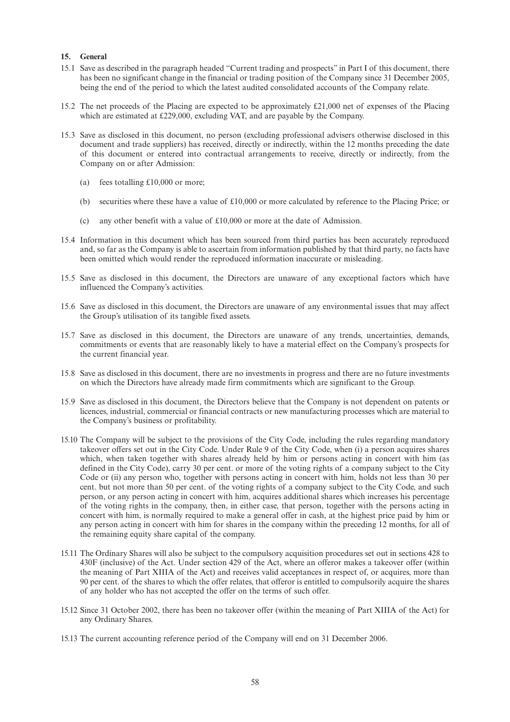#### **15. General**

- 15.1 Save as described in the paragraph headed "Current trading and prospects" in Part I of this document, there has been no significant change in the financial or trading position of the Company since 31 December 2005, being the end of the period to which the latest audited consolidated accounts of the Company relate.
- 15.2 The net proceeds of the Placing are expected to be approximately £21,000 net of expenses of the Placing which are estimated at £229,000, excluding VAT, and are payable by the Company.
- 15.3 Save as disclosed in this document, no person (excluding professional advisers otherwise disclosed in this document and trade suppliers) has received, directly or indirectly, within the 12 months preceding the date of this document or entered into contractual arrangements to receive, directly or indirectly, from the Company on or after Admission:
	- (a) fees totalling £10,000 or more;
	- (b) securities where these have a value of £10,000 or more calculated by reference to the Placing Price; or
	- (c) any other benefit with a value of £10,000 or more at the date of Admission.
- 15.4 Information in this document which has been sourced from third parties has been accurately reproduced and, so far as the Company is able to ascertain from information published by that third party, no facts have been omitted which would render the reproduced information inaccurate or misleading.
- 15.5 Save as disclosed in this document, the Directors are unaware of any exceptional factors which have influenced the Company's activities.
- 15.6 Save as disclosed in this document, the Directors are unaware of any environmental issues that may affect the Group's utilisation of its tangible fixed assets.
- 15.7 Save as disclosed in this document, the Directors are unaware of any trends, uncertainties, demands, commitments or events that are reasonably likely to have a material effect on the Company's prospects for the current financial year.
- 15.8 Save as disclosed in this document, there are no investments in progress and there are no future investments on which the Directors have already made firm commitments which are significant to the Group.
- 15.9 Save as disclosed in this document, the Directors believe that the Company is not dependent on patents or licences, industrial, commercial or financial contracts or new manufacturing processes which are material to the Company's business or profitability.
- 15.10 The Company will be subject to the provisions of the City Code, including the rules regarding mandatory takeover offers set out in the City Code. Under Rule 9 of the City Code, when (i) a person acquires shares which, when taken together with shares already held by him or persons acting in concert with him (as defined in the City Code), carry 30 per cent. or more of the voting rights of a company subject to the City Code or (ii) any person who, together with persons acting in concert with him, holds not less than 30 per cent. but not more than 50 per cent. of the voting rights of a company subject to the City Code, and such person, or any person acting in concert with him, acquires additional shares which increases his percentage of the voting rights in the company, then, in either case, that person, together with the persons acting in concert with him, is normally required to make a general offer in cash, at the highest price paid by him or any person acting in concert with him for shares in the company within the preceding 12 months, for all of the remaining equity share capital of the company.
- 15.11 The Ordinary Shares will also be subject to the compulsory acquisition procedures set out in sections 428 to 430F (inclusive) of the Act. Under section 429 of the Act, where an offeror makes a takeover offer (within the meaning of Part XIIIA of the Act) and receives valid acceptances in respect of, or acquires, more than 90 per cent. of the shares to which the offer relates, that offeror is entitled to compulsorily acquire the shares of any holder who has not accepted the offer on the terms of such offer.
- 15.12 Since 31 October 2002, there has been no takeover offer (within the meaning of Part XIIIA of the Act) for any Ordinary Shares.
- 15.13 The current accounting reference period of the Company will end on 31 December 2006.